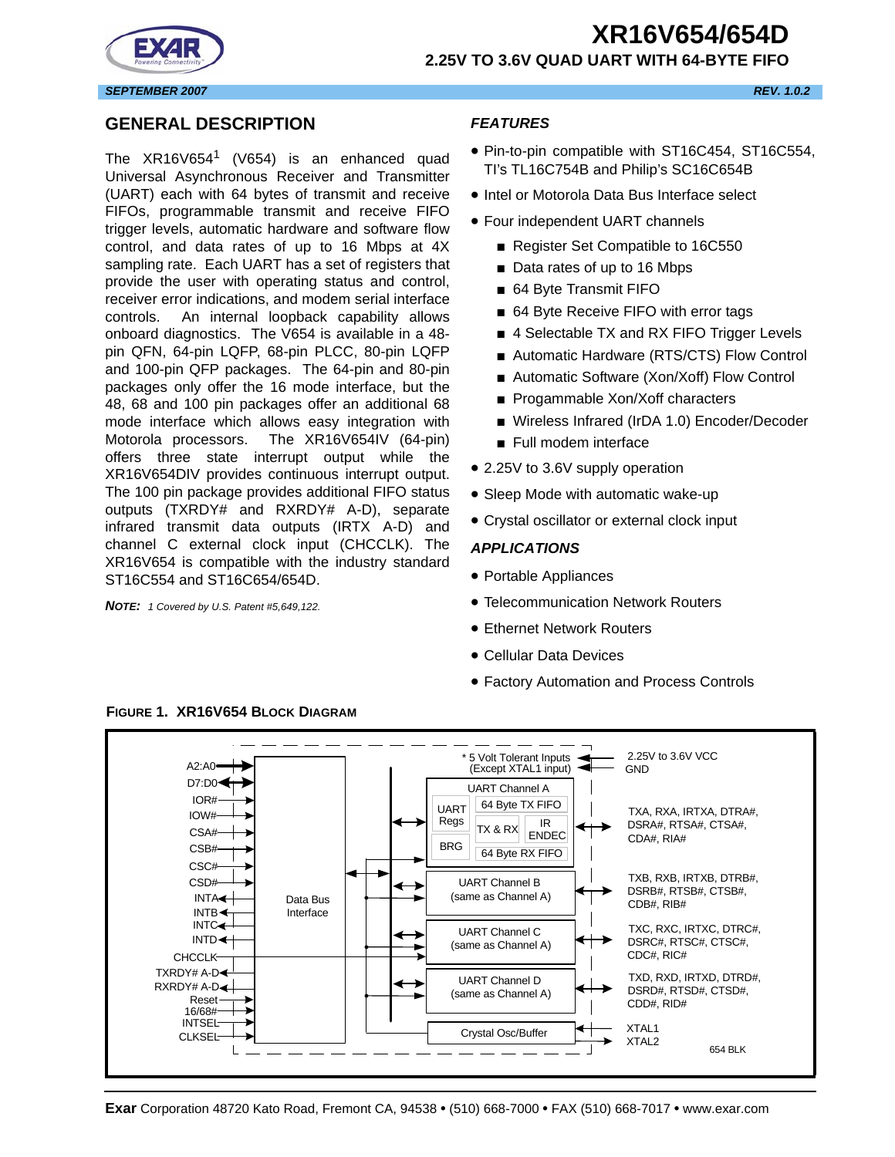



#### *SEPTEMBER 2007 REV. 1.0.2*

#### <span id="page-0-0"></span>**GENERAL DESCRIPTION**

The  $XR16V654$ <sup>1</sup> (V654) is an enhanced quad Universal Asynchronous Receiver and Transmitter (UART) each with 64 bytes of transmit and receive FIFOs, programmable transmit and receive FIFO trigger levels, automatic hardware and software flow control, and data rates of up to 16 Mbps at 4X sampling rate. Each UART has a set of registers that provide the user with operating status and control, receiver error indications, and modem serial interface controls. An internal loopback capability allows onboard diagnostics. The V654 is available in a 48 pin QFN, 64-pin LQFP, 68-pin PLCC, 80-pin LQFP and 100-pin QFP packages. The 64-pin and 80-pin packages only offer the 16 mode interface, but the 48, 68 and 100 pin packages offer an additional 68 mode interface which allows easy integration with Motorola processors. The XR16V654IV (64-pin) offers three state interrupt output while the XR16V654DIV provides continuous interrupt output. The 100 pin package provides additional FIFO status outputs (TXRDY# and RXRDY# A-D), separate infrared transmit data outputs (IRTX A-D) and channel C external clock input (CHCCLK). The XR16V654 is compatible with the industry standard ST16C554 and ST16C654/654D.

*NOTE: 1 Covered by U.S. Patent #5,649,122.*

#### <span id="page-0-1"></span>*FEATURES*

- Pin-to-pin compatible with ST16C454, ST16C554, TI's TL16C754B and Philip's SC16C654B
- Intel or Motorola Data Bus Interface select
- Four independent UART channels
	- Register Set Compatible to 16C550
	- Data rates of up to 16 Mbps
	- 64 Byte Transmit FIFO
	- 64 Byte Receive FIFO with error tags
	- 4 Selectable TX and RX FIFO Trigger Levels
	- Automatic Hardware (RTS/CTS) Flow Control
	- Automatic Software (Xon/Xoff) Flow Control
	- Progammable Xon/Xoff characters
	- Wireless Infrared (IrDA 1.0) Encoder/Decoder
	- Full modem interface
- 2.25V to 3.6V supply operation
- Sleep Mode with automatic wake-up
- Crystal oscillator or external clock input

#### <span id="page-0-2"></span>*APPLICATIONS*

- Portable Appliances
- Telecommunication Network Routers
- Ethernet Network Routers
- Cellular Data Devices
- Factory Automation and Process Controls



<span id="page-0-3"></span>**FIGURE 1. XR16V654 BLOCK DIAGRAM**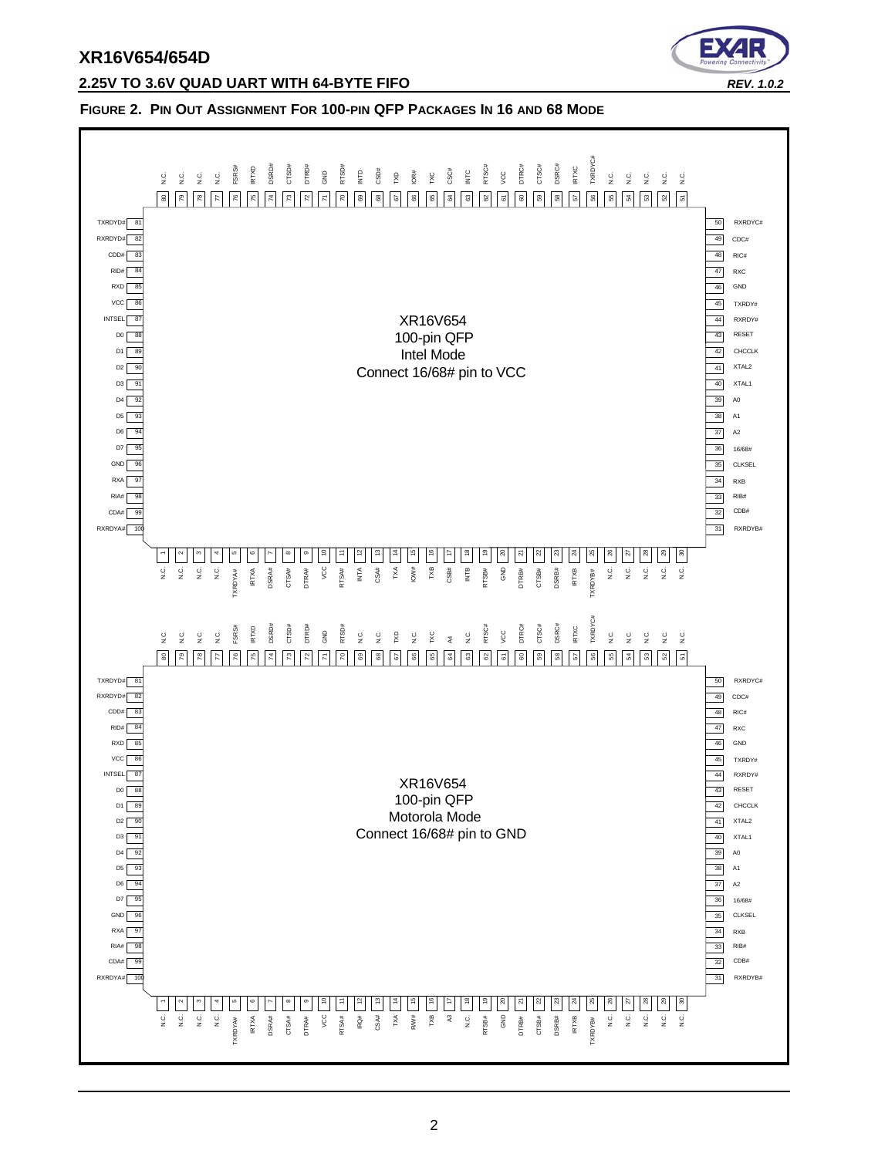

#### **2.25V TO 3.6V QUAD UART WITH 64-BYTE FIFO** *REV. 1.0.2*

#### <span id="page-1-0"></span>**FIGURE 2. PIN OUT ASSIGNMENT FOR 100-PIN QFP PACKAGES IN 16 AND 68 MODE**

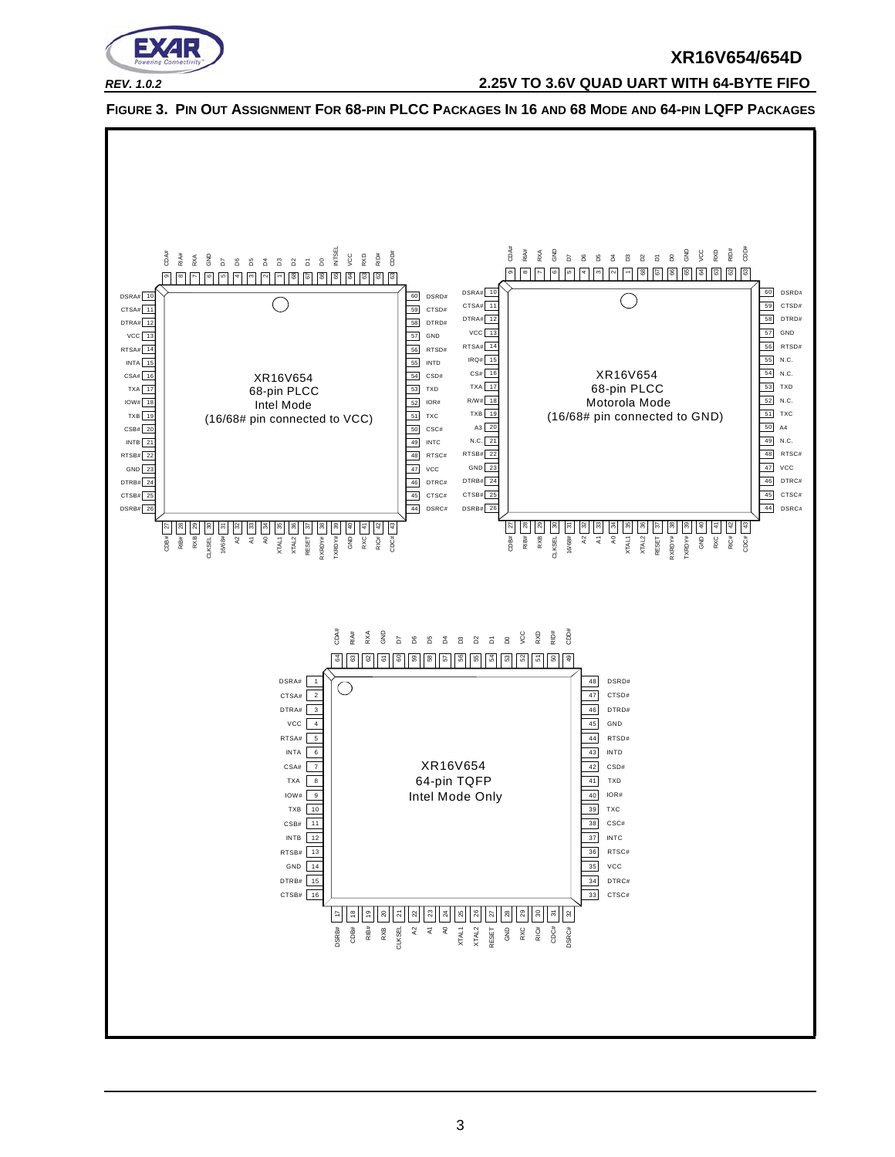

*REV. 1.0.2* **2.25V TO 3.6V QUAD UART WITH 64-BYTE FIFO**



<span id="page-2-0"></span>**FIGURE 3. PIN OUT ASSIGNMENT FOR 68-PIN PLCC PACKAGES IN 16 AND 68 MODE AND 64-PIN LQFP PACKAGES**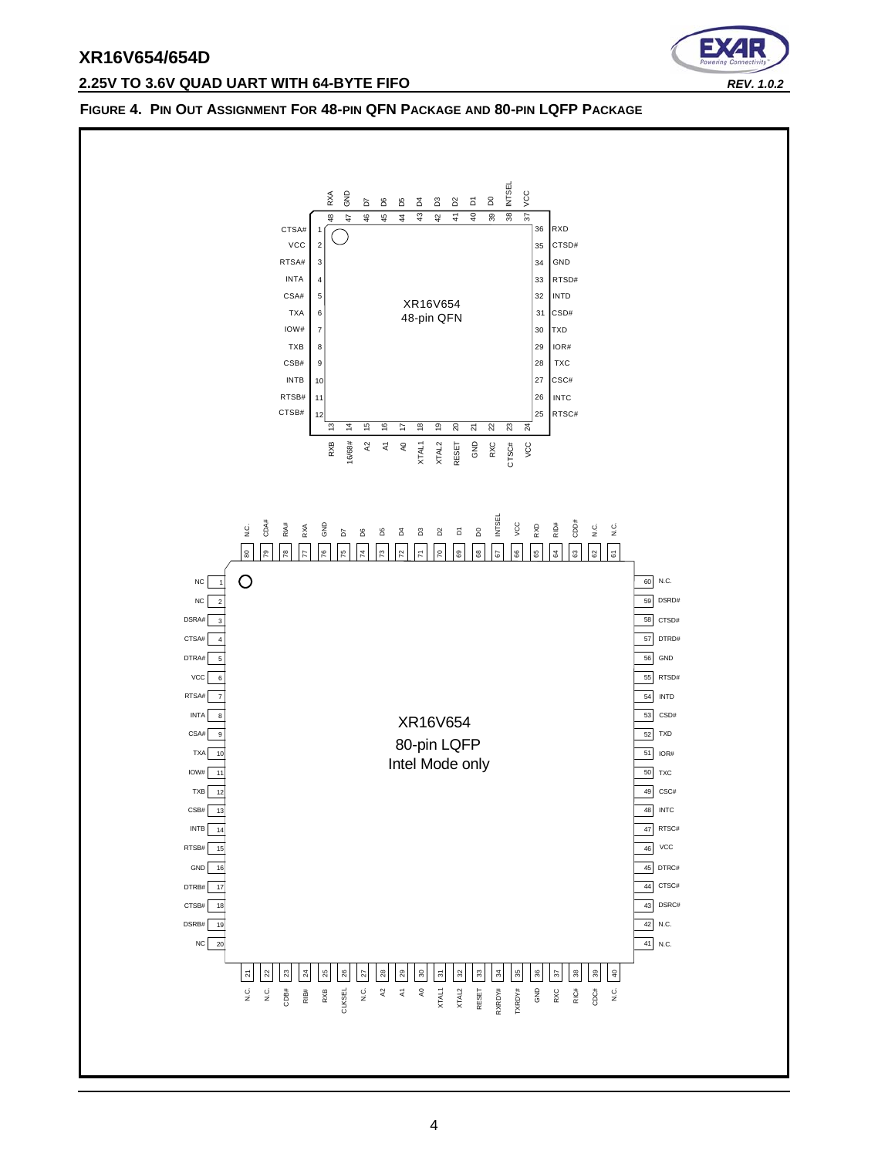## **2.25V TO 3.6V QUAD UART WITH 64-BYTE FIFO** *REV. 1.0.2*



#### <span id="page-3-0"></span>**FIGURE 4. PIN OUT ASSIGNMENT FOR 48-PIN QFN PACKAGE AND 80-PIN LQFP PACKAGE**

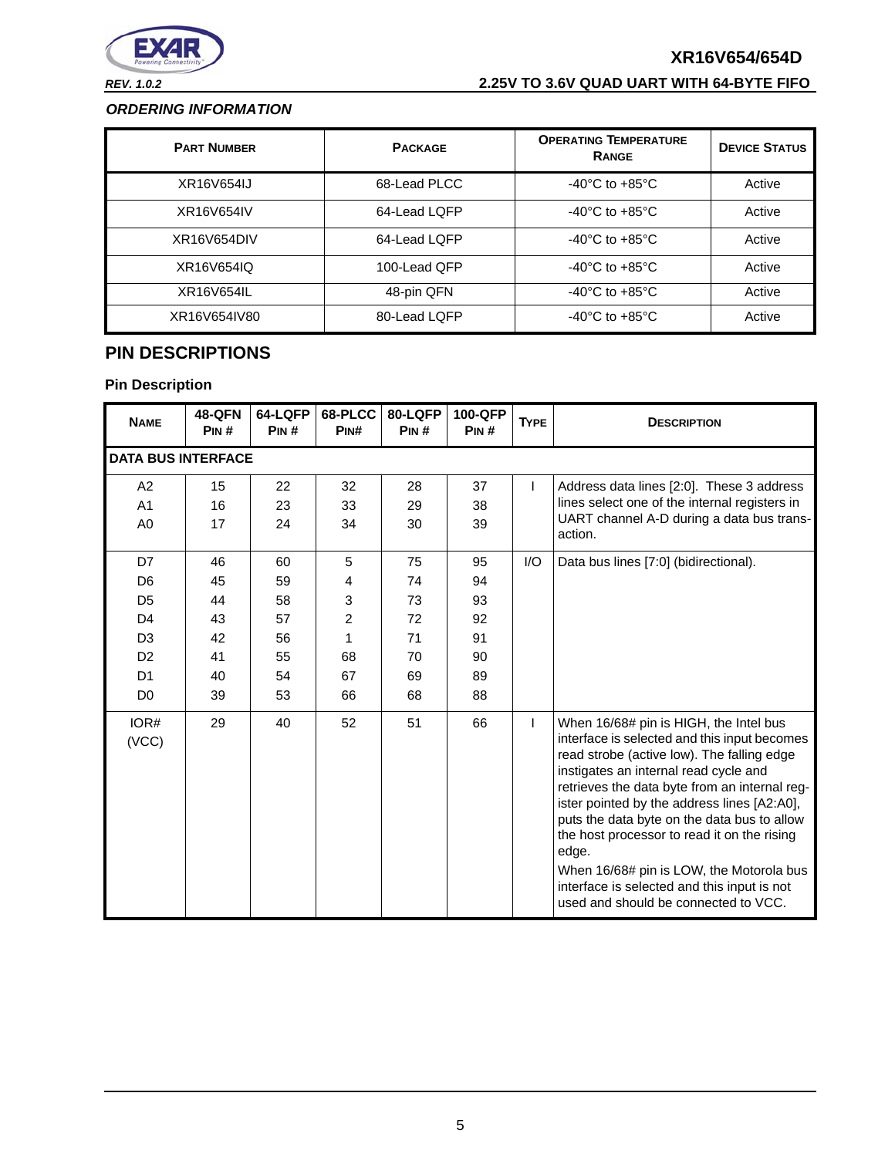

# *REV. 1.0.2* **2.25V TO 3.6V QUAD UART WITH 64-BYTE FIFO**

#### <span id="page-4-1"></span>*ORDERING INFORMATION*

| <b>PART NUMBER</b> | <b>PACKAGE</b> | <b>OPERATING TEMPERATURE</b><br><b>RANGE</b> | <b>DEVICE STATUS</b> |
|--------------------|----------------|----------------------------------------------|----------------------|
| XR16V654IJ         | 68-Lead PLCC   | $-40^{\circ}$ C to $+85^{\circ}$ C           | Active               |
| XR16V654IV         | 64-Lead LQFP   | $-40^{\circ}$ C to $+85^{\circ}$ C           | Active               |
| XR16V654DIV        | 64-Lead LQFP   | $-40^{\circ}$ C to $+85^{\circ}$ C           | Active               |
| XR16V654IQ         | 100-Lead QFP   | $-40^{\circ}$ C to $+85^{\circ}$ C           | Active               |
| XR16V654IL         | 48-pin QFN     | $-40^{\circ}$ C to $+85^{\circ}$ C           | Active               |
| XR16V654IV80       | 80-Lead LQFP   | $-40^{\circ}$ C to $+85^{\circ}$ C           | Active               |

# <span id="page-4-0"></span>**PIN DESCRIPTIONS**

| <b>NAME</b>                                                                                                                      | <b>48-QFN</b><br>PIN#                        | 64-LQFP<br>PIN#                              | 68-PLCC<br>PIN#                         | 80-LQFP<br>PIN#                              | 100-QFP<br>PIN#                              | <b>TYPE</b> | <b>DESCRIPTION</b>                                                                                                                                                                                                                                                                                                                                                                                                                                                                                                      |  |  |  |
|----------------------------------------------------------------------------------------------------------------------------------|----------------------------------------------|----------------------------------------------|-----------------------------------------|----------------------------------------------|----------------------------------------------|-------------|-------------------------------------------------------------------------------------------------------------------------------------------------------------------------------------------------------------------------------------------------------------------------------------------------------------------------------------------------------------------------------------------------------------------------------------------------------------------------------------------------------------------------|--|--|--|
|                                                                                                                                  | <b>DATA BUS INTERFACE</b>                    |                                              |                                         |                                              |                                              |             |                                                                                                                                                                                                                                                                                                                                                                                                                                                                                                                         |  |  |  |
| A <sub>2</sub><br>A <sub>1</sub><br>A <sub>0</sub>                                                                               | 15<br>16<br>17                               | 22<br>23<br>24                               | 32<br>33<br>34                          | 28<br>29<br>30                               | 37<br>38<br>39                               |             | Address data lines [2:0]. These 3 address<br>lines select one of the internal registers in<br>UART channel A-D during a data bus trans-<br>action.                                                                                                                                                                                                                                                                                                                                                                      |  |  |  |
| D7<br>D <sub>6</sub><br>D <sub>5</sub><br>D <sub>4</sub><br>D <sub>3</sub><br>D <sub>2</sub><br>D <sub>1</sub><br>D <sub>0</sub> | 46<br>45<br>44<br>43<br>42<br>41<br>40<br>39 | 60<br>59<br>58<br>57<br>56<br>55<br>54<br>53 | 5<br>4<br>3<br>2<br>1<br>68<br>67<br>66 | 75<br>74<br>73<br>72<br>71<br>70<br>69<br>68 | 95<br>94<br>93<br>92<br>91<br>90<br>89<br>88 | 1/O         | Data bus lines [7:0] (bidirectional).                                                                                                                                                                                                                                                                                                                                                                                                                                                                                   |  |  |  |
| IOR#<br>(VCC)                                                                                                                    | 29                                           | 40                                           | 52                                      | 51                                           | 66                                           | L           | When 16/68# pin is HIGH, the Intel bus<br>interface is selected and this input becomes<br>read strobe (active low). The falling edge<br>instigates an internal read cycle and<br>retrieves the data byte from an internal reg-<br>ister pointed by the address lines [A2:A0],<br>puts the data byte on the data bus to allow<br>the host processor to read it on the rising<br>edge.<br>When 16/68# pin is LOW, the Motorola bus<br>interface is selected and this input is not<br>used and should be connected to VCC. |  |  |  |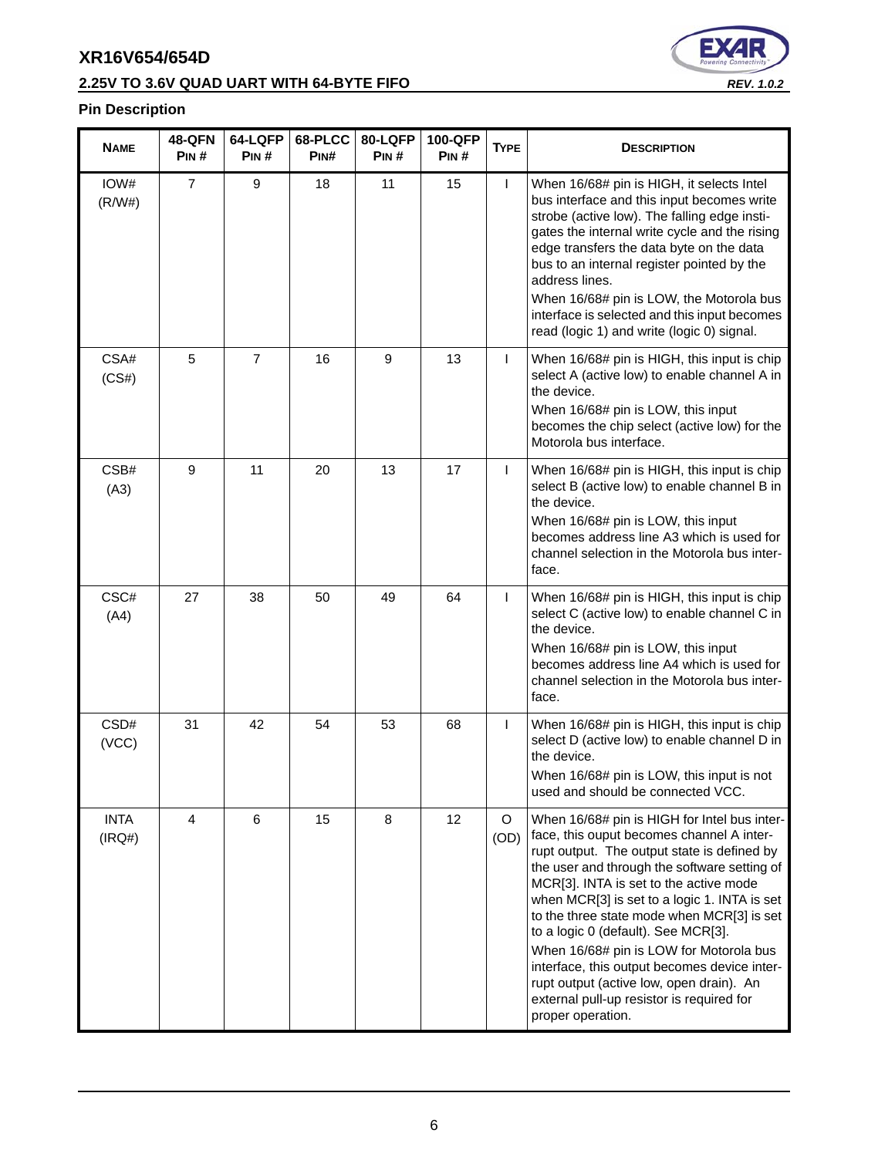# **2.25V TO 3.6V QUAD UART WITH 64-BYTE FIFO** *REV. 1.0.2*



| <b>NAME</b>           | <b>48-QFN</b><br>PIN# | 64-LQFP<br>PIN# | 68-PLCC<br>PIN# | 80-LQFP<br>Pin # | 100-QFP<br>PIN# | <b>TYPE</b>  | <b>DESCRIPTION</b>                                                                                                                                                                                                                                                                                                                                                                                                                                                                                                                                                               |
|-----------------------|-----------------------|-----------------|-----------------|------------------|-----------------|--------------|----------------------------------------------------------------------------------------------------------------------------------------------------------------------------------------------------------------------------------------------------------------------------------------------------------------------------------------------------------------------------------------------------------------------------------------------------------------------------------------------------------------------------------------------------------------------------------|
| IOW#<br>(R/W#)        | $\overline{7}$        | 9               | 18              | 11               | 15              | L            | When 16/68# pin is HIGH, it selects Intel<br>bus interface and this input becomes write<br>strobe (active low). The falling edge insti-<br>gates the internal write cycle and the rising<br>edge transfers the data byte on the data<br>bus to an internal register pointed by the<br>address lines.<br>When 16/68# pin is LOW, the Motorola bus<br>interface is selected and this input becomes<br>read (logic 1) and write (logic 0) signal.                                                                                                                                   |
| CSA#<br>(CS#)         | 5                     | $\overline{7}$  | 16              | 9                | 13              | T            | When 16/68# pin is HIGH, this input is chip<br>select A (active low) to enable channel A in<br>the device.<br>When 16/68# pin is LOW, this input<br>becomes the chip select (active low) for the<br>Motorola bus interface.                                                                                                                                                                                                                                                                                                                                                      |
| CSB#<br>(A3)          | 9                     | 11              | 20              | 13               | 17              | T            | When 16/68# pin is HIGH, this input is chip<br>select B (active low) to enable channel B in<br>the device.<br>When 16/68# pin is LOW, this input<br>becomes address line A3 which is used for<br>channel selection in the Motorola bus inter-<br>face.                                                                                                                                                                                                                                                                                                                           |
| CSC#<br>(A4)          | 27                    | 38              | 50              | 49               | 64              | $\mathsf{I}$ | When 16/68# pin is HIGH, this input is chip<br>select C (active low) to enable channel C in<br>the device.<br>When 16/68# pin is LOW, this input<br>becomes address line A4 which is used for<br>channel selection in the Motorola bus inter-<br>face.                                                                                                                                                                                                                                                                                                                           |
| CSD#<br>(VCC)         | 31                    | 42              | 54              | 53               | 68              | T            | When 16/68# pin is HIGH, this input is chip<br>select D (active low) to enable channel D in<br>the device.<br>When 16/68# pin is LOW, this input is not<br>used and should be connected VCC.                                                                                                                                                                                                                                                                                                                                                                                     |
| <b>INTA</b><br>(IRQ#) | 4                     | $\,6$           | 15              | 8                | 12              | O<br>(OD)    | When 16/68# pin is HIGH for Intel bus inter-<br>face, this ouput becomes channel A inter-<br>rupt output. The output state is defined by<br>the user and through the software setting of<br>MCR[3]. INTA is set to the active mode<br>when MCR[3] is set to a logic 1. INTA is set<br>to the three state mode when MCR[3] is set<br>to a logic 0 (default). See MCR[3].<br>When 16/68# pin is LOW for Motorola bus<br>interface, this output becomes device inter-<br>rupt output (active low, open drain). An<br>external pull-up resistor is required for<br>proper operation. |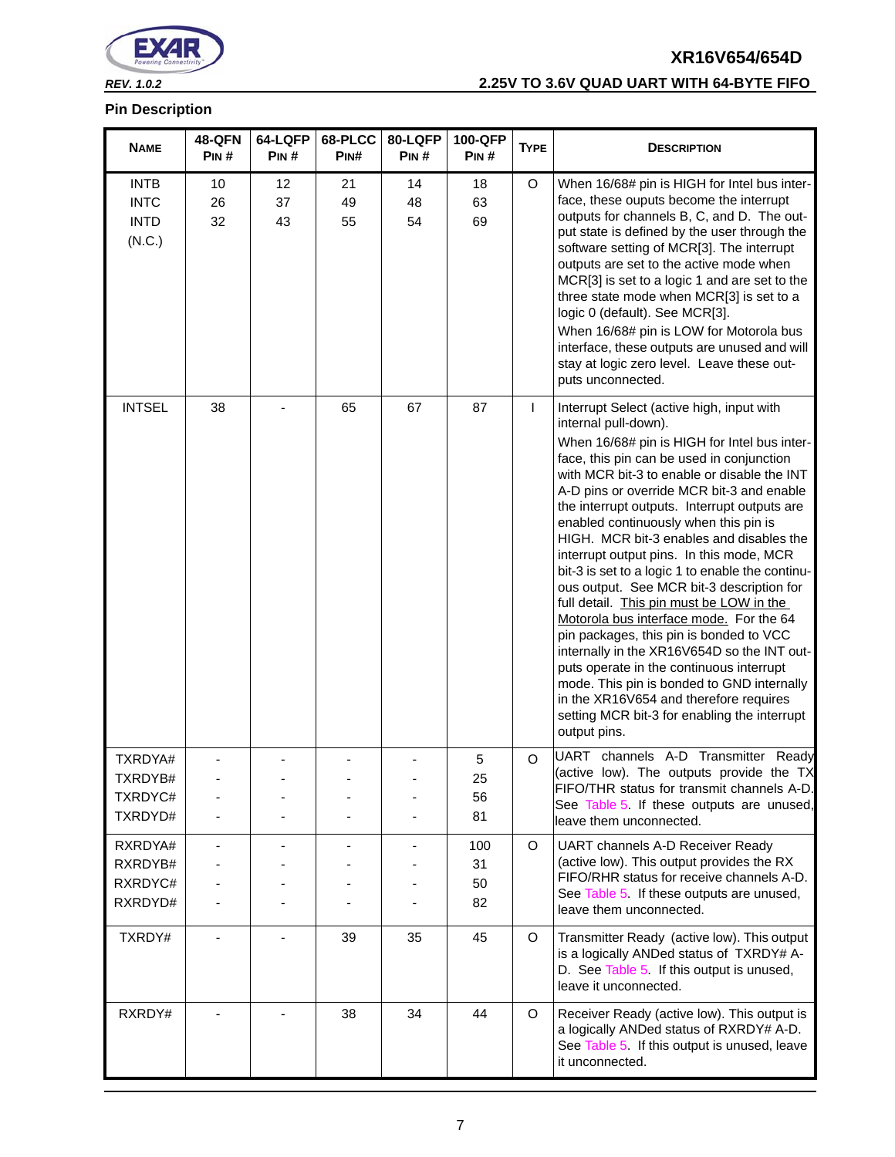

# *REV. 1.0.2* **2.25V TO 3.6V QUAD UART WITH 64-BYTE FIFO**

| <b>NAME</b>                                         | <b>48-QFN</b><br>PIN# | 64-LQFP<br>PIN# | 68-PLCC<br>PIN# | 80-LQFP<br>PIN# | 100-QFP<br>PIN#       | <b>TYPE</b> | <b>DESCRIPTION</b>                                                                                                                                                                                                                                                                                                                                                                                                                                                                                                                                                                                                                                                                                                                                                                                                                                                                                                                |
|-----------------------------------------------------|-----------------------|-----------------|-----------------|-----------------|-----------------------|-------------|-----------------------------------------------------------------------------------------------------------------------------------------------------------------------------------------------------------------------------------------------------------------------------------------------------------------------------------------------------------------------------------------------------------------------------------------------------------------------------------------------------------------------------------------------------------------------------------------------------------------------------------------------------------------------------------------------------------------------------------------------------------------------------------------------------------------------------------------------------------------------------------------------------------------------------------|
| <b>INTB</b><br><b>INTC</b><br><b>INTD</b><br>(N.C.) | 10<br>26<br>32        | 12<br>37<br>43  | 21<br>49<br>55  | 14<br>48<br>54  | 18<br>63<br>69        | $\circ$     | When 16/68# pin is HIGH for Intel bus inter-<br>face, these ouputs become the interrupt<br>outputs for channels B, C, and D. The out-<br>put state is defined by the user through the<br>software setting of MCR[3]. The interrupt<br>outputs are set to the active mode when<br>MCR[3] is set to a logic 1 and are set to the<br>three state mode when MCR[3] is set to a<br>logic 0 (default). See MCR[3].<br>When 16/68# pin is LOW for Motorola bus<br>interface, these outputs are unused and will<br>stay at logic zero level. Leave these out-<br>puts unconnected.                                                                                                                                                                                                                                                                                                                                                        |
| <b>INTSEL</b>                                       | 38                    |                 | 65              | 67              | 87                    | L           | Interrupt Select (active high, input with<br>internal pull-down).<br>When 16/68# pin is HIGH for Intel bus inter-<br>face, this pin can be used in conjunction<br>with MCR bit-3 to enable or disable the INT<br>A-D pins or override MCR bit-3 and enable<br>the interrupt outputs. Interrupt outputs are<br>enabled continuously when this pin is<br>HIGH. MCR bit-3 enables and disables the<br>interrupt output pins. In this mode, MCR<br>bit-3 is set to a logic 1 to enable the continu-<br>ous output. See MCR bit-3 description for<br>full detail. This pin must be LOW in the<br>Motorola bus interface mode. For the 64<br>pin packages, this pin is bonded to VCC<br>internally in the XR16V654D so the INT out-<br>puts operate in the continuous interrupt<br>mode. This pin is bonded to GND internally<br>in the XR16V654 and therefore requires<br>setting MCR bit-3 for enabling the interrupt<br>output pins. |
| TXRDYA#<br>TXRDYB#<br>TXRDYC#<br>TXRDYD#            |                       |                 |                 |                 | 5<br>25<br>56<br>81   | $\circ$     | UART channels A-D Transmitter Ready<br>(active low). The outputs provide the TX<br>FIFO/THR status for transmit channels A-D.<br>See Table 5. If these outputs are unused,<br>leave them unconnected.                                                                                                                                                                                                                                                                                                                                                                                                                                                                                                                                                                                                                                                                                                                             |
| RXRDYA#<br>RXRDYB#<br>RXRDYC#<br>RXRDYD#            |                       |                 |                 |                 | 100<br>31<br>50<br>82 | $\circ$     | UART channels A-D Receiver Ready<br>(active low). This output provides the RX<br>FIFO/RHR status for receive channels A-D.<br>See Table 5 If these outputs are unused,<br>leave them unconnected.                                                                                                                                                                                                                                                                                                                                                                                                                                                                                                                                                                                                                                                                                                                                 |
| TXRDY#                                              |                       |                 | 39              | 35              | 45                    | $\circ$     | Transmitter Ready (active low). This output<br>is a logically ANDed status of TXRDY# A-<br>D. See Table 5. If this output is unused,<br>leave it unconnected.                                                                                                                                                                                                                                                                                                                                                                                                                                                                                                                                                                                                                                                                                                                                                                     |
| RXRDY#                                              |                       |                 | 38              | 34              | 44                    | $\circ$     | Receiver Ready (active low). This output is<br>a logically ANDed status of RXRDY# A-D.<br>See Table 5 If this output is unused, leave<br>it unconnected.                                                                                                                                                                                                                                                                                                                                                                                                                                                                                                                                                                                                                                                                                                                                                                          |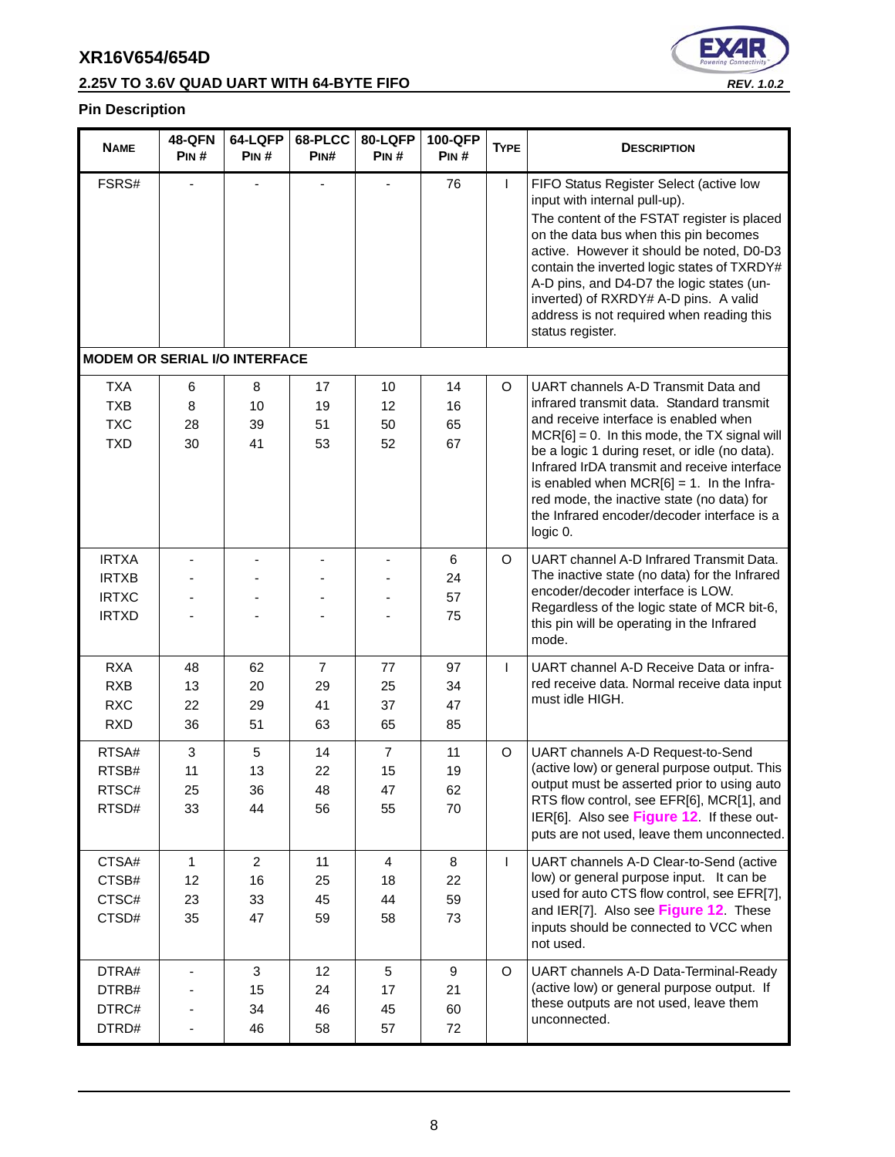# **2.25V TO 3.6V QUAD UART WITH 64-BYTE FIFO** *REV. 1.0.2*



| <b>NAME</b>                                                  | <b>48-QFN</b><br>PIN#          | 64-LQFP<br>PIN#                  | 68-PLCC<br>PINH                  | 80-LQFP<br>PIN#                  | 100-QFP<br>PIN#         | <b>TYPE</b> | <b>DESCRIPTION</b>                                                                                                                                                                                                                                                                                                                                                                                                                     |
|--------------------------------------------------------------|--------------------------------|----------------------------------|----------------------------------|----------------------------------|-------------------------|-------------|----------------------------------------------------------------------------------------------------------------------------------------------------------------------------------------------------------------------------------------------------------------------------------------------------------------------------------------------------------------------------------------------------------------------------------------|
| FSRS#                                                        |                                |                                  |                                  |                                  | 76                      | L           | FIFO Status Register Select (active low<br>input with internal pull-up).<br>The content of the FSTAT register is placed<br>on the data bus when this pin becomes<br>active. However it should be noted, D0-D3<br>contain the inverted logic states of TXRDY#<br>A-D pins, and D4-D7 the logic states (un-<br>inverted) of RXRDY# A-D pins. A valid<br>address is not required when reading this<br>status register.                    |
| <b>MODEM OR SERIAL I/O INTERFACE</b>                         |                                |                                  |                                  |                                  |                         |             |                                                                                                                                                                                                                                                                                                                                                                                                                                        |
| <b>TXA</b><br><b>TXB</b><br><b>TXC</b><br><b>TXD</b>         | 6<br>8<br>28<br>30             | 8<br>10<br>39<br>41              | 17<br>19<br>51<br>53             | 10<br>12<br>50<br>52             | 14<br>16<br>65<br>67    | $\circ$     | UART channels A-D Transmit Data and<br>infrared transmit data. Standard transmit<br>and receive interface is enabled when<br>$MCR[6] = 0$ . In this mode, the TX signal will<br>be a logic 1 during reset, or idle (no data).<br>Infrared IrDA transmit and receive interface<br>is enabled when $MCR[6] = 1$ . In the Infra-<br>red mode, the inactive state (no data) for<br>the Infrared encoder/decoder interface is a<br>logic 0. |
| <b>IRTXA</b><br><b>IRTXB</b><br><b>IRTXC</b><br><b>IRTXD</b> |                                |                                  |                                  |                                  | 6<br>24<br>57<br>75     | $\circ$     | UART channel A-D Infrared Transmit Data.<br>The inactive state (no data) for the Infrared<br>encoder/decoder interface is LOW.<br>Regardless of the logic state of MCR bit-6,<br>this pin will be operating in the Infrared<br>mode.                                                                                                                                                                                                   |
| <b>RXA</b><br><b>RXB</b><br><b>RXC</b><br><b>RXD</b>         | 48<br>13<br>22<br>36           | 62<br>20<br>29<br>51             | $\overline{7}$<br>29<br>41<br>63 | 77<br>25<br>37<br>65             | 97<br>34<br>47<br>85    | L           | UART channel A-D Receive Data or infra-<br>red receive data. Normal receive data input<br>must idle HIGH.                                                                                                                                                                                                                                                                                                                              |
| RTSA#<br>RTSB#<br>RTSC#<br>RTSD#                             | 3<br>11<br>25<br>33            | 5<br>13<br>36<br>44              | 14<br>22<br>48<br>56             | $\overline{7}$<br>15<br>47<br>55 | 11<br>19<br>62<br>70    | $\circ$     | UART channels A-D Request-to-Send<br>(active low) or general purpose output. This<br>output must be asserted prior to using auto<br>RTS flow control, see EFR[6], MCR[1], and<br>IER[6]. Also see Figure 12. If these out-<br>puts are not used, leave them unconnected.                                                                                                                                                               |
| CTSA#<br>CTSB#<br>CTSC#<br>CTSD#                             | $\mathbf{1}$<br>12<br>23<br>35 | $\overline{2}$<br>16<br>33<br>47 | 11<br>25<br>45<br>59             | 4<br>18<br>44<br>58              | 8<br>22<br>59<br>73     | L           | UART channels A-D Clear-to-Send (active<br>low) or general purpose input. It can be<br>used for auto CTS flow control, see EFR[7],<br>and IER[7]. Also see Figure 12. These<br>inputs should be connected to VCC when<br>not used.                                                                                                                                                                                                     |
| DTRA#<br>DTRB#<br>DTRC#<br>DTRD#                             |                                | $\mathbf{3}$<br>15<br>34<br>46   | 12<br>24<br>46<br>58             | $\sqrt{5}$<br>17<br>45<br>57     | $9\,$<br>21<br>60<br>72 | $\circ$     | UART channels A-D Data-Terminal-Ready<br>(active low) or general purpose output. If<br>these outputs are not used, leave them<br>unconnected.                                                                                                                                                                                                                                                                                          |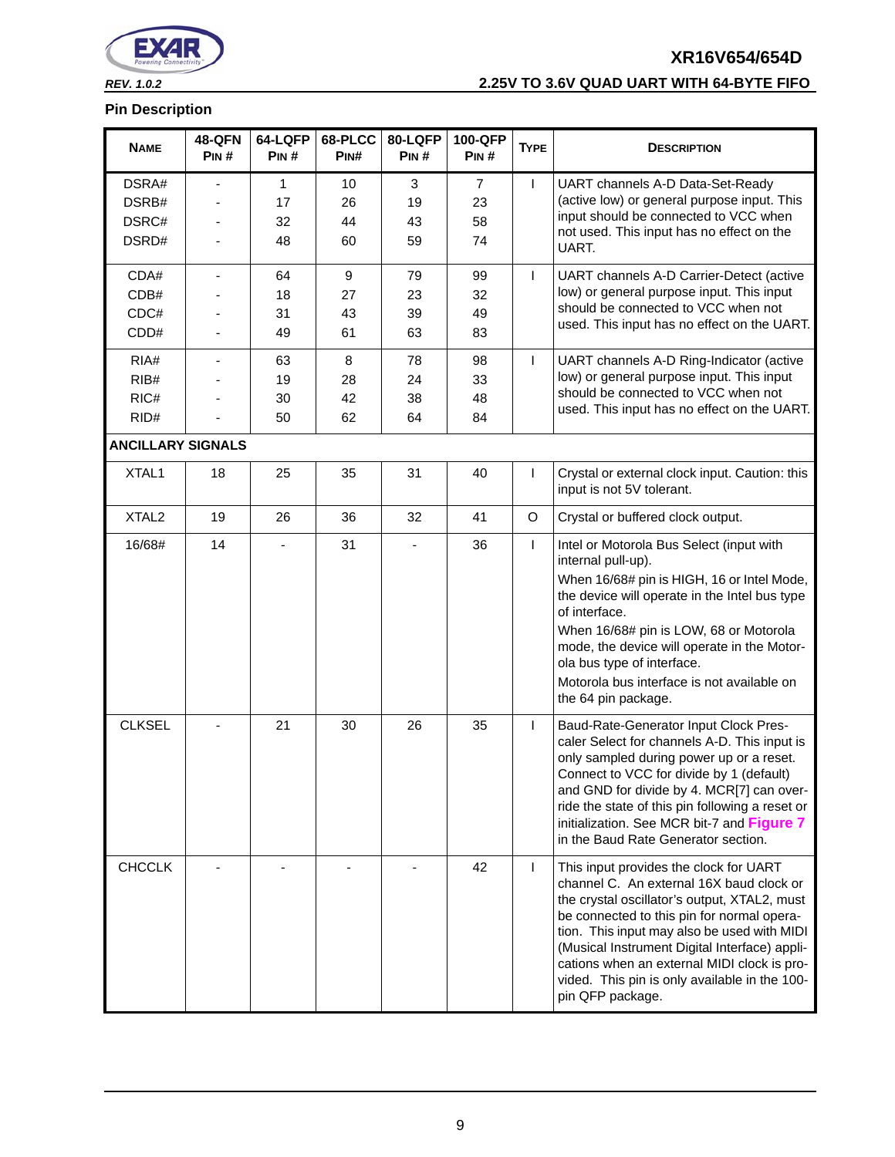

# *REV. 1.0.2* **2.25V TO 3.6V QUAD UART WITH 64-BYTE FIFO**

| <b>NAME</b>              | <b>48-QFN</b><br>PIN#    | 64-LQFP<br>PIN# | 68-PLCC<br>PIN#  | 80-LQFP<br>PIN# | 100-QFP<br>PIN# | <b>TYPE</b>  | <b>DESCRIPTION</b>                                                                                                                                                                                                                                                                                                                                                                                   |
|--------------------------|--------------------------|-----------------|------------------|-----------------|-----------------|--------------|------------------------------------------------------------------------------------------------------------------------------------------------------------------------------------------------------------------------------------------------------------------------------------------------------------------------------------------------------------------------------------------------------|
| DSRA#                    |                          | $\mathbf{1}$    | 10               | 3               | $\overline{7}$  | L            | UART channels A-D Data-Set-Ready                                                                                                                                                                                                                                                                                                                                                                     |
| DSRB#                    |                          | 17              | 26               | 19              | 23              |              | (active low) or general purpose input. This<br>input should be connected to VCC when                                                                                                                                                                                                                                                                                                                 |
| DSRC#                    |                          | 32              | 44               | 43              | 58              |              | not used. This input has no effect on the                                                                                                                                                                                                                                                                                                                                                            |
| DSRD#                    |                          | 48              | 60               | 59              | 74              |              | UART.                                                                                                                                                                                                                                                                                                                                                                                                |
| CDA#                     | $\overline{\phantom{0}}$ | 64              | $\boldsymbol{9}$ | 79              | 99              | T            | UART channels A-D Carrier-Detect (active                                                                                                                                                                                                                                                                                                                                                             |
| CDB#                     |                          | 18              | 27               | 23              | 32              |              | low) or general purpose input. This input<br>should be connected to VCC when not                                                                                                                                                                                                                                                                                                                     |
| CDC#                     |                          | 31              | 43               | 39              | 49              |              | used. This input has no effect on the UART.                                                                                                                                                                                                                                                                                                                                                          |
| CDD#                     |                          | 49              | 61               | 63              | 83              |              |                                                                                                                                                                                                                                                                                                                                                                                                      |
| RIA#                     |                          | 63              | 8                | 78              | 98              | L            | UART channels A-D Ring-Indicator (active                                                                                                                                                                                                                                                                                                                                                             |
| RIB#                     |                          | 19              | 28               | 24              | 33              |              | low) or general purpose input. This input<br>should be connected to VCC when not                                                                                                                                                                                                                                                                                                                     |
| RIC#                     |                          | 30              | 42               | 38              | 48              |              | used. This input has no effect on the UART.                                                                                                                                                                                                                                                                                                                                                          |
| RID#                     |                          | 50              | 62               | 64              | 84              |              |                                                                                                                                                                                                                                                                                                                                                                                                      |
| <b>ANCILLARY SIGNALS</b> |                          |                 |                  |                 |                 |              |                                                                                                                                                                                                                                                                                                                                                                                                      |
| XTAL1                    | 18                       | 25              | 35               | 31              | 40              | T            | Crystal or external clock input. Caution: this<br>input is not 5V tolerant.                                                                                                                                                                                                                                                                                                                          |
| XTAL <sub>2</sub>        | 19                       | 26              | 36               | 32              | 41              | O            | Crystal or buffered clock output.                                                                                                                                                                                                                                                                                                                                                                    |
| 16/68#                   | 14                       |                 | 31               |                 | 36              | L            | Intel or Motorola Bus Select (input with<br>internal pull-up).<br>When 16/68# pin is HIGH, 16 or Intel Mode,<br>the device will operate in the Intel bus type<br>of interface.<br>When 16/68# pin is LOW, 68 or Motorola<br>mode, the device will operate in the Motor-<br>ola bus type of interface.                                                                                                |
|                          |                          |                 |                  |                 |                 |              | Motorola bus interface is not available on<br>the 64 pin package.                                                                                                                                                                                                                                                                                                                                    |
| <b>CLKSEL</b>            |                          | 21              | 30               | 26              | 35              | L            | Baud-Rate-Generator Input Clock Pres-<br>caler Select for channels A-D. This input is<br>only sampled during power up or a reset.<br>Connect to VCC for divide by 1 (default)<br>and GND for divide by 4. MCR[7] can over-<br>ride the state of this pin following a reset or<br>initialization. See MCR bit-7 and Figure 7<br>in the Baud Rate Generator section.                                   |
| <b>CHCCLK</b>            |                          |                 |                  |                 | 42              | $\mathbf{L}$ | This input provides the clock for UART<br>channel C. An external 16X baud clock or<br>the crystal oscillator's output, XTAL2, must<br>be connected to this pin for normal opera-<br>tion. This input may also be used with MIDI<br>(Musical Instrument Digital Interface) appli-<br>cations when an external MIDI clock is pro-<br>vided. This pin is only available in the 100-<br>pin QFP package. |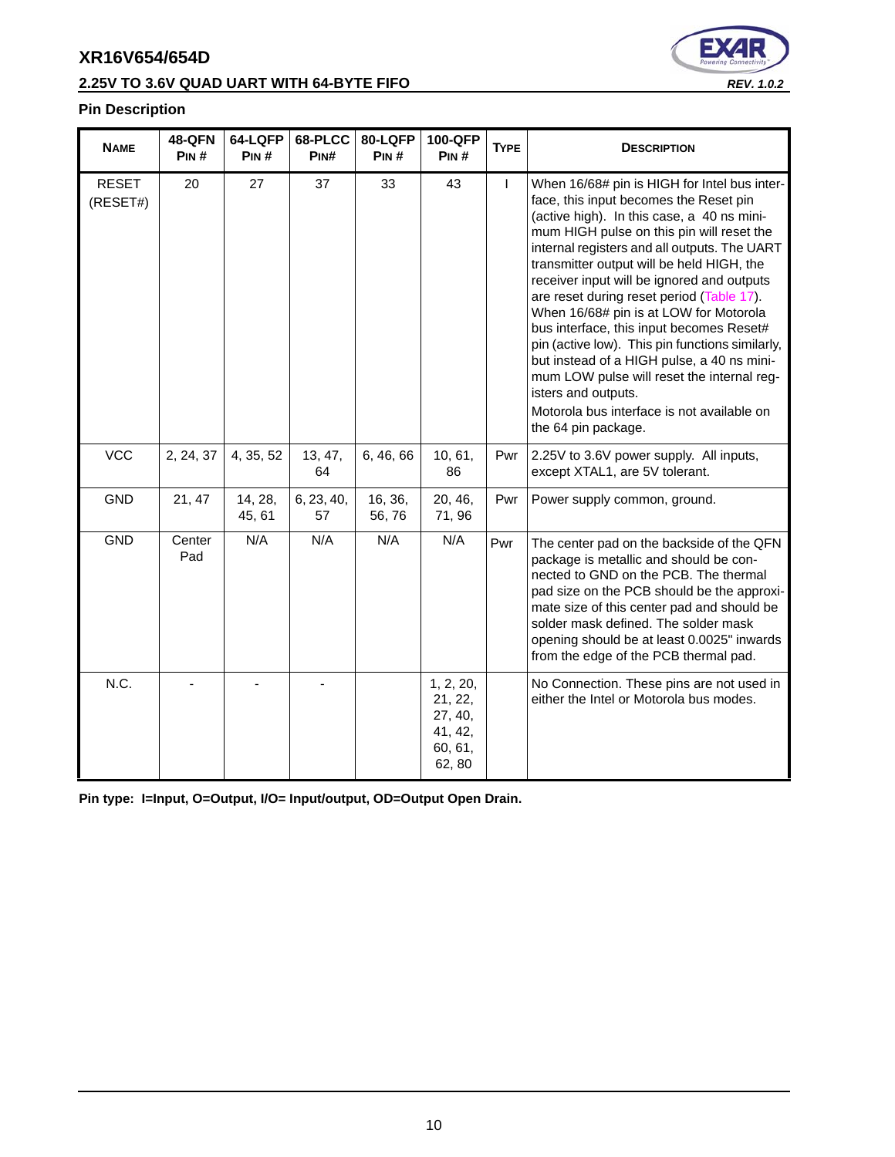# **2.25V TO 3.6V QUAD UART WITH 64-BYTE FIFO** *REV. 1.0.2*



#### **Pin Description**

| <b>NAME</b>              | <b>48-QFN</b><br>PIN# | 64-LQFP<br>PIN#   | 68-PLCC<br>PIN#  | 80-LQFP<br>PIN#  | 100-QFP<br>PIN#                                                 | <b>TYPE</b> | <b>DESCRIPTION</b>                                                                                                                                                                                                                                                                                                                                                                                                                                                                                                                                                                                                                                                                                         |
|--------------------------|-----------------------|-------------------|------------------|------------------|-----------------------------------------------------------------|-------------|------------------------------------------------------------------------------------------------------------------------------------------------------------------------------------------------------------------------------------------------------------------------------------------------------------------------------------------------------------------------------------------------------------------------------------------------------------------------------------------------------------------------------------------------------------------------------------------------------------------------------------------------------------------------------------------------------------|
| <b>RESET</b><br>(RESET#) | 20                    | 27                | 37               | 33               | 43                                                              | L           | When 16/68# pin is HIGH for Intel bus inter-<br>face, this input becomes the Reset pin<br>(active high). In this case, a 40 ns mini-<br>mum HIGH pulse on this pin will reset the<br>internal registers and all outputs. The UART<br>transmitter output will be held HIGH, the<br>receiver input will be ignored and outputs<br>are reset during reset period (Table 17).<br>When 16/68# pin is at LOW for Motorola<br>bus interface, this input becomes Reset#<br>pin (active low). This pin functions similarly,<br>but instead of a HIGH pulse, a 40 ns mini-<br>mum LOW pulse will reset the internal reg-<br>isters and outputs.<br>Motorola bus interface is not available on<br>the 64 pin package. |
| <b>VCC</b>               | 2, 24, 37             | 4, 35, 52         | 13, 47,<br>64    | 6, 46, 66        | 10, 61,<br>86                                                   | Pwr         | 2.25V to 3.6V power supply. All inputs,<br>except XTAL1, are 5V tolerant.                                                                                                                                                                                                                                                                                                                                                                                                                                                                                                                                                                                                                                  |
| <b>GND</b>               | 21, 47                | 14, 28,<br>45, 61 | 6, 23, 40,<br>57 | 16, 36,<br>56,76 | 20, 46,<br>71,96                                                | Pwr         | Power supply common, ground.                                                                                                                                                                                                                                                                                                                                                                                                                                                                                                                                                                                                                                                                               |
| <b>GND</b>               | Center<br>Pad         | N/A               | N/A              | N/A              | N/A                                                             | Pwr         | The center pad on the backside of the QFN<br>package is metallic and should be con-<br>nected to GND on the PCB. The thermal<br>pad size on the PCB should be the approxi-<br>mate size of this center pad and should be<br>solder mask defined. The solder mask<br>opening should be at least 0.0025" inwards<br>from the edge of the PCB thermal pad.                                                                                                                                                                                                                                                                                                                                                    |
| N.C.                     |                       |                   |                  |                  | 1, 2, 20,<br>21, 22,<br>27, 40,<br>41, 42,<br>60, 61,<br>62, 80 |             | No Connection. These pins are not used in<br>either the Intel or Motorola bus modes.                                                                                                                                                                                                                                                                                                                                                                                                                                                                                                                                                                                                                       |

**Pin type: I=Input, O=Output, I/O= Input/output, OD=Output Open Drain.**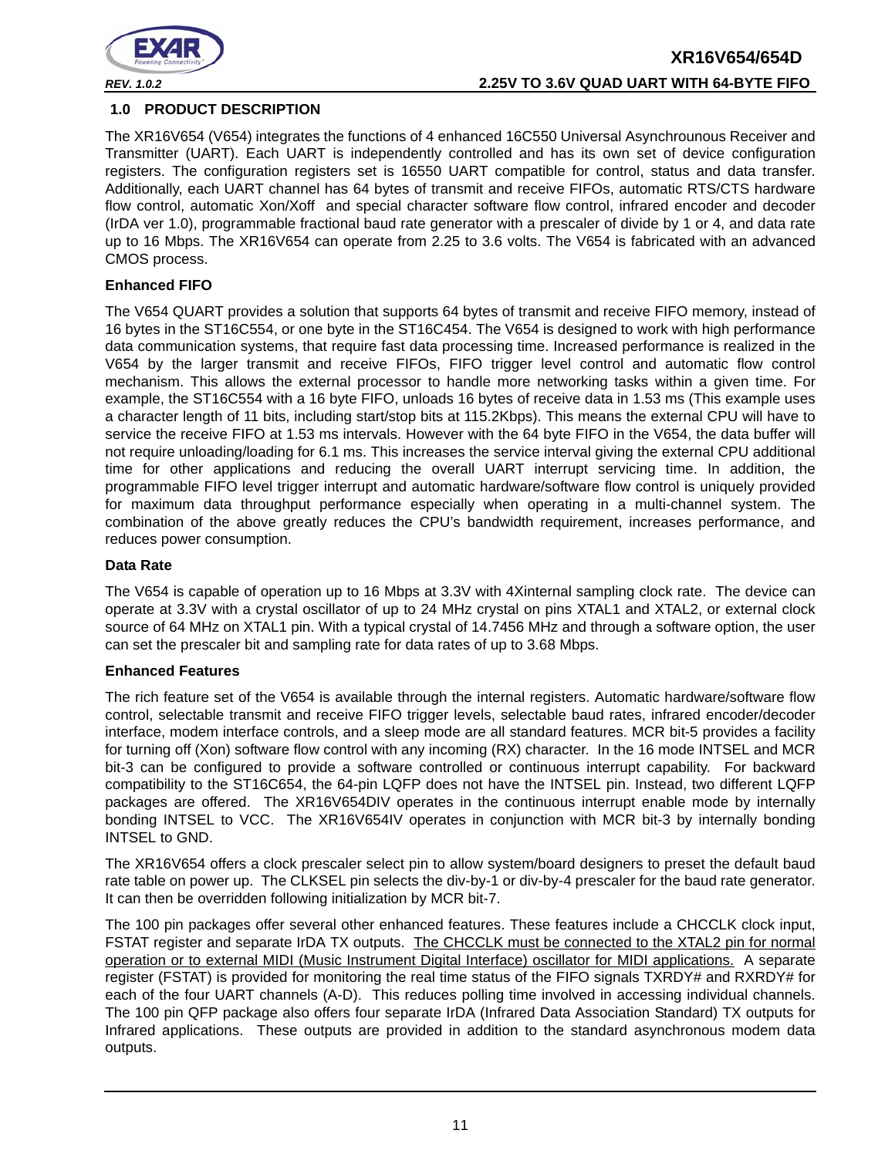

#### <span id="page-10-0"></span>**1.0 PRODUCT DESCRIPTION**

The XR16V654 (V654) integrates the functions of 4 enhanced 16C550 Universal Asynchrounous Receiver and Transmitter (UART). Each UART is independently controlled and has its own set of device configuration registers. The configuration registers set is 16550 UART compatible for control, status and data transfer. Additionally, each UART channel has 64 bytes of transmit and receive FIFOs, automatic RTS/CTS hardware flow control, automatic Xon/Xoff and special character software flow control, infrared encoder and decoder (IrDA ver 1.0), programmable fractional baud rate generator with a prescaler of divide by 1 or 4, and data rate up to 16 Mbps. The XR16V654 can operate from 2.25 to 3.6 volts. The V654 is fabricated with an advanced CMOS process.

#### **Enhanced FIFO**

The V654 QUART provides a solution that supports 64 bytes of transmit and receive FIFO memory, instead of 16 bytes in the ST16C554, or one byte in the ST16C454. The V654 is designed to work with high performance data communication systems, that require fast data processing time. Increased performance is realized in the V654 by the larger transmit and receive FIFOs, FIFO trigger level control and automatic flow control mechanism. This allows the external processor to handle more networking tasks within a given time. For example, the ST16C554 with a 16 byte FIFO, unloads 16 bytes of receive data in 1.53 ms (This example uses a character length of 11 bits, including start/stop bits at 115.2Kbps). This means the external CPU will have to service the receive FIFO at 1.53 ms intervals. However with the 64 byte FIFO in the V654, the data buffer will not require unloading/loading for 6.1 ms. This increases the service interval giving the external CPU additional time for other applications and reducing the overall UART interrupt servicing time. In addition, the programmable FIFO level trigger interrupt and automatic hardware/software flow control is uniquely provided for maximum data throughput performance especially when operating in a multi-channel system. The combination of the above greatly reduces the CPU's bandwidth requirement, increases performance, and reduces power consumption.

#### **Data Rate**

The V654 is capable of operation up to 16 Mbps at 3.3V with 4Xinternal sampling clock rate. The device can operate at 3.3V with a crystal oscillator of up to 24 MHz crystal on pins XTAL1 and XTAL2, or external clock source of 64 MHz on XTAL1 pin. With a typical crystal of 14.7456 MHz and through a software option, the user can set the prescaler bit and sampling rate for data rates of up to 3.68 Mbps.

#### **Enhanced Features**

The rich feature set of the V654 is available through the internal registers. Automatic hardware/software flow control, selectable transmit and receive FIFO trigger levels, selectable baud rates, infrared encoder/decoder interface, modem interface controls, and a sleep mode are all standard features. MCR bit-5 provides a facility for turning off (Xon) software flow control with any incoming (RX) character. In the 16 mode INTSEL and MCR bit-3 can be configured to provide a software controlled or continuous interrupt capability. For backward compatibility to the ST16C654, the 64-pin LQFP does not have the INTSEL pin. Instead, two different LQFP packages are offered. The XR16V654DIV operates in the continuous interrupt enable mode by internally bonding INTSEL to VCC. The XR16V654IV operates in conjunction with MCR bit-3 by internally bonding INTSEL to GND.

The XR16V654 offers a clock prescaler select pin to allow system/board designers to preset the default baud rate table on power up. The CLKSEL pin selects the div-by-1 or div-by-4 prescaler for the baud rate generator. It can then be overridden following initialization by MCR bit-7.

The 100 pin packages offer several other enhanced features. These features include a CHCCLK clock input, FSTAT register and separate IrDA TX outputs. The CHCCLK must be connected to the XTAL2 pin for normal operation or to external MIDI (Music Instrument Digital Interface) oscillator for MIDI applications. A separate register (FSTAT) is provided for monitoring the real time status of the FIFO signals TXRDY# and RXRDY# for each of the four UART channels (A-D). This reduces polling time involved in accessing individual channels. The 100 pin QFP package also offers four separate IrDA (Infrared Data Association Standard) TX outputs for Infrared applications. These outputs are provided in addition to the standard asynchronous modem data outputs.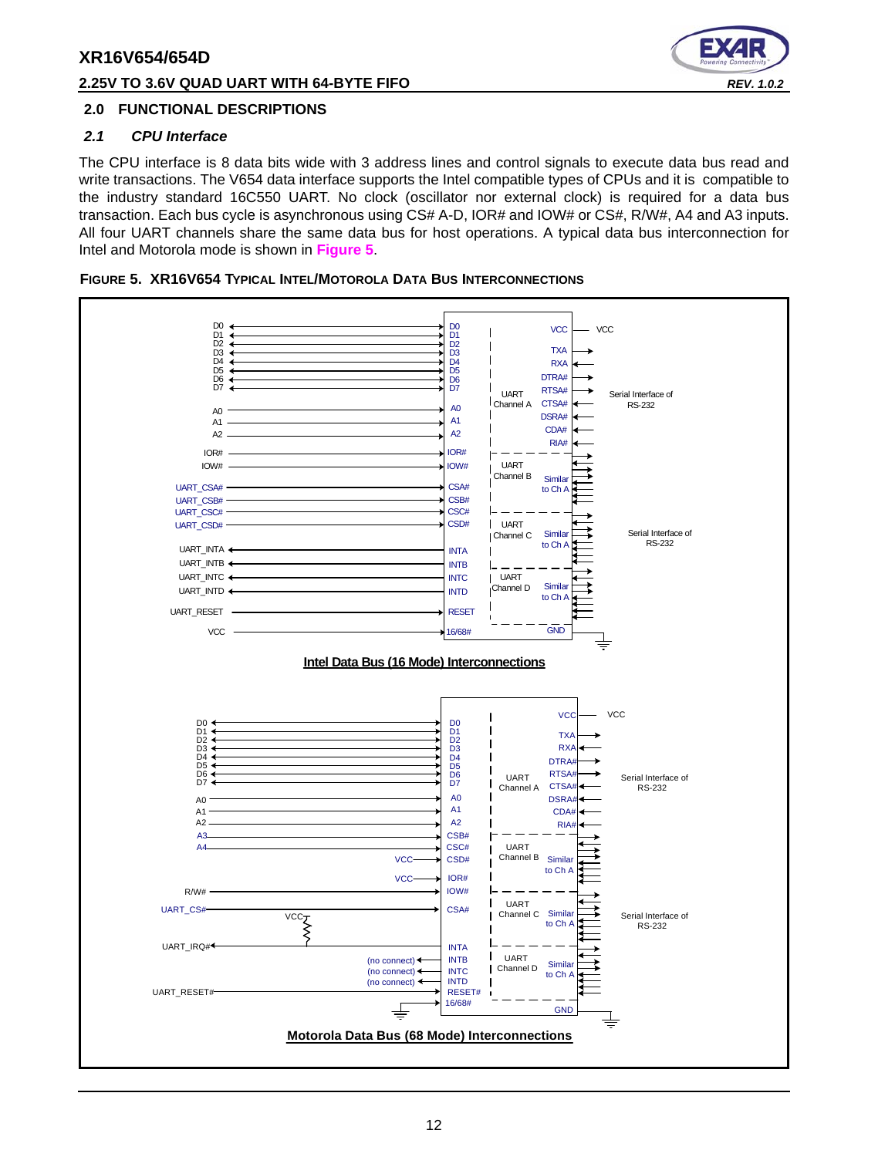#### **2.25V TO 3.6V QUAD UART WITH 64-BYTE FIFO** *REV. 1.0.2*



#### <span id="page-11-1"></span>**2.0 FUNCTIONAL DESCRIPTIONS**

#### <span id="page-11-2"></span>*2.1 CPU Interface*

The CPU interface is 8 data bits wide with 3 address lines and control signals to execute data bus read and write transactions. The V654 data interface supports the Intel compatible types of CPUs and it is compatible to the industry standard 16C550 UART. No clock (oscillator nor external clock) is required for a data bus transaction. Each bus cycle is asynchronous using CS# A-D, IOR# and IOW# or CS#, R/W#, A4 and A3 inputs. All four UART channels share the same data bus for host operations. A typical data bus interconnection for Intel and Motorola mode is shown in **[Figure](#page-11-0) 5**.

<span id="page-11-0"></span>

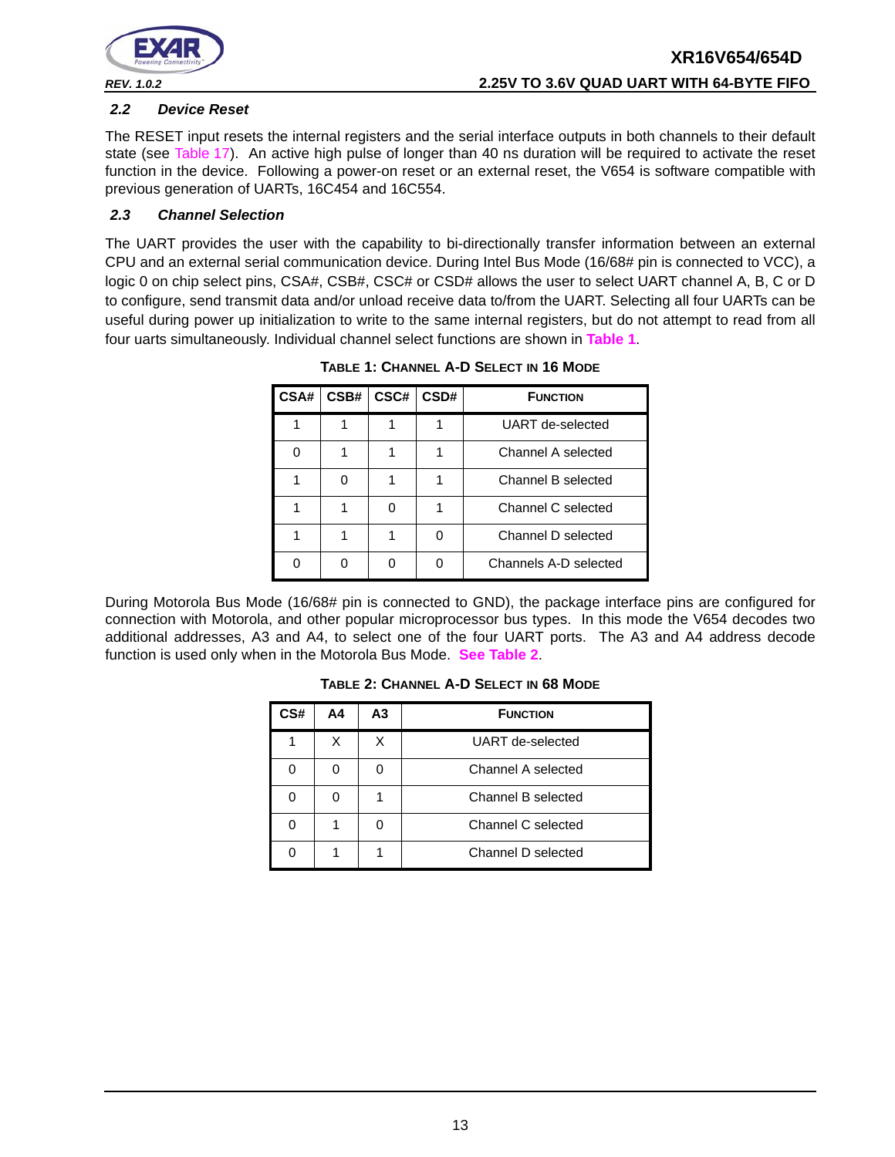

#### <span id="page-12-2"></span>*2.2 Device Reset*

The RESET input resets the internal registers and the serial interface outputs in both channels to their default state (see [Table](#page-40-0) 17). An active high pulse of longer than 40 ns duration will be required to activate the reset function in the device. Following a power-on reset or an external reset, the V654 is software compatible with previous generation of UARTs, 16C454 and 16C554.

#### <span id="page-12-3"></span>*2.3 Channel Selection*

<span id="page-12-0"></span>The UART provides the user with the capability to bi-directionally transfer information between an external CPU and an external serial communication device. During Intel Bus Mode (16/68# pin is connected to VCC), a logic 0 on chip select pins, CSA#, CSB#, CSC# or CSD# allows the user to select UART channel A, B, C or D to configure, send transmit data and/or unload receive data to/from the UART. Selecting all four UARTs can be useful during power up initialization to write to the same internal registers, but do not attempt to read from all four uarts simultaneously. Individual channel select functions are shown in **[Table](#page-12-0) 1**.

| CSA# | CSB# | CSC# | CSD# | <b>FUNCTION</b>       |
|------|------|------|------|-----------------------|
|      |      |      |      | UART de-selected      |
|      |      |      |      | Channel A selected    |
|      | ∩    |      |      | Channel B selected    |
|      |      |      |      | Channel C selected    |
|      |      |      |      | Channel D selected    |
|      |      |      |      | Channels A-D selected |

**TABLE 1: CHANNEL A-D SELECT IN 16 MODE**

<span id="page-12-1"></span>During Motorola Bus Mode (16/68# pin is connected to GND), the package interface pins are configured for connection with Motorola, and other popular microprocessor bus types. In this mode the V654 decodes two additional addresses, A3 and A4, to select one of the four UART ports. The A3 and A4 address decode function is used only when in the Motorola Bus Mode. **[See Table](#page-12-1) 2**.

| CS# | Α4 | А3 | <b>FUNCTION</b>    |  |
|-----|----|----|--------------------|--|
|     |    | х  | UART de-selected   |  |
|     |    |    | Channel A selected |  |
|     |    |    | Channel B selected |  |
|     |    |    | Channel C selected |  |
|     |    |    | Channel D selected |  |

**TABLE 2: CHANNEL A-D SELECT IN 68 MODE**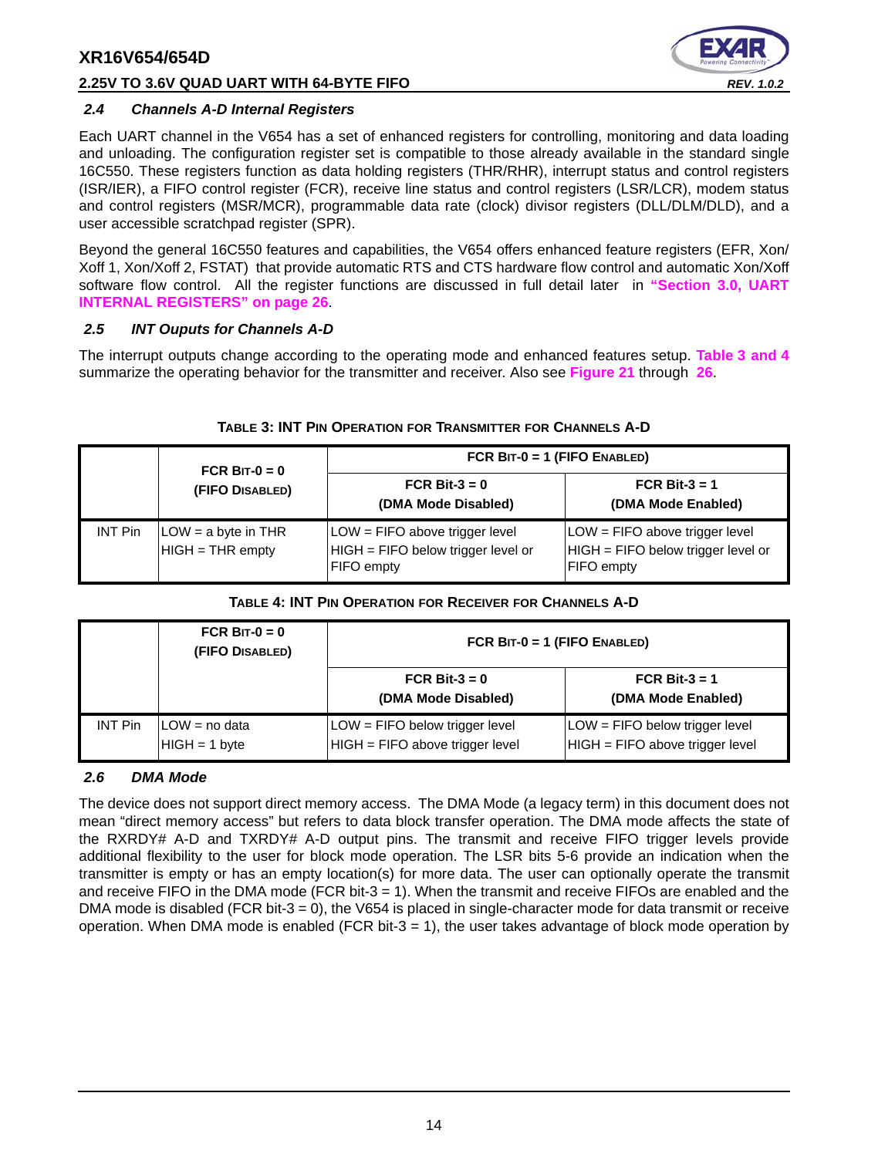#### **2.25V TO 3.6V QUAD UART WITH 64-BYTE FIFO** *REV. 1.0.2*



#### <span id="page-13-2"></span>*2.4 Channels A-D Internal Registers*

Each UART channel in the V654 has a set of enhanced registers for controlling, monitoring and data loading and unloading. The configuration register set is compatible to those already available in the standard single 16C550. These registers function as data holding registers (THR/RHR), interrupt status and control registers (ISR/IER), a FIFO control register (FCR), receive line status and control registers (LSR/LCR), modem status and control registers (MSR/MCR), programmable data rate (clock) divisor registers (DLL/DLM/DLD), and a user accessible scratchpad register (SPR).

Beyond the general 16C550 features and capabilities, the V654 offers enhanced feature registers (EFR, Xon/ Xoff 1, Xon/Xoff 2, FSTAT) that provide automatic RTS and CTS hardware flow control and automatic Xon/Xoff software flow control. All the register functions are discussed in full detail later in **["Section 3.0, UART](#page-25-0) [INTERNAL REGISTERS" on page](#page-25-0) 26**.

#### <span id="page-13-3"></span>*2.5 INT Ouputs for Channels A-D*

The interrupt outputs change according to the operating mode and enhanced features setup. **[Table](#page-13-0) 3 [and](#page-13-1) 4** summarize the operating behavior for the transmitter and receiver. Also see **[Figure](#page-46-0) 21** through **[26](#page-49-0)**.

<span id="page-13-0"></span>

|                | FCR BIT- $0 = 0$                          | FCR $BIT-0 = 1$ (FIFO ENABLED)                                                            |                                                                                               |
|----------------|-------------------------------------------|-------------------------------------------------------------------------------------------|-----------------------------------------------------------------------------------------------|
|                | (FIFO DISABLED)                           | FCR Bit-3 = $0$<br>(DMA Mode Disabled)                                                    | FCR Bit-3 = 1<br>(DMA Mode Enabled)                                                           |
| <b>INT Pin</b> | $LOW = a$ byte in THR<br>HIGH = THR empty | LOW = FIFO above trigger level<br>HIGH = FIFO below trigger level or<br><b>FIFO</b> empty | $LOW = FIFO$ above trigger level<br>$HIGH = FIFO$ below trigger level or<br><b>FIFO</b> empty |

#### **TABLE 3: INT PIN OPERATION FOR TRANSMITTER FOR CHANNELS A-D**

#### **TABLE 4: INT PIN OPERATION FOR RECEIVER FOR CHANNELS A-D**

<span id="page-13-1"></span>

|                | FCR BIT- $0 = 0$<br>(FIFO DISABLED) | FCR $BIT-0 = 1$ (FIFO ENABLED)                                    |                                                                     |  |  |
|----------------|-------------------------------------|-------------------------------------------------------------------|---------------------------------------------------------------------|--|--|
|                |                                     | FCR Bit-3 = $0$<br>(DMA Mode Disabled)                            | FCR Bit- $3 = 1$<br>(DMA Mode Enabled)                              |  |  |
| <b>INT Pin</b> | ILOW = no data<br>$HIGH = 1 byte$   | LOW = FIFO below trigger level<br>HIGH = FIFO above trigger level | $LOW = FIFO$ below trigger level<br>HIGH = FIFO above trigger level |  |  |

#### <span id="page-13-4"></span>*2.6 DMA Mode*

The device does not support direct memory access. The DMA Mode (a legacy term) in this document does not mean "direct memory access" but refers to data block transfer operation. The DMA mode affects the state of the RXRDY# A-D and TXRDY# A-D output pins. The transmit and receive FIFO trigger levels provide additional flexibility to the user for block mode operation. The LSR bits 5-6 provide an indication when the transmitter is empty or has an empty location(s) for more data. The user can optionally operate the transmit and receive FIFO in the DMA mode (FCR bit-3 = 1). When the transmit and receive FIFOs are enabled and the DMA mode is disabled (FCR bit-3 = 0), the V654 is placed in single-character mode for data transmit or receive operation. When DMA mode is enabled (FCR bit-3  $=$  1), the user takes advantage of block mode operation by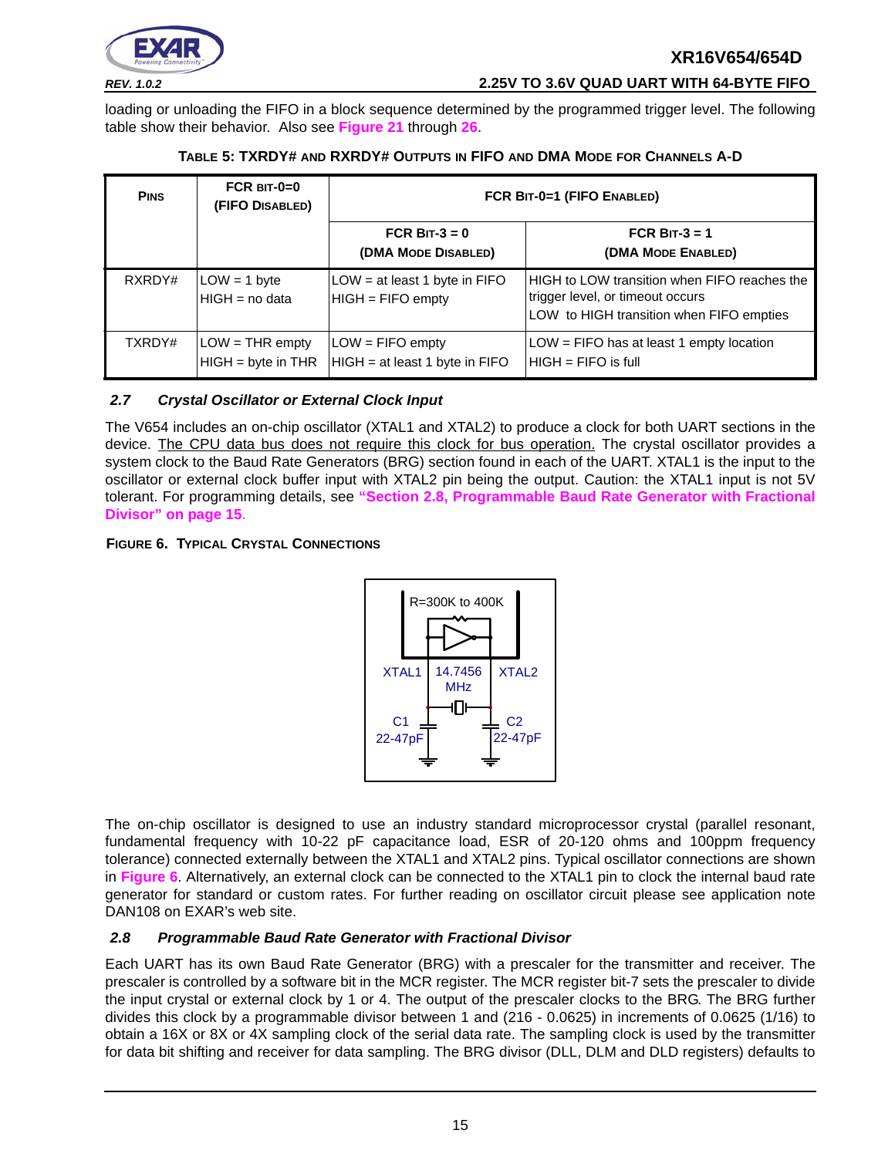

*REV. 1.0.2* **2.25V TO 3.6V QUAD UART WITH 64-BYTE FIFO**

loading or unloading the FIFO in a block sequence determined by the programmed trigger level. The following table show their behavior. Also see **[Figure](#page-46-0) 21** through **[26](#page-49-0)**.

<span id="page-14-0"></span>

| <b>PINS</b> | FCR $BIT-0=0$<br>(FIFO DISABLED)        | FCR BIT-0=1 (FIFO ENABLED)                           |                                                                                                                              |  |
|-------------|-----------------------------------------|------------------------------------------------------|------------------------------------------------------------------------------------------------------------------------------|--|
|             |                                         | FCR BIT- $3 = 0$<br>(DMA MODE DISABLED)              | FCR BIT-3 = $1$<br>(DMA MODE ENABLED)                                                                                        |  |
| RXRDY#      | $LOW = 1$ byte<br>HIGH = no data        | LOW = at least 1 byte in FIFO<br>$HIGH = FIFO$ empty | HIGH to LOW transition when FIFO reaches the<br>trigger level, or timeout occurs<br>LOW to HIGH transition when FIFO empties |  |
| TXRDY#      | $LOW = THE empty$<br>HIGH = byte in THR | $LOW = FIFO$ empty<br>HIGH = at least 1 byte in FIFO | $LOW = FIFO$ has at least 1 empty location<br>$HHGH = FIFA$ is full                                                          |  |

#### **TABLE 5: TXRDY# AND RXRDY# OUTPUTS IN FIFO AND DMA MODE FOR CHANNELS A-D**

#### <span id="page-14-3"></span>*2.7 Crystal Oscillator or External Clock Input*

The V654 includes an on-chip oscillator (XTAL1 and XTAL2) to produce a clock for both UART sections in the device. The CPU data bus does not require this clock for bus operation. The crystal oscillator provides a system clock to the Baud Rate Generators (BRG) section found in each of the UART. XTAL1 is the input to the oscillator or external clock buffer input with XTAL2 pin being the output. Caution: the XTAL1 input is not 5V tolerant. For programming details, see **["Section 2.8, Programmable Baud Rate Generator with Fractional](#page-14-1) [Divisor" on page](#page-14-1) 15**.

#### <span id="page-14-2"></span>**FIGURE 6. TYPICAL CRYSTAL CONNECTIONS**



The on-chip oscillator is designed to use an industry standard microprocessor crystal (parallel resonant, fundamental frequency with 10-22 pF capacitance load, ESR of 20-120 ohms and 100ppm frequency tolerance) connected externally between the XTAL1 and XTAL2 pins. Typical oscillator connections are shown in **[Figure](#page-14-2) 6**. Alternatively, an external clock can be connected to the XTAL1 pin to clock the internal baud rate generator for standard or custom rates. For further reading on oscillator circuit please see application note DAN108 on EXAR's web site.

#### <span id="page-14-1"></span>*2.8 Programmable Baud Rate Generator with Fractional Divisor*

Each UART has its own Baud Rate Generator (BRG) with a prescaler for the transmitter and receiver. The prescaler is controlled by a software bit in the MCR register. The MCR register bit-7 sets the prescaler to divide the input crystal or external clock by 1 or 4. The output of the prescaler clocks to the BRG. The BRG further divides this clock by a programmable divisor between 1 and (216 - 0.0625) in increments of 0.0625 (1/16) to obtain a 16X or 8X or 4X sampling clock of the serial data rate. The sampling clock is used by the transmitter for data bit shifting and receiver for data sampling. The BRG divisor (DLL, DLM and DLD registers) defaults to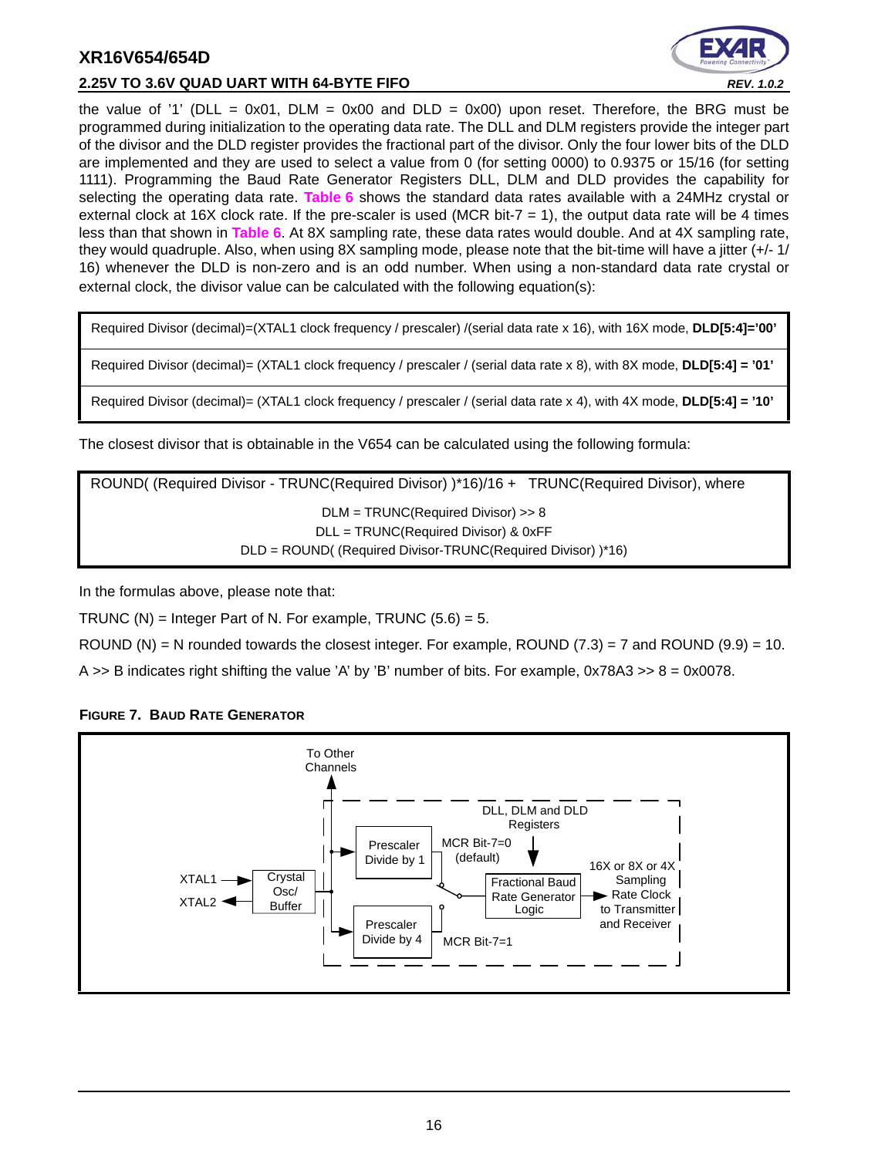

#### **2.25V TO 3.6V QUAD UART WITH 64-BYTE FIFO** *REV. 1.0.2*

the value of '1' (DLL = 0x01, DLM = 0x00 and DLD = 0x00) upon reset. Therefore, the BRG must be programmed during initialization to the operating data rate. The DLL and DLM registers provide the integer part of the divisor and the DLD register provides the fractional part of the divisor. Only the four lower bits of the DLD are implemented and they are used to select a value from 0 (for setting 0000) to 0.9375 or 15/16 (for setting 1111). Programming the Baud Rate Generator Registers DLL, DLM and DLD provides the capability for selecting the operating data rate. **[Table](#page-16-0) 6** shows the standard data rates available with a 24MHz crystal or external clock at 16X clock rate. If the pre-scaler is used (MCR bit- $7 = 1$ ), the output data rate will be 4 times less than that shown in **[Table](#page-16-0) 6**. At 8X sampling rate, these data rates would double. And at 4X sampling rate, they would quadruple. Also, when using 8X sampling mode, please note that the bit-time will have a jitter (+/- 1/ 16) whenever the DLD is non-zero and is an odd number. When using a non-standard data rate crystal or external clock, the divisor value can be calculated with the following equation(s):

Required Divisor (decimal)=(XTAL1 clock frequency / prescaler) /(serial data rate x 16), with 16X mode, **DLD[5:4]='00'**

Required Divisor (decimal)= (XTAL1 clock frequency / prescaler / (serial data rate x 8), with 8X mode, **DLD[5:4] = '01'**

Required Divisor (decimal)= (XTAL1 clock frequency / prescaler / (serial data rate x 4), with 4X mode, **DLD[5:4] = '10'**

The closest divisor that is obtainable in the V654 can be calculated using the following formula:

ROUND( (Required Divisor - TRUNC(Required Divisor) )\*16)/16 + TRUNC(Required Divisor), where DLM = TRUNC(Required Divisor) >> 8 DLL = TRUNC(Required Divisor) & 0xFF DLD = ROUND( (Required Divisor-TRUNC(Required Divisor) )\*16)

In the formulas above, please note that:

TRUNC  $(N)$  = Integer Part of N. For example, TRUNC  $(5.6) = 5$ .

ROUND (N) = N rounded towards the closest integer. For example, ROUND  $(7.3)$  = 7 and ROUND  $(9.9)$  = 10.

A  $\geq$  B indicates right shifting the value 'A' by 'B' number of bits. For example, 0x78A3  $\geq$  8 = 0x0078.



#### <span id="page-15-0"></span>**FIGURE 7. BAUD RATE GENERATOR**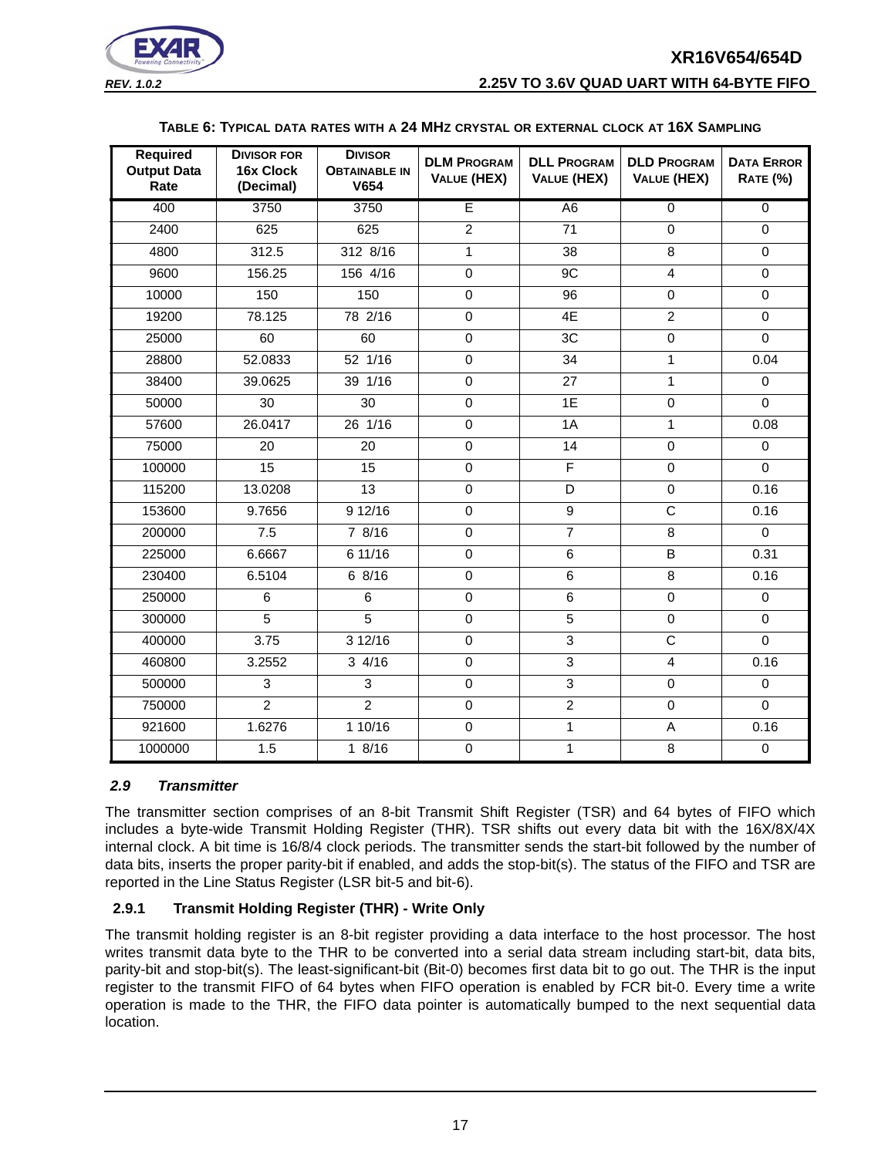



#### **TABLE 6: TYPICAL DATA RATES WITH A 24 MHZ CRYSTAL OR EXTERNAL CLOCK AT 16X SAMPLING**

<span id="page-16-0"></span>

| <b>Required</b><br><b>Output Data</b><br>Rate | <b>DIVISOR FOR</b><br>16x Clock<br>(Decimal) | <b>DIVISOR</b><br><b>OBTAINABLE IN</b><br>V654 | <b>DLM PROGRAM</b><br><b>VALUE (HEX)</b> | <b>DLL PROGRAM</b><br><b>VALUE (HEX)</b> | <b>DLD PROGRAM</b><br>VALUE (HEX) | <b>DATA ERROR</b><br><b>RATE (%)</b> |
|-----------------------------------------------|----------------------------------------------|------------------------------------------------|------------------------------------------|------------------------------------------|-----------------------------------|--------------------------------------|
| 400                                           | 3750                                         | 3750                                           | E                                        | A <sub>6</sub>                           | $\overline{0}$                    | $\overline{0}$                       |
| 2400                                          | 625                                          | 625                                            | $\overline{2}$                           | $\overline{71}$                          | $\mathbf 0$                       | $\Omega$                             |
| 4800                                          | 312.5                                        | 312 8/16                                       | $\mathbf{1}$                             | 38                                       | 8                                 | $\mathbf 0$                          |
| 9600                                          | 156.25                                       | 156 4/16                                       | $\mathbf 0$                              | 9C                                       | $\overline{4}$                    | $\mathbf 0$                          |
| 10000                                         | 150                                          | 150                                            | $\overline{0}$                           | $\overline{96}$                          | $\mathbf 0$                       | $\overline{0}$                       |
| 19200                                         | 78.125                                       | 78 2/16                                        | $\mathbf 0$                              | 4E                                       | $\overline{2}$                    | $\Omega$                             |
| 25000                                         | 60                                           | 60                                             | $\overline{0}$                           | 3C                                       | $\overline{0}$                    | $\mathbf 0$                          |
| 28800                                         | 52.0833                                      | 52 1/16                                        | $\mathbf 0$                              | 34                                       | $\mathbf{1}$                      | 0.04                                 |
| 38400                                         | 39.0625                                      | 39 1/16                                        | $\mathbf 0$                              | 27                                       | $\mathbf{1}$                      | $\mathbf 0$                          |
| 50000                                         | 30                                           | $\overline{30}$                                | $\mathbf 0$                              | 1E                                       | $\mathbf 0$                       | $\mathbf 0$                          |
| 57600                                         | 26.0417                                      | $26 \t1/16$                                    | $\overline{0}$                           | 1A                                       | 1                                 | 0.08                                 |
| 75000                                         | 20                                           | 20                                             | $\mathbf 0$                              | 14                                       | $\mathbf 0$                       | $\mathbf 0$                          |
| 100000                                        | 15                                           | 15                                             | $\mathbf 0$                              | $\overline{F}$                           | $\Omega$                          | $\Omega$                             |
| 115200                                        | 13.0208                                      | 13                                             | $\pmb{0}$                                | D                                        | $\mathbf 0$                       | 0.16                                 |
| 153600                                        | 9.7656                                       | 9 12/16                                        | $\mathbf 0$                              | $\overline{9}$                           | $\overline{\text{c}}$             | 0.16                                 |
| 200000                                        | 7.5                                          | 78/16                                          | $\pmb{0}$                                | $\overline{7}$                           | $\overline{8}$                    | $\Omega$                             |
| 225000                                        | 6.6667                                       | 6 11/16                                        | $\mathbf 0$                              | 6                                        | B                                 | 0.31                                 |
| 230400                                        | 6.5104                                       | 6 8/16                                         | $\mathbf 0$                              | 6                                        | 8                                 | 0.16                                 |
| 250000                                        | 6                                            | 6                                              | $\mathbf 0$                              | 6                                        | $\mathbf 0$                       | $\mathbf 0$                          |
| 300000                                        | $\overline{5}$                               | $\overline{5}$                                 | $\overline{0}$                           | $\overline{5}$                           | $\overline{0}$                    | $\mathbf 0$                          |
| 400000                                        | 3.75                                         | 3 12/16                                        | $\pmb{0}$                                | $\mathfrak{S}$                           | $\mathsf C$                       | $\mathbf 0$                          |
| 460800                                        | 3.2552                                       | 34/16                                          | $\Omega$                                 | 3                                        | $\overline{4}$                    | 0.16                                 |
| 500000                                        | 3                                            | 3                                              | $\mathbf 0$                              | $\overline{3}$                           | $\mathbf 0$                       | $\mathbf 0$                          |
| 750000                                        | $\overline{2}$                               | $\overline{2}$                                 | $\pmb{0}$                                | $\overline{2}$                           | $\mathbf 0$                       | $\Omega$                             |
| 921600                                        | 1.6276                                       | 1 10/16                                        | $\mathsf 0$                              | 1                                        | A                                 | 0.16                                 |
| 1000000                                       | 1.5                                          | 18/16                                          | $\overline{0}$                           | 1                                        | 8                                 | $\mathsf{O}\xspace$                  |

#### <span id="page-16-1"></span>*2.9 Transmitter*

The transmitter section comprises of an 8-bit Transmit Shift Register (TSR) and 64 bytes of FIFO which includes a byte-wide Transmit Holding Register (THR). TSR shifts out every data bit with the 16X/8X/4X internal clock. A bit time is 16/8/4 clock periods. The transmitter sends the start-bit followed by the number of data bits, inserts the proper parity-bit if enabled, and adds the stop-bit(s). The status of the FIFO and TSR are reported in the Line Status Register (LSR bit-5 and bit-6).

#### <span id="page-16-2"></span>**2.9.1 Transmit Holding Register (THR) - Write Only**

The transmit holding register is an 8-bit register providing a data interface to the host processor. The host writes transmit data byte to the THR to be converted into a serial data stream including start-bit, data bits, parity-bit and stop-bit(s). The least-significant-bit (Bit-0) becomes first data bit to go out. The THR is the input register to the transmit FIFO of 64 bytes when FIFO operation is enabled by FCR bit-0. Every time a write operation is made to the THR, the FIFO data pointer is automatically bumped to the next sequential data location.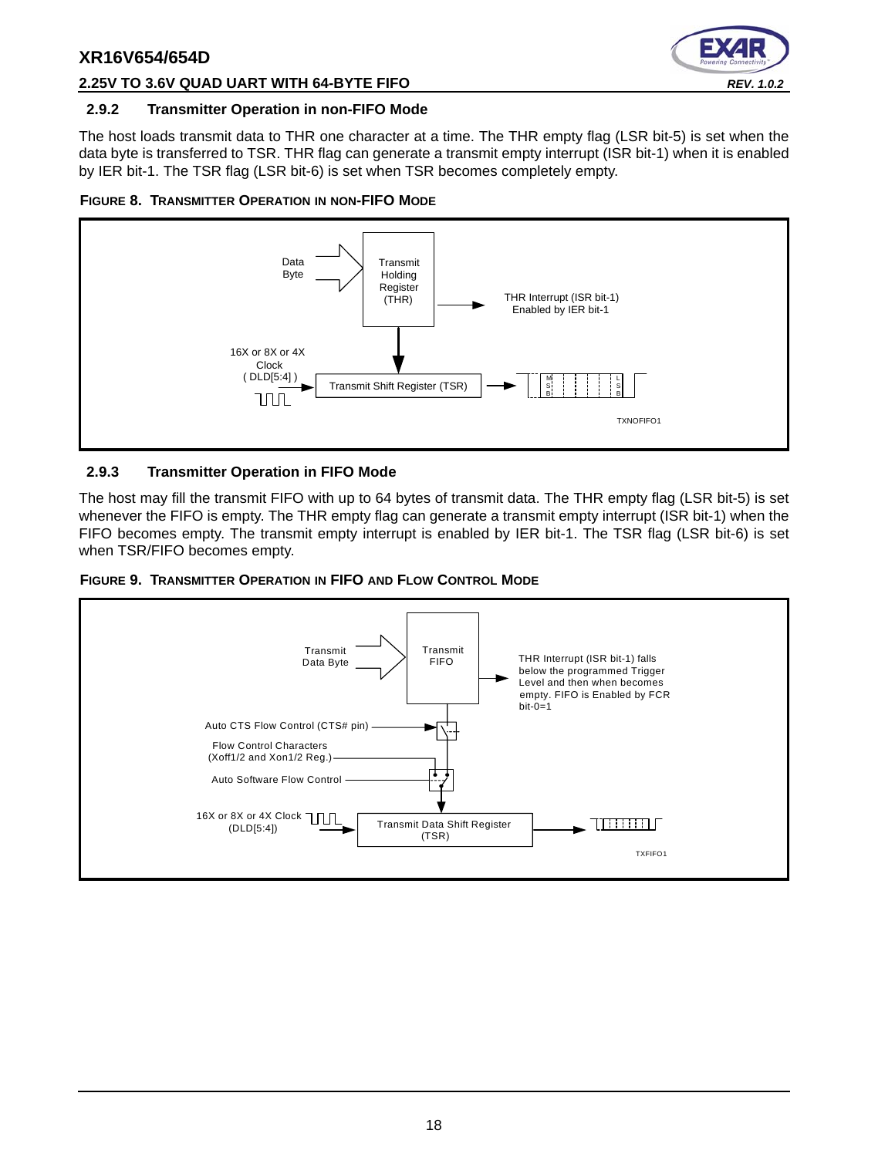

#### **2.25V TO 3.6V QUAD UART WITH 64-BYTE FIFO** *REV. 1.0.2*

#### <span id="page-17-0"></span>**2.9.2 Transmitter Operation in non-FIFO Mode**

The host loads transmit data to THR one character at a time. The THR empty flag (LSR bit-5) is set when the data byte is transferred to TSR. THR flag can generate a transmit empty interrupt (ISR bit-1) when it is enabled by IER bit-1. The TSR flag (LSR bit-6) is set when TSR becomes completely empty.

<span id="page-17-1"></span>



#### <span id="page-17-2"></span>**2.9.3 Transmitter Operation in FIFO Mode**

The host may fill the transmit FIFO with up to 64 bytes of transmit data. The THR empty flag (LSR bit-5) is set whenever the FIFO is empty. The THR empty flag can generate a transmit empty interrupt (ISR bit-1) when the FIFO becomes empty. The transmit empty interrupt is enabled by IER bit-1. The TSR flag (LSR bit-6) is set when TSR/FIFO becomes empty.

<span id="page-17-3"></span>

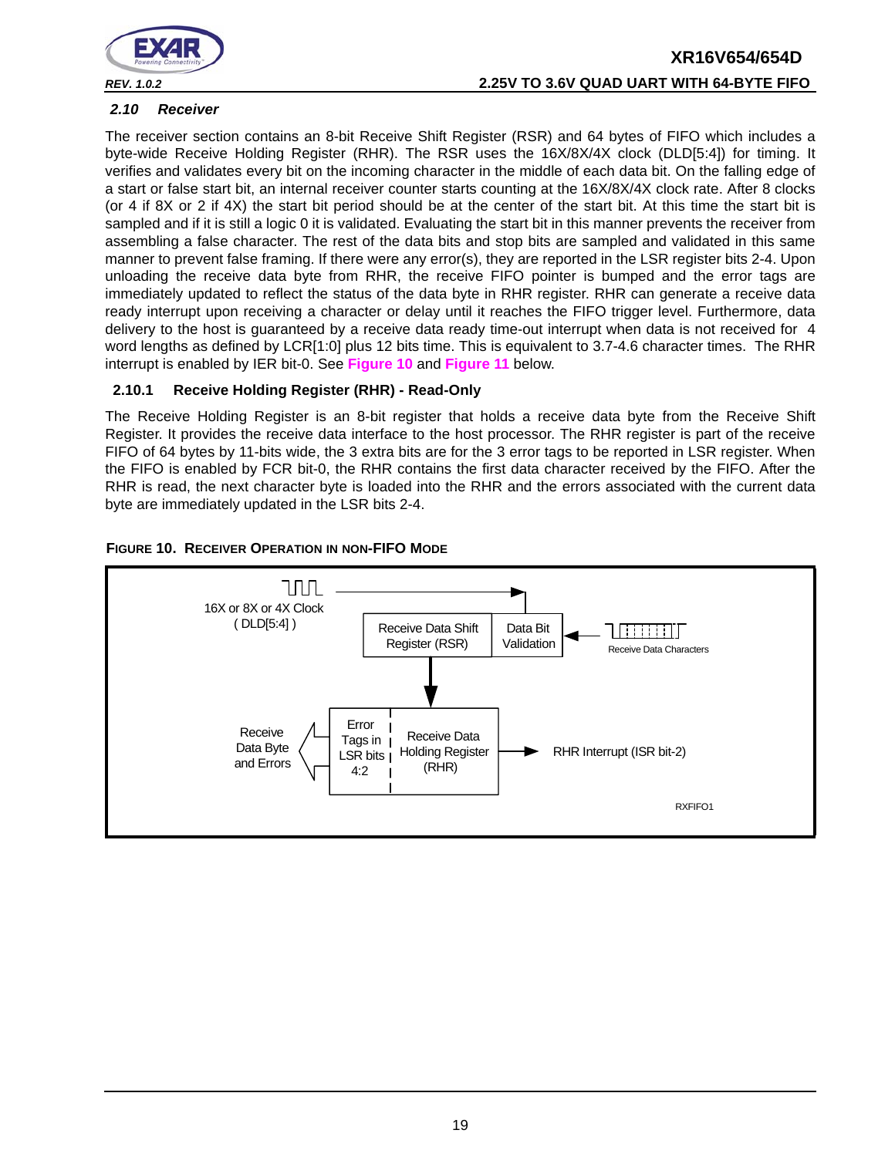

# **XR16V654/654D** *REV. 1.0.2* **2.25V TO 3.6V QUAD UART WITH 64-BYTE FIFO**

#### <span id="page-18-1"></span>*2.10 Receiver*

The receiver section contains an 8-bit Receive Shift Register (RSR) and 64 bytes of FIFO which includes a byte-wide Receive Holding Register (RHR). The RSR uses the 16X/8X/4X clock (DLD[5:4]) for timing. It verifies and validates every bit on the incoming character in the middle of each data bit. On the falling edge of a start or false start bit, an internal receiver counter starts counting at the 16X/8X/4X clock rate. After 8 clocks (or 4 if 8X or 2 if 4X) the start bit period should be at the center of the start bit. At this time the start bit is sampled and if it is still a logic 0 it is validated. Evaluating the start bit in this manner prevents the receiver from assembling a false character. The rest of the data bits and stop bits are sampled and validated in this same manner to prevent false framing. If there were any error(s), they are reported in the LSR register bits 2-4. Upon unloading the receive data byte from RHR, the receive FIFO pointer is bumped and the error tags are immediately updated to reflect the status of the data byte in RHR register. RHR can generate a receive data ready interrupt upon receiving a character or delay until it reaches the FIFO trigger level. Furthermore, data delivery to the host is guaranteed by a receive data ready time-out interrupt when data is not received for 4 word lengths as defined by LCR[1:0] plus 12 bits time. This is equivalent to 3.7-4.6 character times. The RHR interrupt is enabled by IER bit-0. See **[Figure](#page-18-0) 10** and **[Figure](#page-19-0) 11** below.

#### <span id="page-18-2"></span>**2.10.1 Receive Holding Register (RHR) - Read-Only**

The Receive Holding Register is an 8-bit register that holds a receive data byte from the Receive Shift Register. It provides the receive data interface to the host processor. The RHR register is part of the receive FIFO of 64 bytes by 11-bits wide, the 3 extra bits are for the 3 error tags to be reported in LSR register. When the FIFO is enabled by FCR bit-0, the RHR contains the first data character received by the FIFO. After the RHR is read, the next character byte is loaded into the RHR and the errors associated with the current data byte are immediately updated in the LSR bits 2-4.

<span id="page-18-0"></span>

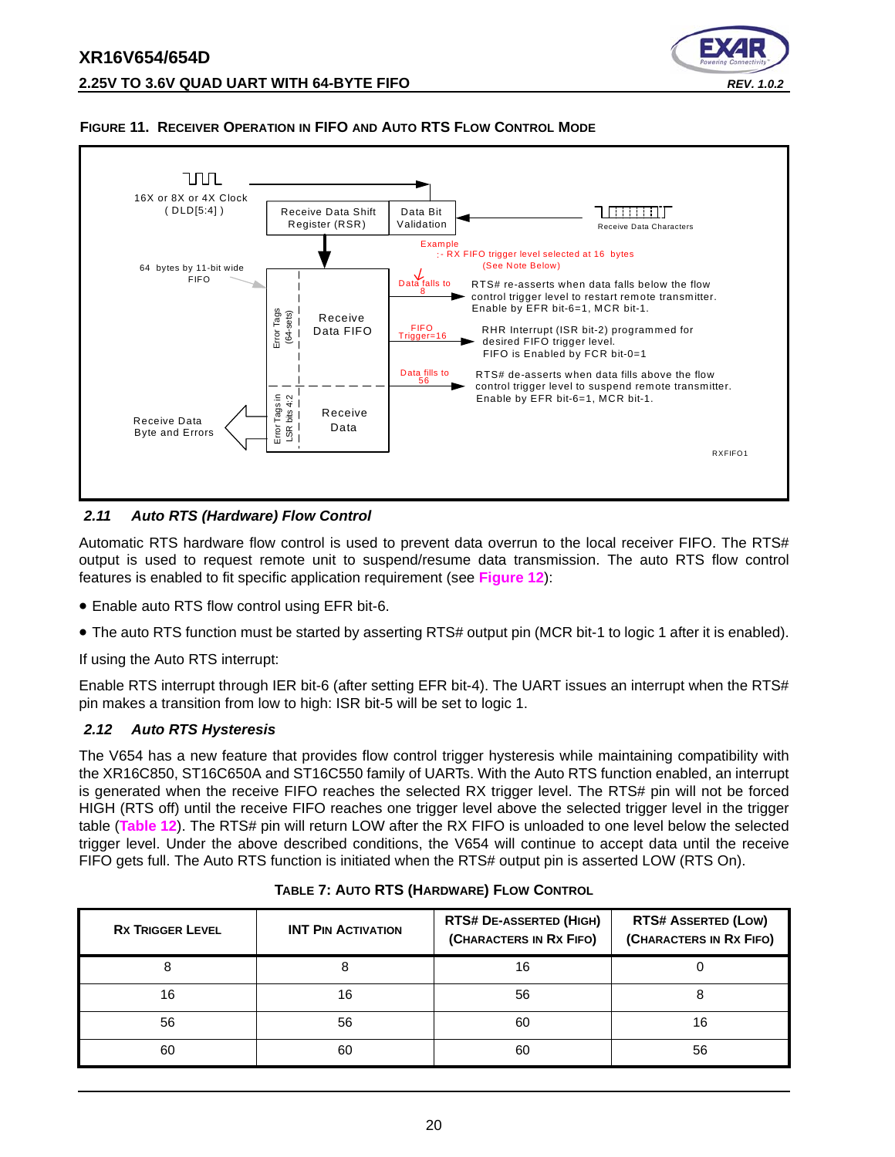



#### <span id="page-19-0"></span>**FIGURE 11. RECEIVER OPERATION IN FIFO AND AUTO RTS FLOW CONTROL MODE**

#### <span id="page-19-1"></span>*2.11 Auto RTS (Hardware) Flow Control*

Automatic RTS hardware flow control is used to prevent data overrun to the local receiver FIFO. The RTS# output is used to request remote unit to suspend/resume data transmission. The auto RTS flow control features is enabled to fit specific application requirement (see **[Figure](#page-20-0) 12**):

- Enable auto RTS flow control using EFR bit-6.
- The auto RTS function must be started by asserting RTS# output pin (MCR bit-1 to logic 1 after it is enabled).

If using the Auto RTS interrupt:

Enable RTS interrupt through IER bit-6 (after setting EFR bit-4). The UART issues an interrupt when the RTS# pin makes a transition from low to high: ISR bit-5 will be set to logic 1.

#### <span id="page-19-2"></span>*2.12 Auto RTS Hysteresis*

The V654 has a new feature that provides flow control trigger hysteresis while maintaining compatibility with the XR16C850, ST16C650A and ST16C550 family of UARTs. With the Auto RTS function enabled, an interrupt is generated when the receive FIFO reaches the selected RX trigger level. The RTS# pin will not be forced HIGH (RTS off) until the receive FIFO reaches one trigger level above the selected trigger level in the trigger table (**[Table](#page-31-0) 12**). The RTS# pin will return LOW after the RX FIFO is unloaded to one level below the selected trigger level. Under the above described conditions, the V654 will continue to accept data until the receive FIFO gets full. The Auto RTS function is initiated when the RTS# output pin is asserted LOW (RTS On).

<span id="page-19-3"></span>

| <b>RX TRIGGER LEVEL</b> | <b>INT PIN ACTIVATION</b> | <b>RTS# DE-ASSERTED (HIGH)</b><br>(CHARACTERS IN RX FIFO) | <b>RTS# ASSERTED (LOW)</b><br>(CHARACTERS IN RX FIFO) |  |
|-------------------------|---------------------------|-----------------------------------------------------------|-------------------------------------------------------|--|
|                         |                           | 16                                                        |                                                       |  |
| 16                      | 16                        | 56                                                        |                                                       |  |
| 56                      | 56                        | 60                                                        | 16                                                    |  |
| 60                      | 60                        | 60                                                        | 56                                                    |  |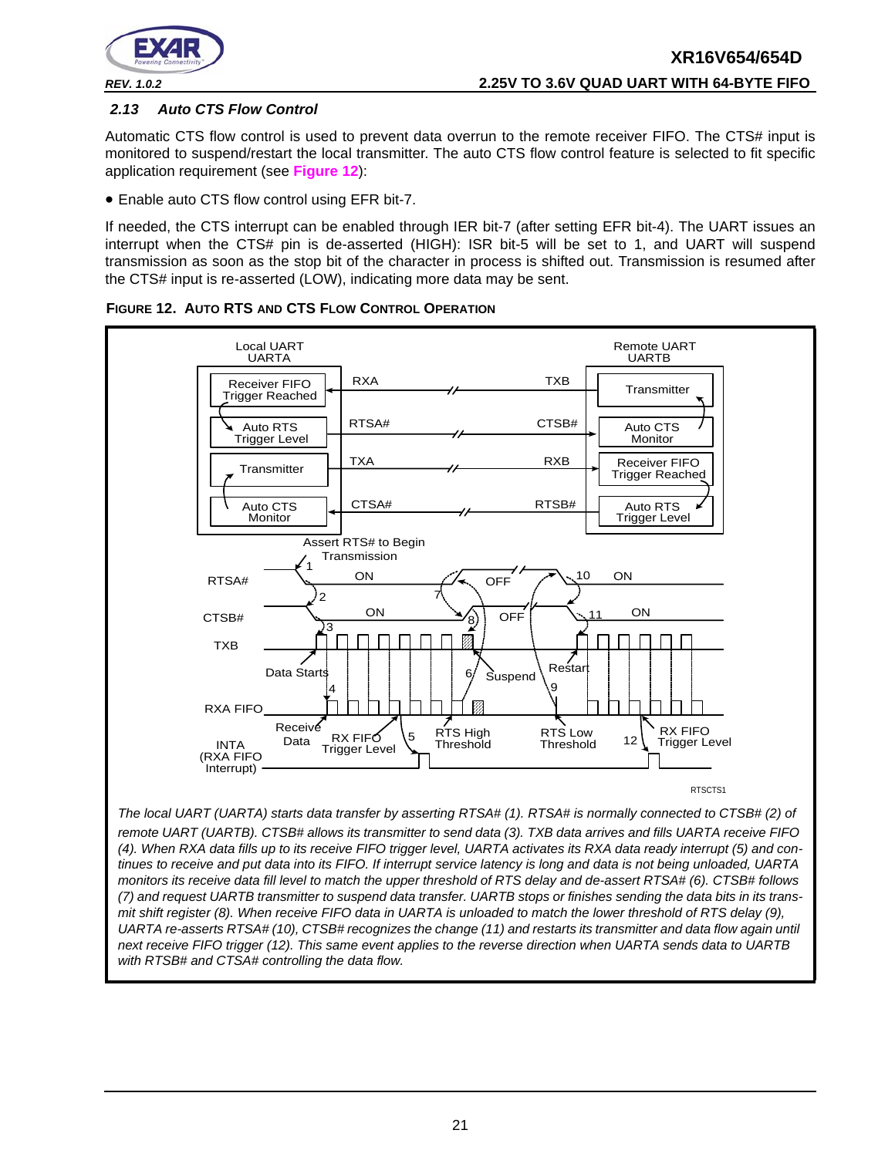

#### <span id="page-20-1"></span>*2.13 Auto CTS Flow Control*

Automatic CTS flow control is used to prevent data overrun to the remote receiver FIFO. The CTS# input is monitored to suspend/restart the local transmitter. The auto CTS flow control feature is selected to fit specific application requirement (see **[Figure](#page-20-0) 12**):

• Enable auto CTS flow control using EFR bit-7.

If needed, the CTS interrupt can be enabled through IER bit-7 (after setting EFR bit-4). The UART issues an interrupt when the CTS# pin is de-asserted (HIGH): ISR bit-5 will be set to 1, and UART will suspend transmission as soon as the stop bit of the character in process is shifted out. Transmission is resumed after the CTS# input is re-asserted (LOW), indicating more data may be sent.



<span id="page-20-0"></span>

*The local UART (UARTA) starts data transfer by asserting RTSA# (1). RTSA# is normally connected to CTSB# (2) of remote UART (UARTB). CTSB# allows its transmitter to send data (3). TXB data arrives and fills UARTA receive FIFO (4). When RXA data fills up to its receive FIFO trigger level, UARTA activates its RXA data ready interrupt (5) and continues to receive and put data into its FIFO. If interrupt service latency is long and data is not being unloaded, UARTA monitors its receive data fill level to match the upper threshold of RTS delay and de-assert RTSA# (6). CTSB# follows (7) and request UARTB transmitter to suspend data transfer. UARTB stops or finishes sending the data bits in its transmit shift register (8). When receive FIFO data in UARTA is unloaded to match the lower threshold of RTS delay (9), UARTA re-asserts RTSA# (10), CTSB# recognizes the change (11) and restarts its transmitter and data flow again until next receive FIFO trigger (12). This same event applies to the reverse direction when UARTA sends data to UARTB with RTSB# and CTSA# controlling the data flow.*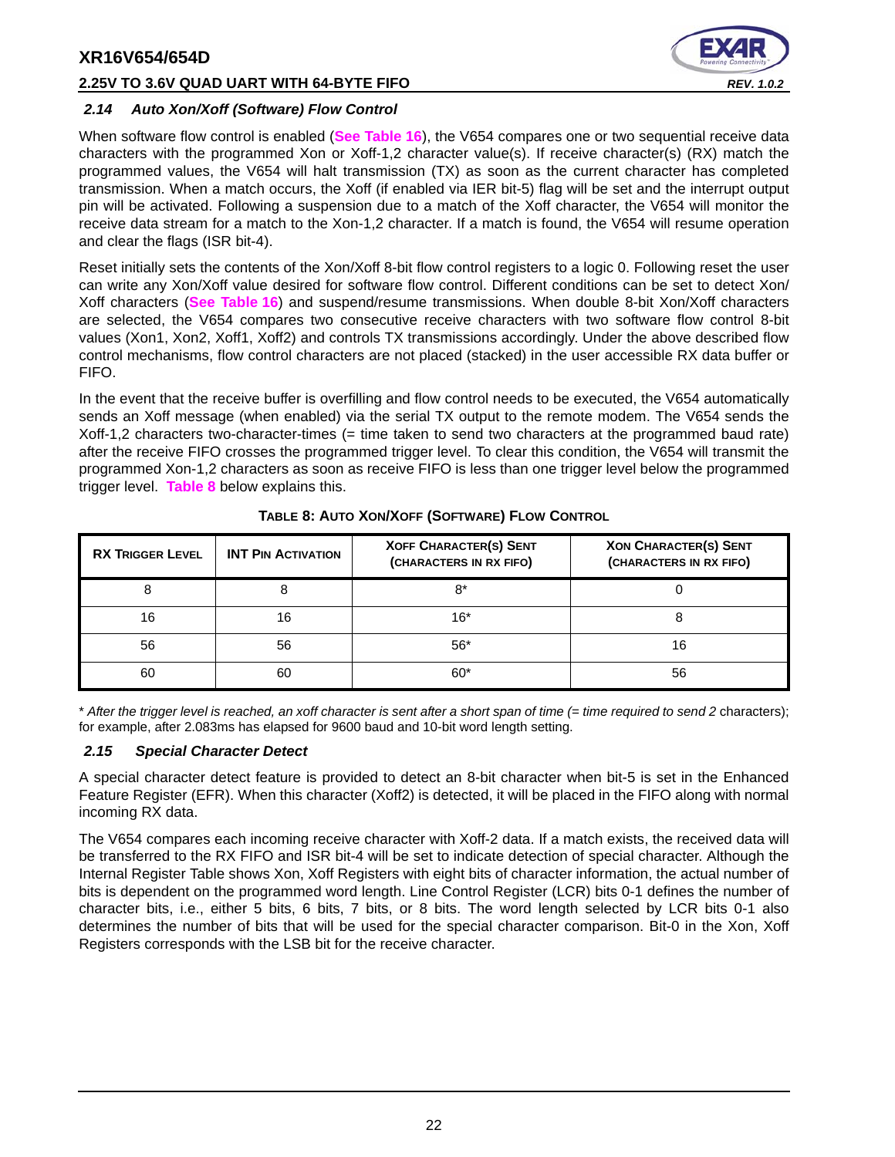#### **2.25V TO 3.6V QUAD UART WITH 64-BYTE FIFO** *REV. 1.0.2*



#### <span id="page-21-1"></span>*2.14 Auto Xon/Xoff (Software) Flow Control*

When software flow control is enabled (**[See Table](#page-38-0) 16**), the V654 compares one or two sequential receive data characters with the programmed Xon or Xoff-1,2 character value(s). If receive character(s) (RX) match the programmed values, the V654 will halt transmission (TX) as soon as the current character has completed transmission. When a match occurs, the Xoff (if enabled via IER bit-5) flag will be set and the interrupt output pin will be activated. Following a suspension due to a match of the Xoff character, the V654 will monitor the receive data stream for a match to the Xon-1,2 character. If a match is found, the V654 will resume operation and clear the flags (ISR bit-4).

Reset initially sets the contents of the Xon/Xoff 8-bit flow control registers to a logic 0. Following reset the user can write any Xon/Xoff value desired for software flow control. Different conditions can be set to detect Xon/ Xoff characters (**[See Table](#page-38-0) 16**) and suspend/resume transmissions. When double 8-bit Xon/Xoff characters are selected, the V654 compares two consecutive receive characters with two software flow control 8-bit values (Xon1, Xon2, Xoff1, Xoff2) and controls TX transmissions accordingly. Under the above described flow control mechanisms, flow control characters are not placed (stacked) in the user accessible RX data buffer or FIFO.

In the event that the receive buffer is overfilling and flow control needs to be executed, the V654 automatically sends an Xoff message (when enabled) via the serial TX output to the remote modem. The V654 sends the Xoff-1,2 characters two-character-times (= time taken to send two characters at the programmed baud rate) after the receive FIFO crosses the programmed trigger level. To clear this condition, the V654 will transmit the programmed Xon-1,2 characters as soon as receive FIFO is less than one trigger level below the programmed trigger level. **[Table](#page-21-0) 8** below explains this.

<span id="page-21-0"></span>

| <b>RX TRIGGER LEVEL</b> | <b>XOFF CHARACTER(S) SENT</b><br><b>INT PIN ACTIVATION</b><br>(CHARACTERS IN RX FIFO) |       | <b>XON CHARACTER(S) SENT</b><br>(CHARACTERS IN RX FIFO) |
|-------------------------|---------------------------------------------------------------------------------------|-------|---------------------------------------------------------|
| 8                       |                                                                                       | $8*$  |                                                         |
| 16                      | 16                                                                                    | $16*$ |                                                         |
| 56                      | 56                                                                                    | $56*$ | 16                                                      |
| 60                      | 60                                                                                    | $60*$ | 56                                                      |

#### **TABLE 8: AUTO XON/XOFF (SOFTWARE) FLOW CONTROL**

\* *After the trigger level is reached, an xoff character is sent after a short span of time (= time required to send 2* characters); for example, after 2.083ms has elapsed for 9600 baud and 10-bit word length setting.

#### <span id="page-21-2"></span>*2.15 Special Character Detect*

A special character detect feature is provided to detect an 8-bit character when bit-5 is set in the Enhanced Feature Register (EFR). When this character (Xoff2) is detected, it will be placed in the FIFO along with normal incoming RX data.

The V654 compares each incoming receive character with Xoff-2 data. If a match exists, the received data will be transferred to the RX FIFO and ISR bit-4 will be set to indicate detection of special character. Although the Internal Register Table shows Xon, Xoff Registers with eight bits of character information, the actual number of bits is dependent on the programmed word length. Line Control Register (LCR) bits 0-1 defines the number of character bits, i.e., either 5 bits, 6 bits, 7 bits, or 8 bits. The word length selected by LCR bits 0-1 also determines the number of bits that will be used for the special character comparison. Bit-0 in the Xon, Xoff Registers corresponds with the LSB bit for the receive character.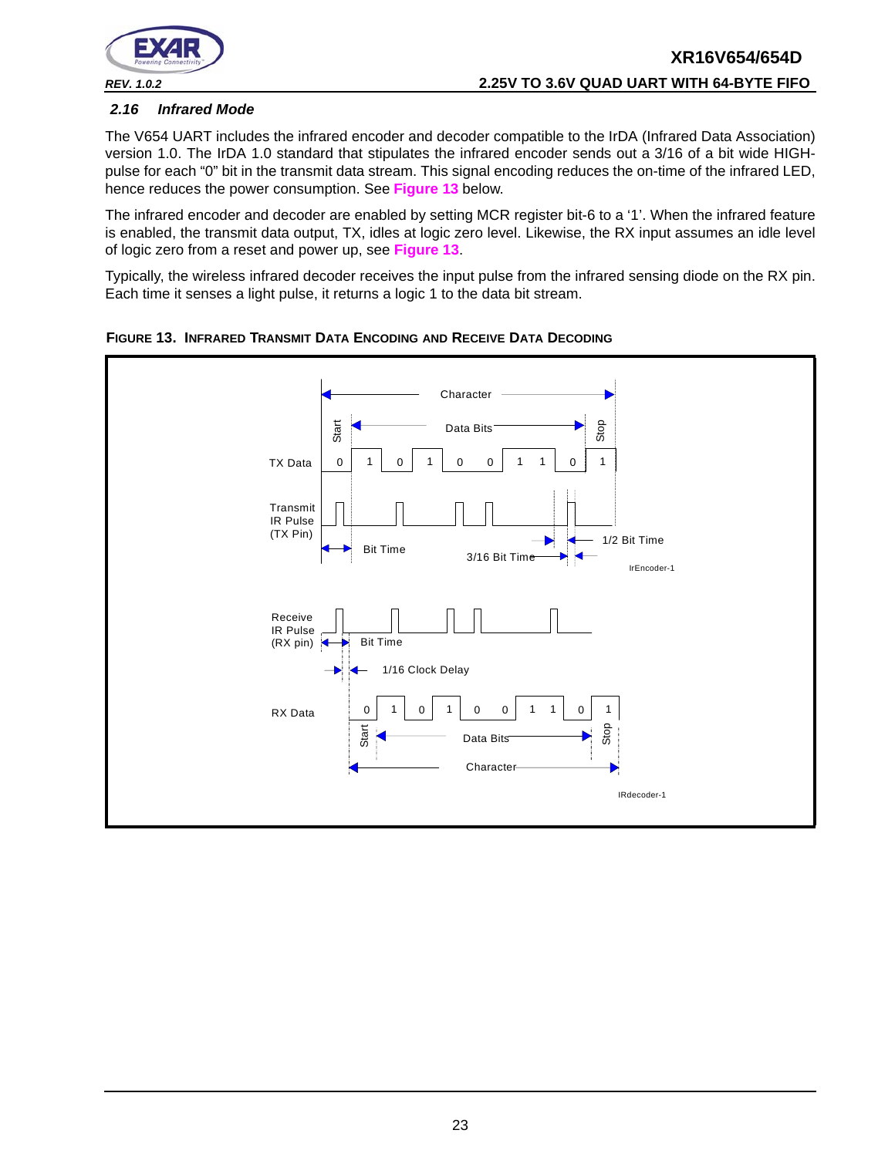

#### <span id="page-22-1"></span>*2.16 Infrared Mode*

The V654 UART includes the infrared encoder and decoder compatible to the IrDA (Infrared Data Association) version 1.0. The IrDA 1.0 standard that stipulates the infrared encoder sends out a 3/16 of a bit wide HIGHpulse for each "0" bit in the transmit data stream. This signal encoding reduces the on-time of the infrared LED, hence reduces the power consumption. See **[Figure](#page-22-0) 13** below.

The infrared encoder and decoder are enabled by setting MCR register bit-6 to a '1'. When the infrared feature is enabled, the transmit data output, TX, idles at logic zero level. Likewise, the RX input assumes an idle level of logic zero from a reset and power up, see **[Figure](#page-22-0) 13**.

Typically, the wireless infrared decoder receives the input pulse from the infrared sensing diode on the RX pin. Each time it senses a light pulse, it returns a logic 1 to the data bit stream.



<span id="page-22-0"></span>**FIGURE 13. INFRARED TRANSMIT DATA ENCODING AND RECEIVE DATA DECODING**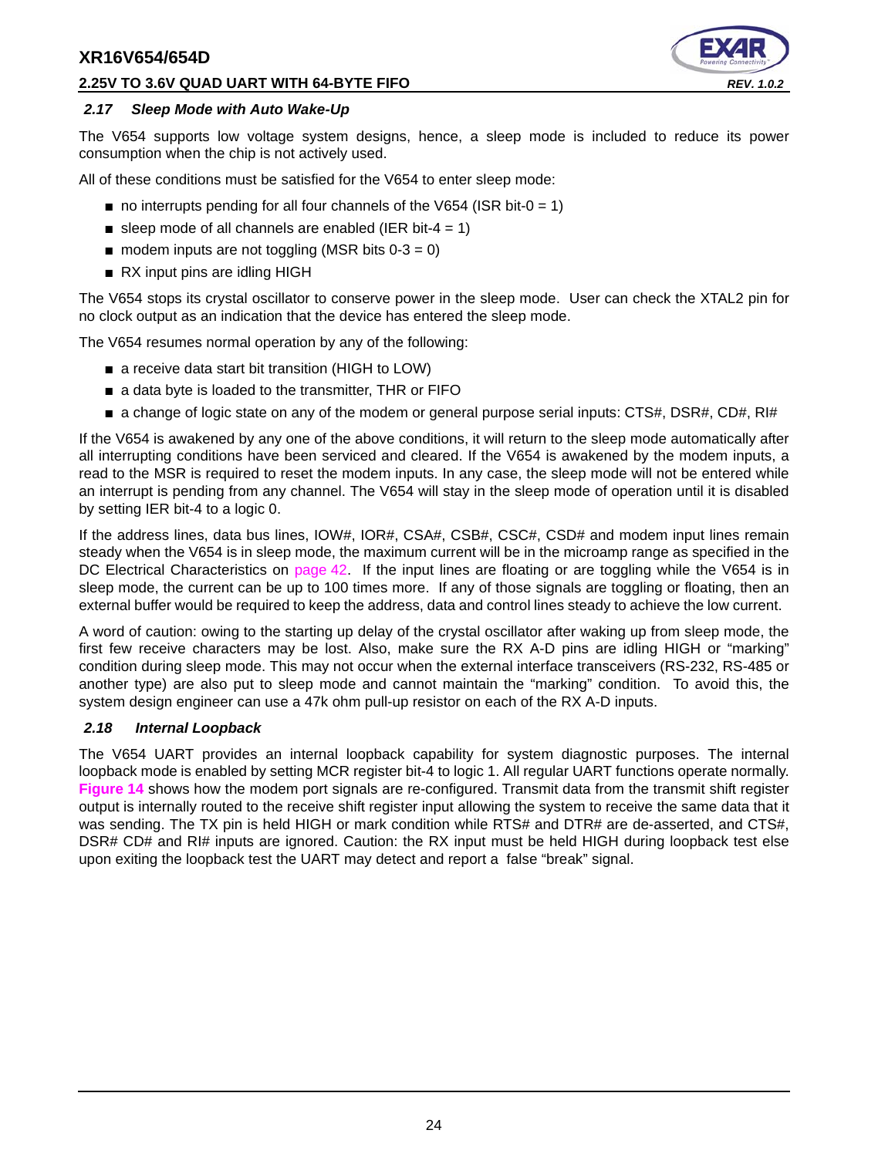#### **2.25V TO 3.6V QUAD UART WITH 64-BYTE FIFO** *REV. 1.0.2*



#### <span id="page-23-0"></span>*2.17 Sleep Mode with Auto Wake-Up*

The V654 supports low voltage system designs, hence, a sleep mode is included to reduce its power consumption when the chip is not actively used.

All of these conditions must be satisfied for the V654 to enter sleep mode:

- $\blacksquare$  no interrupts pending for all four channels of the V654 (ISR bit-0 = 1)
- sleep mode of all channels are enabled (IER bit-4 = 1)
- $\blacksquare$  modem inputs are not toggling (MSR bits 0-3 = 0)
- RX input pins are idling HIGH

The V654 stops its crystal oscillator to conserve power in the sleep mode. User can check the XTAL2 pin for no clock output as an indication that the device has entered the sleep mode.

The V654 resumes normal operation by any of the following:

- a receive data start bit transition (HIGH to LOW)
- a data byte is loaded to the transmitter, THR or FIFO
- a change of logic state on any of the modem or general purpose serial inputs: CTS#, DSR#, CD#, RI#

If the V654 is awakened by any one of the above conditions, it will return to the sleep mode automatically after all interrupting conditions have been serviced and cleared. If the V654 is awakened by the modem inputs, a read to the MSR is required to reset the modem inputs. In any case, the sleep mode will not be entered while an interrupt is pending from any channel. The V654 will stay in the sleep mode of operation until it is disabled by setting IER bit-4 to a logic 0.

If the address lines, data bus lines, IOW#, IOR#, CSA#, CSB#, CSC#, CSD# and modem input lines remain steady when the V654 is in sleep mode, the maximum current will be in the microamp range as specified in the DC Electrical Characteristics on [page](#page-41-0) 42. If the input lines are floating or are toggling while the V654 is in sleep mode, the current can be up to 100 times more. If any of those signals are toggling or floating, then an external buffer would be required to keep the address, data and control lines steady to achieve the low current.

A word of caution: owing to the starting up delay of the crystal oscillator after waking up from sleep mode, the first few receive characters may be lost. Also, make sure the RX A-D pins are idling HIGH or "marking" condition during sleep mode. This may not occur when the external interface transceivers (RS-232, RS-485 or another type) are also put to sleep mode and cannot maintain the "marking" condition. To avoid this, the system design engineer can use a 47k ohm pull-up resistor on each of the RX A-D inputs.

#### <span id="page-23-1"></span>*2.18 Internal Loopback*

The V654 UART provides an internal loopback capability for system diagnostic purposes. The internal loopback mode is enabled by setting MCR register bit-4 to logic 1. All regular UART functions operate normally. **[Figure](#page-24-0) 14** shows how the modem port signals are re-configured. Transmit data from the transmit shift register output is internally routed to the receive shift register input allowing the system to receive the same data that it was sending. The TX pin is held HIGH or mark condition while RTS# and DTR# are de-asserted, and CTS#, DSR# CD# and RI# inputs are ignored. Caution: the RX input must be held HIGH during loopback test else upon exiting the loopback test the UART may detect and report a false "break" signal.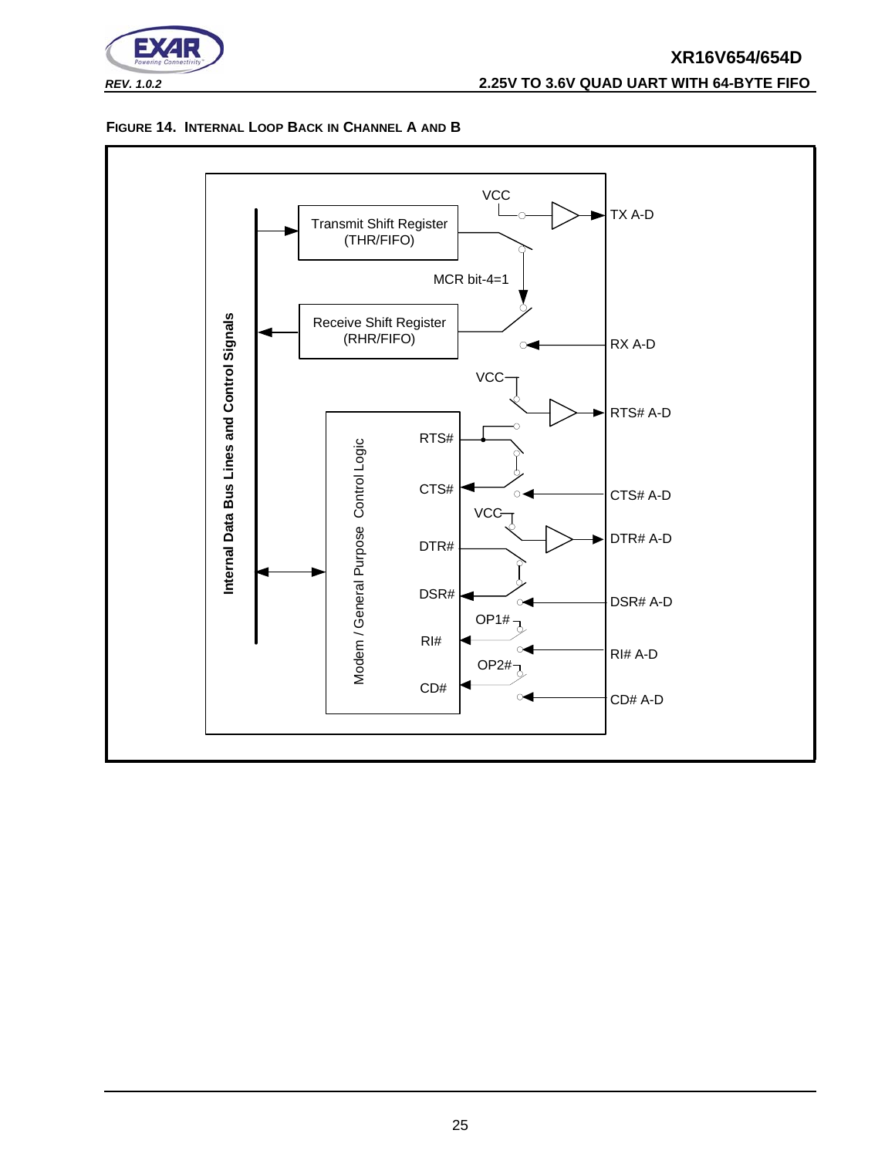

# **XR16V654/654D** *REV. 1.0.2* **2.25V TO 3.6V QUAD UART WITH 64-BYTE FIFO**

#### <span id="page-24-0"></span>**FIGURE 14. INTERNAL LOOP BACK IN CHANNEL A AND B**

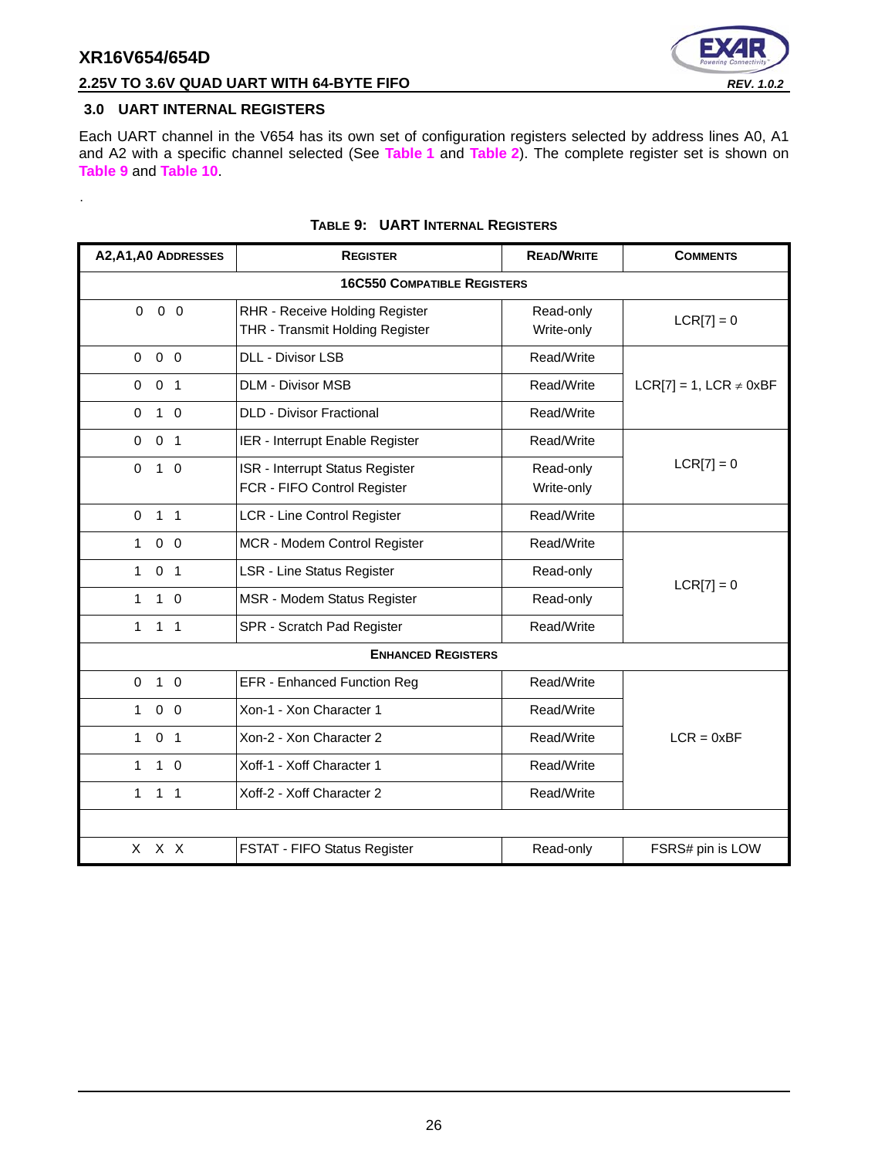<span id="page-25-1"></span>.



# **2.25V TO 3.6V QUAD UART WITH 64-BYTE FIFO** *REV. 1.0.2*

#### <span id="page-25-0"></span>**3.0 UART INTERNAL REGISTERS**

Each UART channel in the V654 has its own set of configuration registers selected by address lines A0, A1 and A2 with a specific channel selected (See **[Table](#page-12-0) 1** and **[Table](#page-12-1) 2**). The complete register set is shown on **[Table](#page-25-1) 9** and **[Table](#page-26-0) 10**.

| A2, A1, A0 ADDRESSES           | <b>REGISTER</b>                                                   | <b>READ/WRITE</b>       | <b>COMMENTS</b>                |
|--------------------------------|-------------------------------------------------------------------|-------------------------|--------------------------------|
|                                | <b>16C550 COMPATIBLE REGISTERS</b>                                |                         |                                |
| $0\quad 0$<br>$\mathbf 0$      | RHR - Receive Holding Register<br>THR - Transmit Holding Register | Read-only<br>Write-only | $LCR[7] = 0$                   |
| $0\quad 0$<br>$\mathbf 0$      | <b>DLL - Divisor LSB</b>                                          | Read/Write              |                                |
| $\mathbf 0$<br>0 <sub>1</sub>  | <b>DLM - Divisor MSB</b>                                          | Read/Write              | $LCR[7] = 1$ , $LCR \neq 0xBF$ |
| $1\quad$ 0<br>$\mathbf 0$      | <b>DLD - Divisor Fractional</b>                                   | Read/Write              |                                |
| 0 <sub>1</sub><br>0            | IER - Interrupt Enable Register                                   | Read/Write              |                                |
| $\mathbf 0$<br>$1\quad$ 0      | ISR - Interrupt Status Register<br>FCR - FIFO Control Register    | Read-only<br>Write-only | $LCR[7] = 0$                   |
| $1 \quad 1$<br>$\mathbf 0$     | LCR - Line Control Register                                       | Read/Write              |                                |
| $0\quad 0$<br>$\mathbf{1}$     | MCR - Modem Control Register                                      | Read/Write              |                                |
| 0 <sub>1</sub><br>1            | <b>LSR - Line Status Register</b>                                 | Read-only               | $LCR[7] = 0$                   |
| 1<br>$1\quad$ 0                | MSR - Modem Status Register                                       | Read-only               |                                |
| 1<br>$1 \quad 1$               | SPR - Scratch Pad Register                                        | Read/Write              |                                |
|                                | <b>ENHANCED REGISTERS</b>                                         |                         |                                |
| $1\quad$ 0<br>$\mathbf 0$      | EFR - Enhanced Function Reg                                       | Read/Write              |                                |
| $0\quad 0$<br>1                | Xon-1 - Xon Character 1                                           | Read/Write              |                                |
| $\mathbf{1}$<br>0 <sub>1</sub> | Xon-2 - Xon Character 2                                           | Read/Write              | $LCR = 0xBF$                   |
| $1\quad$ 0<br>$\mathbf{1}$     | Xoff-1 - Xoff Character 1                                         | Read/Write              |                                |
| 1 <sub>1</sub><br>1            | Xoff-2 - Xoff Character 2                                         | Read/Write              |                                |
|                                |                                                                   |                         |                                |
| x x x                          | FSTAT - FIFO Status Register                                      | Read-only               | FSRS# pin is LOW               |

#### **TABLE 9: UART INTERNAL REGISTERS**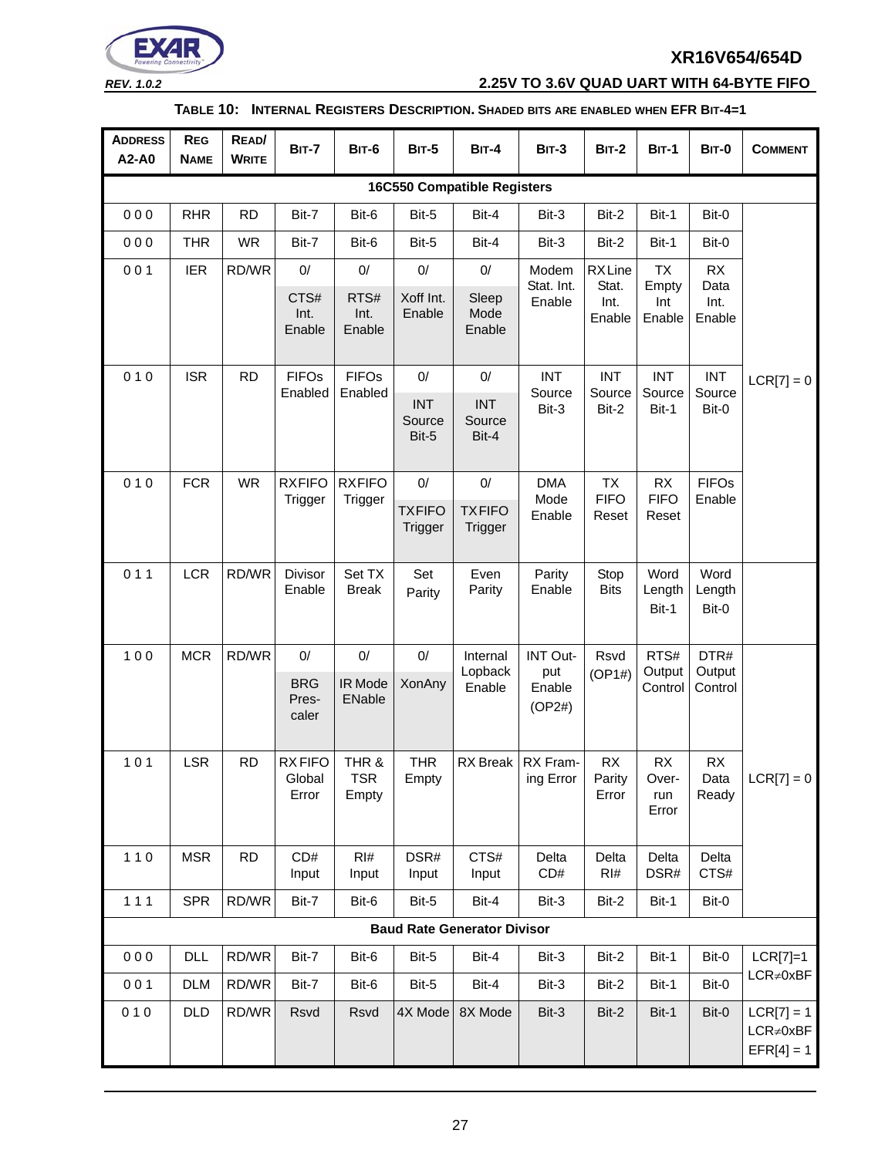

*REV. 1.0.2* **2.25V TO 3.6V QUAD UART WITH 64-BYTE FIFO**

#### **TABLE 10: INTERNAL REGISTERS DESCRIPTION. SHADED BITS ARE ENABLED WHEN EFR BIT-4=1**

<span id="page-26-0"></span>

| <b>ADDRESS</b><br>A2-A0 | <b>REG</b><br><b>NAME</b>          | READ/<br><b>WRITE</b> | <b>BIT-7</b>                       | <b>BIT-6</b>                 | <b>BIT-5</b>                     | <b>BIT-4</b>                            | <b>BIT-3</b>                        | <b>BIT-2</b>                      | <b>BIT-1</b>                       | <b>BIT-0</b>              | <b>COMMENT</b>                                  |
|-------------------------|------------------------------------|-----------------------|------------------------------------|------------------------------|----------------------------------|-----------------------------------------|-------------------------------------|-----------------------------------|------------------------------------|---------------------------|-------------------------------------------------|
|                         |                                    |                       |                                    |                              |                                  | <b>16C550 Compatible Registers</b>      |                                     |                                   |                                    |                           |                                                 |
| 000                     | <b>RHR</b>                         | <b>RD</b>             | Bit-7                              | Bit-6                        | Bit-5                            | Bit-4                                   | Bit-3                               | Bit-2                             | Bit-1                              | Bit-0                     |                                                 |
| 000                     | <b>THR</b>                         | <b>WR</b>             | Bit-7                              | Bit-6                        | Bit-5                            | Bit-4                                   | Bit-3                               | Bit-2                             | Bit-1                              | Bit-0                     |                                                 |
| 001                     | <b>IER</b>                         | RD/WR                 | $0/$                               | $0/$                         | $0/$                             | $0/$                                    | Modem                               | <b>RXLine</b>                     | <b>TX</b>                          | <b>RX</b>                 |                                                 |
|                         |                                    |                       | CTS#<br>Int.<br>Enable             | RTS#<br>Int.<br>Enable       | Xoff Int.<br>Enable              | Sleep<br>Mode<br>Enable                 | Stat. Int.<br>Enable                | Stat.<br>Int.<br>Enable           | Empty<br>Int<br>Enable             | Data<br>Int.<br>Enable    |                                                 |
| 010                     | <b>ISR</b>                         | <b>RD</b>             | <b>FIFOs</b>                       | <b>FIFOs</b>                 | $0/$                             | $0/$                                    | <b>INT</b>                          | <b>INT</b>                        | <b>INT</b>                         | <b>INT</b>                | $LCR[7] = 0$                                    |
|                         |                                    |                       | Enabled                            | Enabled                      | <b>INT</b><br>Source<br>Bit-5    | <b>INT</b><br>Source<br>Bit-4           | Source<br>Bit-3                     | Source<br>Bit-2                   | Source<br>Bit-1                    | Source<br>Bit-0           |                                                 |
| 010                     | <b>FCR</b>                         | <b>WR</b>             | <b>RXFIFO</b><br>Trigger           | <b>RXFIFO</b><br>Trigger     | $0/$<br><b>TXFIFO</b><br>Trigger | $0/$<br><b>TXFIFO</b><br><b>Trigger</b> | <b>DMA</b><br>Mode<br>Enable        | <b>TX</b><br><b>FIFO</b><br>Reset | <b>RX</b><br><b>FIFO</b><br>Reset  | <b>FIFOs</b><br>Enable    |                                                 |
| 011                     | <b>LCR</b>                         | RD/WR                 | Divisor<br>Enable                  | Set TX<br><b>Break</b>       | Set<br>Parity                    | Even<br>Parity                          | Parity<br>Enable                    | Stop<br><b>Bits</b>               | Word<br>Length<br>Bit-1            | Word<br>Length<br>Bit-0   |                                                 |
| 100                     | <b>MCR</b>                         | RD/WR                 | 0/<br><b>BRG</b><br>Pres-<br>caler | 0/<br>IR Mode<br>ENable      | 0/<br><b>XonAny</b>              | Internal<br>Lopback<br>Enable           | INT Out-<br>put<br>Enable<br>(OP2#) | Rsvd<br>(OP1#)                    | RTS#<br>Output<br>Control          | DTR#<br>Output<br>Control |                                                 |
| $101$                   | <b>LSR</b>                         | <b>RD</b>             | <b>RXFIFO</b><br>Global<br>Error   | THR &<br><b>TSR</b><br>Empty | <b>THR</b><br>Empty              |                                         | RX Break   RX Fram-<br>ing Error    | RX<br>Parity<br>Error             | <b>RX</b><br>Over-<br>run<br>Error | RX<br>Data<br>Ready       | $LCR[7] = 0$                                    |
| $110$                   | <b>MSR</b>                         | <b>RD</b>             | CD#<br>Input                       | RI#<br>Input                 | DSR#<br>Input                    | CTS#<br>Input                           | Delta<br>CD#                        | Delta<br>RI#                      | Delta<br>DSR#                      | Delta<br>CTS#             |                                                 |
| $111$                   | <b>SPR</b>                         | RD/WR                 | Bit-7                              | Bit-6                        | Bit-5                            | Bit-4                                   | Bit-3                               | Bit-2                             | Bit-1                              | Bit-0                     |                                                 |
|                         | <b>Baud Rate Generator Divisor</b> |                       |                                    |                              |                                  |                                         |                                     |                                   |                                    |                           |                                                 |
| 000                     | DLL                                | RD/WR                 | Bit-7                              | Bit-6                        | Bit-5                            | Bit-4                                   | Bit-3                               | Bit-2                             | Bit-1                              | Bit-0                     | $LCR[7]=1$                                      |
| 001                     | <b>DLM</b>                         | RD/WR                 | Bit-7                              | Bit-6                        | Bit-5                            | Bit-4                                   | Bit-3                               | Bit-2                             | Bit-1                              | Bit-0                     | $LCR \neq 0xBF$                                 |
| 010                     | <b>DLD</b>                         | RD/WR                 | Rsvd                               | Rsvd                         | 4X Mode                          | 8X Mode                                 | Bit-3                               | Bit-2                             | Bit-1                              | Bit-0                     | $LCR[7] = 1$<br>$LCR \neq 0xBF$<br>$EFR[4] = 1$ |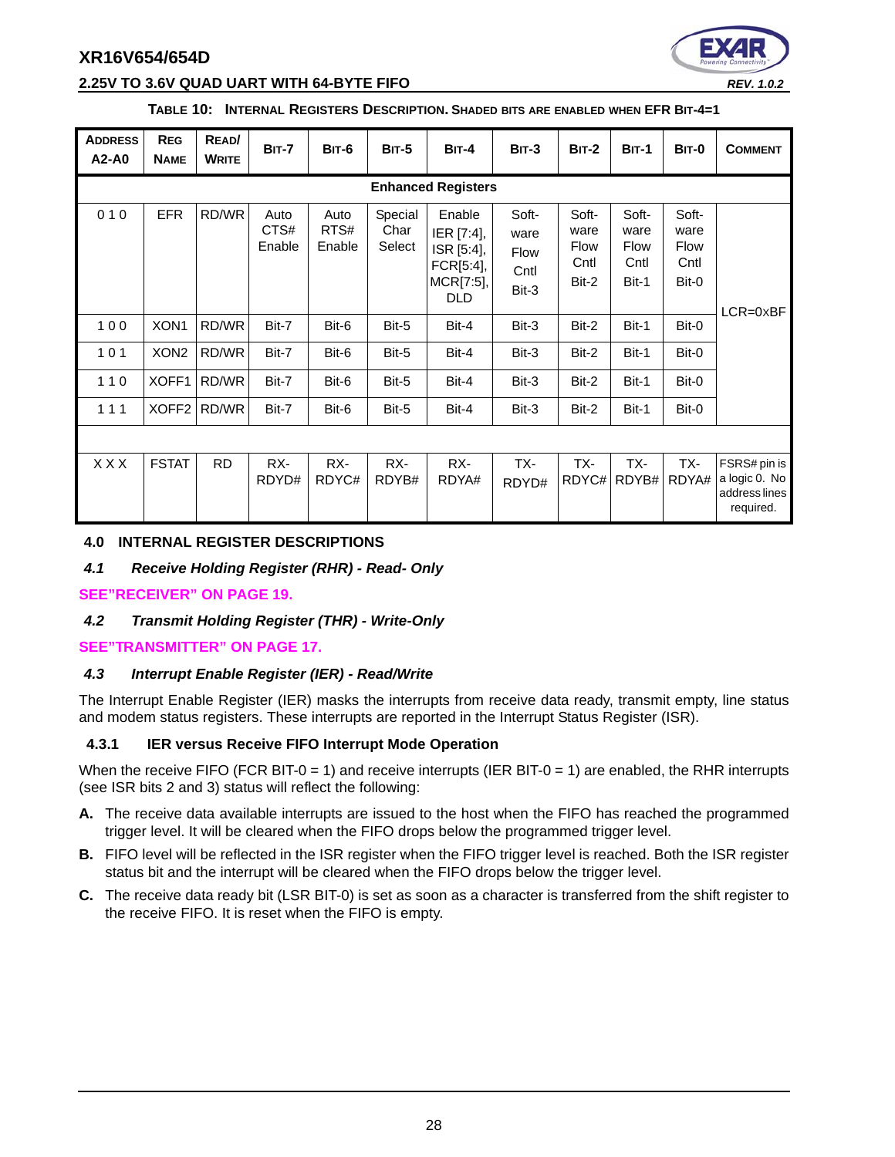

#### **2.25V TO 3.6V QUAD UART WITH 64-BYTE FIFO** *REV. 1.0.2*

**TABLE 10: INTERNAL REGISTERS DESCRIPTION. SHADED BITS ARE ENABLED WHEN EFR BIT-4=1**

| <b>ADDRESS</b><br>A2-A0 | <b>REG</b><br><b>NAME</b> | READ/<br><b>WRITE</b> | <b>BIT-7</b>           | <b>BIT-6</b>           | <b>BIT-5</b>              | $BIT-4$                                                             | $BIT-3$                                       | <b>BIT-2</b>                                  | $BIT-1$                                       | BIT-0                                         | <b>COMMENT</b>                                              |
|-------------------------|---------------------------|-----------------------|------------------------|------------------------|---------------------------|---------------------------------------------------------------------|-----------------------------------------------|-----------------------------------------------|-----------------------------------------------|-----------------------------------------------|-------------------------------------------------------------|
|                         | <b>Enhanced Registers</b> |                       |                        |                        |                           |                                                                     |                                               |                                               |                                               |                                               |                                                             |
| 010                     | <b>EFR</b>                | RD/WR                 | Auto<br>CTS#<br>Enable | Auto<br>RTS#<br>Enable | Special<br>Char<br>Select | Enable<br>IER [7:4],<br>ISR [5:4],<br>FCR[5:4],<br>MCR[7:5],<br>DLD | Soft-<br>ware<br><b>Flow</b><br>Cntl<br>Bit-3 | Soft-<br>ware<br><b>Flow</b><br>Cntl<br>Bit-2 | Soft-<br>ware<br><b>Flow</b><br>Cntl<br>Bit-1 | Soft-<br>ware<br><b>Flow</b><br>Cntl<br>Bit-0 | $LCR = 0 \times BF$                                         |
| 100                     | XON <sub>1</sub>          | RD/WR                 | Bit-7                  | Bit-6                  | Bit-5                     | Bit-4                                                               | Bit-3                                         | Bit-2                                         | Bit-1                                         | Bit-0                                         |                                                             |
| 101                     | XON <sub>2</sub>          | RD/WR                 | Bit-7                  | Bit-6                  | Bit-5                     | Bit-4                                                               | Bit-3                                         | Bit-2                                         | Bit-1                                         | Bit-0                                         |                                                             |
| 110                     | XOFF1                     | RD/WR                 | Bit-7                  | Bit-6                  | Bit-5                     | Bit-4                                                               | Bit-3                                         | Bit-2                                         | Bit-1                                         | Bit-0                                         |                                                             |
| 111                     | XOFF <sub>2</sub>         | RD/WR                 | Bit-7                  | Bit-6                  | Bit-5                     | Bit-4                                                               | Bit-3                                         | Bit-2                                         | Bit-1                                         | Bit-0                                         |                                                             |
|                         |                           |                       |                        |                        |                           |                                                                     |                                               |                                               |                                               |                                               |                                                             |
| <b>XXX</b>              | <b>FSTAT</b>              | <b>RD</b>             | RX-<br>RDYD#           | RX-<br>RDYC#           | RX-<br>RDYB#              | RX-<br>RDYA#                                                        | TX-<br>RDYD#                                  | TX-<br>RDYC#                                  | TX-<br>RDYB#                                  | TX-<br>RDYA#                                  | FSRS# pin is<br>a logic 0. No<br>address lines<br>required. |

#### <span id="page-27-0"></span>**4.0 INTERNAL REGISTER DESCRIPTIONS**

<span id="page-27-1"></span>*4.1 Receive Holding Register (RHR) - Read- Only*

#### **[SEE"RECEIVER" ON PAGE](#page-18-1) 19.**

#### <span id="page-27-2"></span>*4.2 Transmit Holding Register (THR) - Write-Only*

#### **[SEE"TRANSMITTER" ON PAGE](#page-16-1) 17.**

#### <span id="page-27-3"></span>*4.3 Interrupt Enable Register (IER) - Read/Write*

The Interrupt Enable Register (IER) masks the interrupts from receive data ready, transmit empty, line status and modem status registers. These interrupts are reported in the Interrupt Status Register (ISR).

#### <span id="page-27-4"></span>**4.3.1 IER versus Receive FIFO Interrupt Mode Operation**

When the receive FIFO (FCR BIT-0 = 1) and receive interrupts (IER BIT-0 = 1) are enabled, the RHR interrupts (see ISR bits 2 and 3) status will reflect the following:

- **A.** The receive data available interrupts are issued to the host when the FIFO has reached the programmed trigger level. It will be cleared when the FIFO drops below the programmed trigger level.
- **B.** FIFO level will be reflected in the ISR register when the FIFO trigger level is reached. Both the ISR register status bit and the interrupt will be cleared when the FIFO drops below the trigger level.
- **C.** The receive data ready bit (LSR BIT-0) is set as soon as a character is transferred from the shift register to the receive FIFO. It is reset when the FIFO is empty.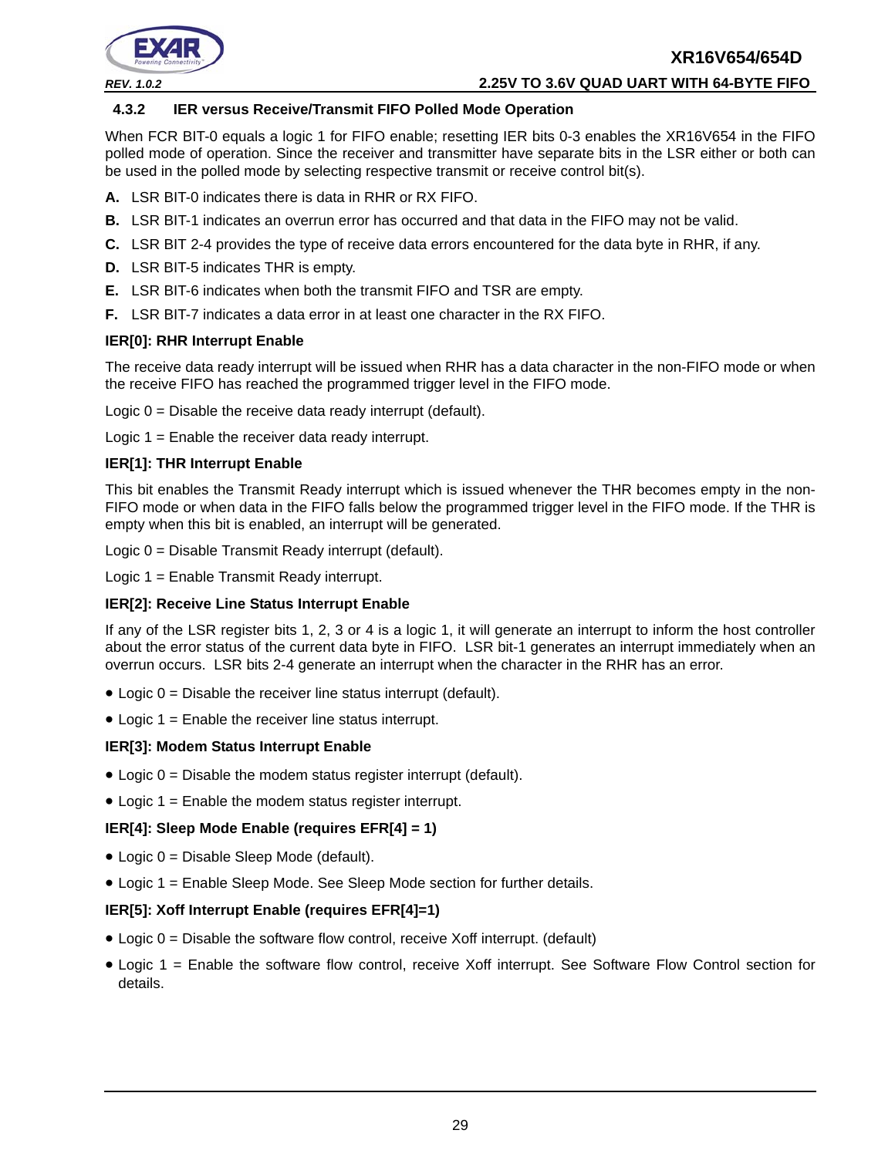



#### *REV. 1.0.2* **2.25V TO 3.6V QUAD UART WITH 64-BYTE FIFO**

#### <span id="page-28-0"></span>**4.3.2 IER versus Receive/Transmit FIFO Polled Mode Operation**

When FCR BIT-0 equals a logic 1 for FIFO enable; resetting IER bits 0-3 enables the XR16V654 in the FIFO polled mode of operation. Since the receiver and transmitter have separate bits in the LSR either or both can be used in the polled mode by selecting respective transmit or receive control bit(s).

- **A.** LSR BIT-0 indicates there is data in RHR or RX FIFO.
- **B.** LSR BIT-1 indicates an overrun error has occurred and that data in the FIFO may not be valid.
- **C.** LSR BIT 2-4 provides the type of receive data errors encountered for the data byte in RHR, if any.
- **D.** LSR BIT-5 indicates THR is empty.
- **E.** LSR BIT-6 indicates when both the transmit FIFO and TSR are empty.
- **F.** LSR BIT-7 indicates a data error in at least one character in the RX FIFO.

#### **IER[0]: RHR Interrupt Enable**

The receive data ready interrupt will be issued when RHR has a data character in the non-FIFO mode or when the receive FIFO has reached the programmed trigger level in the FIFO mode.

Logic  $0 =$  Disable the receive data ready interrupt (default).

Logic 1 = Enable the receiver data ready interrupt.

#### **IER[1]: THR Interrupt Enable**

This bit enables the Transmit Ready interrupt which is issued whenever the THR becomes empty in the non-FIFO mode or when data in the FIFO falls below the programmed trigger level in the FIFO mode. If the THR is empty when this bit is enabled, an interrupt will be generated.

Logic 0 = Disable Transmit Ready interrupt (default).

Logic 1 = Enable Transmit Ready interrupt.

#### **IER[2]: Receive Line Status Interrupt Enable**

If any of the LSR register bits 1, 2, 3 or 4 is a logic 1, it will generate an interrupt to inform the host controller about the error status of the current data byte in FIFO. LSR bit-1 generates an interrupt immediately when an overrun occurs. LSR bits 2-4 generate an interrupt when the character in the RHR has an error.

- $\bullet$  Logic  $0 =$  Disable the receiver line status interrupt (default).
- Logic 1 = Enable the receiver line status interrupt.

#### **IER[3]: Modem Status Interrupt Enable**

- $\bullet$  Logic  $0 =$  Disable the modem status register interrupt (default).
- Logic  $1 =$  Enable the modem status register interrupt.

#### **IER[4]: Sleep Mode Enable (requires EFR[4] = 1)**

- Logic 0 = Disable Sleep Mode (default).
- Logic 1 = Enable Sleep Mode. See Sleep Mode section for further details.

#### **IER[5]: Xoff Interrupt Enable (requires EFR[4]=1)**

- $\bullet$  Logic  $0 =$  Disable the software flow control, receive Xoff interrupt. (default)
- Logic 1 = Enable the software flow control, receive Xoff interrupt. See Software Flow Control section for details.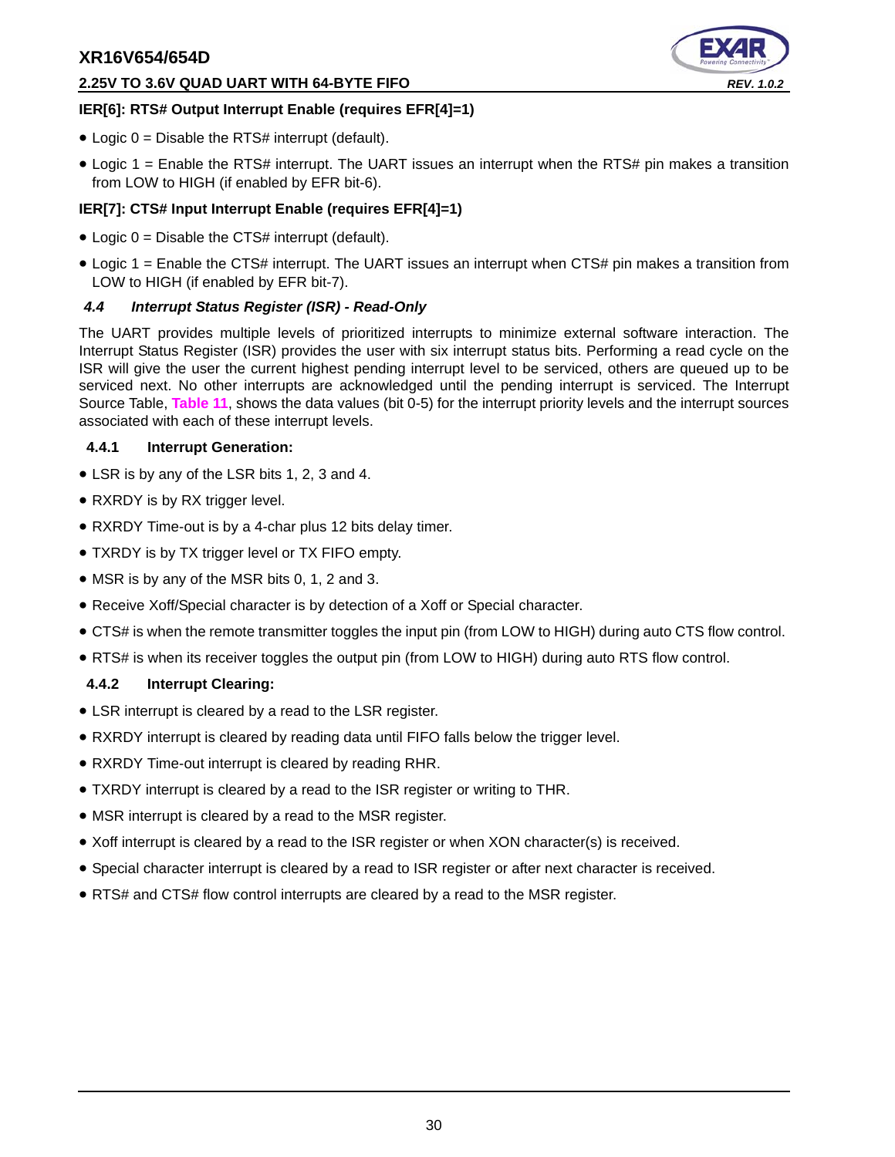#### **2.25V TO 3.6V QUAD UART WITH 64-BYTE FIFO** *REV. 1.0.2*



#### **IER[6]: RTS# Output Interrupt Enable (requires EFR[4]=1)**

- $\bullet$  Logic 0 = Disable the RTS# interrupt (default).
- Logic 1 = Enable the RTS# interrupt. The UART issues an interrupt when the RTS# pin makes a transition from LOW to HIGH (if enabled by EFR bit-6).

# **IER[7]: CTS# Input Interrupt Enable (requires EFR[4]=1)**

- $\bullet$  Logic 0 = Disable the CTS# interrupt (default).
- Logic 1 = Enable the CTS# interrupt. The UART issues an interrupt when CTS# pin makes a transition from LOW to HIGH (if enabled by EFR bit-7).

## <span id="page-29-0"></span>*4.4 Interrupt Status Register (ISR) - Read-Only*

The UART provides multiple levels of prioritized interrupts to minimize external software interaction. The Interrupt Status Register (ISR) provides the user with six interrupt status bits. Performing a read cycle on the ISR will give the user the current highest pending interrupt level to be serviced, others are queued up to be serviced next. No other interrupts are acknowledged until the pending interrupt is serviced. The Interrupt Source Table, **[Table](#page-30-0) 11**, shows the data values (bit 0-5) for the interrupt priority levels and the interrupt sources associated with each of these interrupt levels.

#### <span id="page-29-1"></span>**4.4.1 Interrupt Generation:**

- LSR is by any of the LSR bits 1, 2, 3 and 4.
- RXRDY is by RX trigger level.
- RXRDY Time-out is by a 4-char plus 12 bits delay timer.
- TXRDY is by TX trigger level or TX FIFO empty.
- MSR is by any of the MSR bits 0, 1, 2 and 3.
- Receive Xoff/Special character is by detection of a Xoff or Special character.
- CTS# is when the remote transmitter toggles the input pin (from LOW to HIGH) during auto CTS flow control.
- RTS# is when its receiver toggles the output pin (from LOW to HIGH) during auto RTS flow control.

## <span id="page-29-2"></span>**4.4.2 Interrupt Clearing:**

- LSR interrupt is cleared by a read to the LSR register.
- RXRDY interrupt is cleared by reading data until FIFO falls below the trigger level.
- RXRDY Time-out interrupt is cleared by reading RHR.
- TXRDY interrupt is cleared by a read to the ISR register or writing to THR.
- MSR interrupt is cleared by a read to the MSR register.
- Xoff interrupt is cleared by a read to the ISR register or when XON character(s) is received.
- Special character interrupt is cleared by a read to ISR register or after next character is received.
- RTS# and CTS# flow control interrupts are cleared by a read to the MSR register.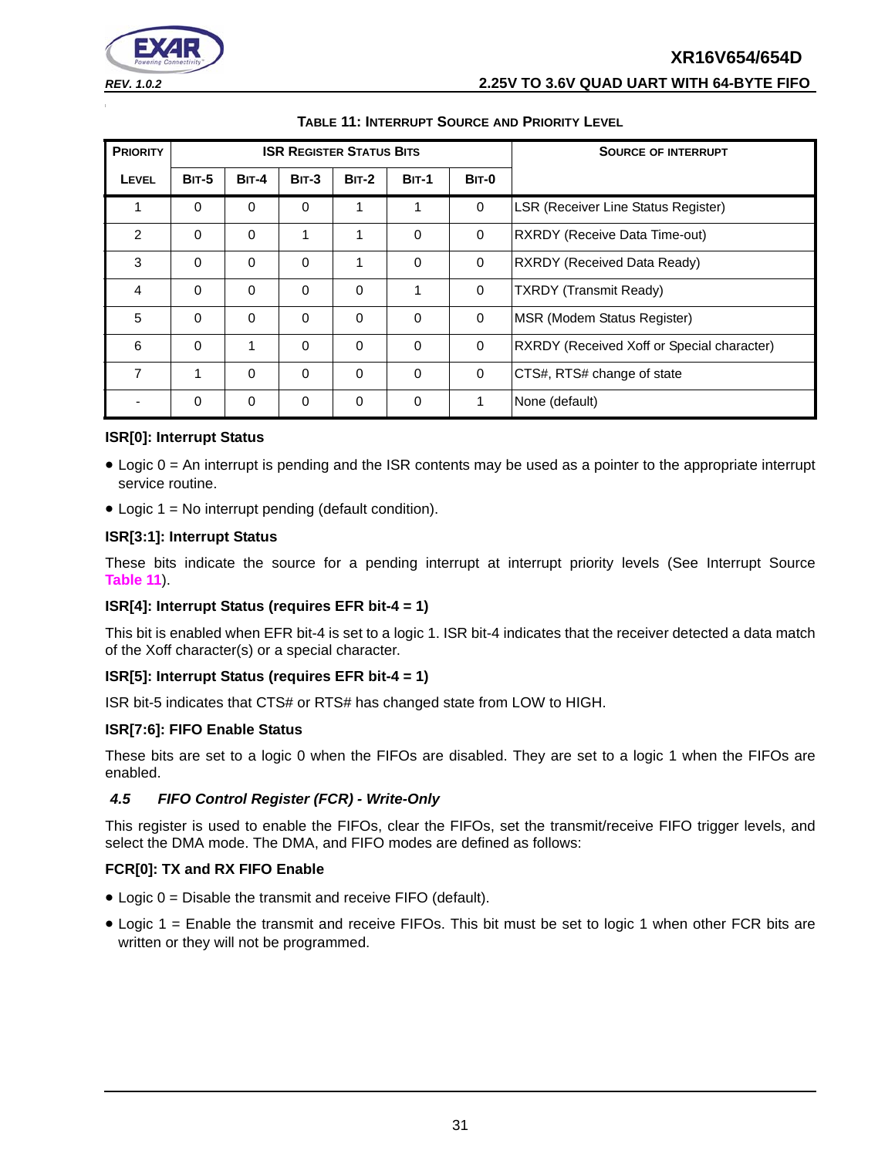| <b>REV. 1.0.2</b> | 2.25V TO 3.6V QUAD UART WITH 64-BYTE FIFO |
|-------------------|-------------------------------------------|

<span id="page-30-0"></span>

| <b>PRIORITY</b> |              |              |          | <b>ISR REGISTER STATUS BITS</b> |              | <b>SOURCE OF INTERRUPT</b> |                                                   |
|-----------------|--------------|--------------|----------|---------------------------------|--------------|----------------------------|---------------------------------------------------|
| <b>LEVEL</b>    | <b>BIT-5</b> | <b>BIT-4</b> | $BIT-3$  | $BIT-2$                         | <b>BIT-1</b> | BIT-0                      |                                                   |
| 1               | $\Omega$     | $\Omega$     | $\Omega$ | 1                               | 1            | $\mathbf 0$                | LSR (Receiver Line Status Register)               |
| 2               | $\Omega$     | $\Omega$     | 1        | 1                               | $\Omega$     | $\mathbf 0$                | RXRDY (Receive Data Time-out)                     |
| 3               | $\Omega$     | $\Omega$     | $\Omega$ | 1                               | $\Omega$     | $\mathbf 0$                | RXRDY (Received Data Ready)                       |
| 4               | $\Omega$     | $\Omega$     | $\Omega$ | $\Omega$                        | 1            | $\mathbf 0$                | <b>TXRDY</b> (Transmit Ready)                     |
| 5               | $\Omega$     | $\Omega$     | $\Omega$ | $\Omega$                        | $\Omega$     | $\Omega$                   | MSR (Modem Status Register)                       |
| 6               | $\Omega$     | 1            | $\Omega$ | $\Omega$                        | $\Omega$     | $\mathbf 0$                | <b>RXRDY</b> (Received Xoff or Special character) |
| $\overline{7}$  | 1            | $\Omega$     | $\Omega$ | $\Omega$                        | $\Omega$     | $\mathbf 0$                | CTS#, RTS# change of state                        |
|                 | $\Omega$     | $\mathbf 0$  | $\Omega$ | $\Omega$                        | $\Omega$     | 1                          | None (default)                                    |

#### **ISR[0]: Interrupt Status**

- Logic 0 = An interrupt is pending and the ISR contents may be used as a pointer to the appropriate interrupt service routine.
- $\bullet$  Logic 1 = No interrupt pending (default condition).

#### **ISR[3:1]: Interrupt Status**

These bits indicate the source for a pending interrupt at interrupt priority levels (See Interrupt Source **[Table](#page-30-0) 11**).

#### **ISR[4]: Interrupt Status (requires EFR bit-4 = 1)**

This bit is enabled when EFR bit-4 is set to a logic 1. ISR bit-4 indicates that the receiver detected a data match of the Xoff character(s) or a special character.

#### **ISR[5]: Interrupt Status (requires EFR bit-4 = 1)**

ISR bit-5 indicates that CTS# or RTS# has changed state from LOW to HIGH.

#### **ISR[7:6]: FIFO Enable Status**

These bits are set to a logic 0 when the FIFOs are disabled. They are set to a logic 1 when the FIFOs are enabled.

#### <span id="page-30-1"></span>*4.5 FIFO Control Register (FCR) - Write-Only*

This register is used to enable the FIFOs, clear the FIFOs, set the transmit/receive FIFO trigger levels, and select the DMA mode. The DMA, and FIFO modes are defined as follows:

#### **FCR[0]: TX and RX FIFO Enable**

- Logic 0 = Disable the transmit and receive FIFO (default).
- Logic 1 = Enable the transmit and receive FIFOs. This bit must be set to logic 1 when other FCR bits are written or they will not be programmed.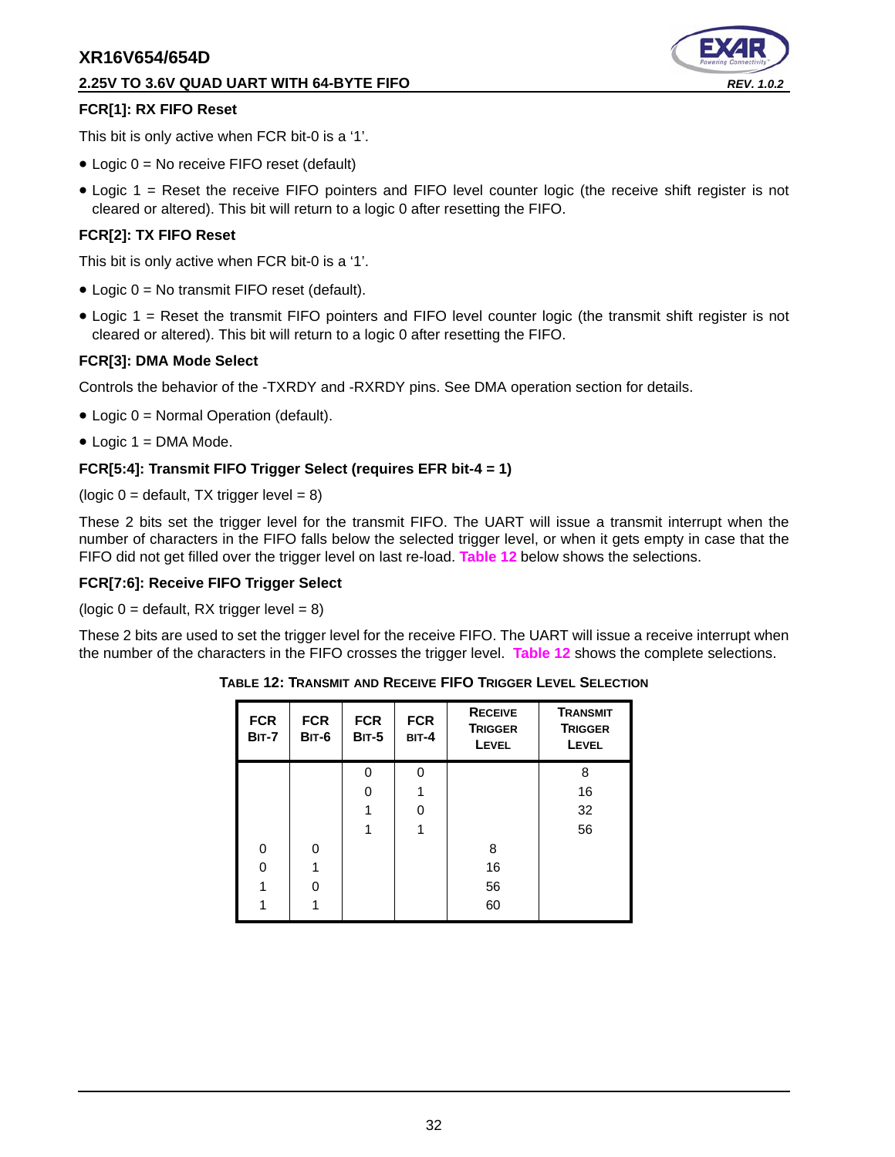#### **2.25V TO 3.6V QUAD UART WITH 64-BYTE FIFO** *REV. 1.0.2*



#### **FCR[1]: RX FIFO Reset**

This bit is only active when FCR bit-0 is a '1'.

- Logic 0 = No receive FIFO reset (default)
- Logic 1 = Reset the receive FIFO pointers and FIFO level counter logic (the receive shift register is not cleared or altered). This bit will return to a logic 0 after resetting the FIFO.

#### **FCR[2]: TX FIFO Reset**

This bit is only active when FCR bit-0 is a '1'.

- Logic 0 = No transmit FIFO reset (default).
- Logic 1 = Reset the transmit FIFO pointers and FIFO level counter logic (the transmit shift register is not cleared or altered). This bit will return to a logic 0 after resetting the FIFO.

#### **FCR[3]: DMA Mode Select**

Controls the behavior of the -TXRDY and -RXRDY pins. See DMA operation section for details.

- Logic 0 = Normal Operation (default).
- $\bullet$  Logic 1 = DMA Mode.

#### **FCR[5:4]: Transmit FIFO Trigger Select (requires EFR bit-4 = 1)**

(logic  $0 =$  default, TX trigger level = 8)

These 2 bits set the trigger level for the transmit FIFO. The UART will issue a transmit interrupt when the number of characters in the FIFO falls below the selected trigger level, or when it gets empty in case that the FIFO did not get filled over the trigger level on last re-load. **[Table](#page-31-0) 12** below shows the selections.

#### **FCR[7:6]: Receive FIFO Trigger Select**

(logic  $0 =$  default, RX trigger level = 8)

<span id="page-31-0"></span>These 2 bits are used to set the trigger level for the receive FIFO. The UART will issue a receive interrupt when the number of the characters in the FIFO crosses the trigger level. **[Table](#page-31-0) 12** shows the complete selections.

| <b>FCR</b><br><b>BIT-7</b> | <b>FCR</b><br>BIT-6 | <b>FCR</b><br><b>BIT-5</b> | <b>FCR</b><br><b>BIT-4</b> | <b>RECEIVE</b><br><b>TRIGGER</b><br><b>LEVEL</b> | <b>TRANSMIT</b><br><b>TRIGGER</b><br><b>LEVEL</b> |
|----------------------------|---------------------|----------------------------|----------------------------|--------------------------------------------------|---------------------------------------------------|
|                            |                     | O                          | 0                          |                                                  | 8                                                 |
|                            |                     | O                          | 1                          |                                                  | 16                                                |
|                            |                     |                            | O                          |                                                  | 32                                                |
|                            |                     |                            | 1                          |                                                  | 56                                                |
| $\Omega$                   | $\Omega$            |                            |                            | 8                                                |                                                   |
| O                          |                     |                            |                            | 16                                               |                                                   |
|                            | O                   |                            |                            | 56                                               |                                                   |
|                            |                     |                            |                            | 60                                               |                                                   |

**TABLE 12: TRANSMIT AND RECEIVE FIFO TRIGGER LEVEL SELECTION**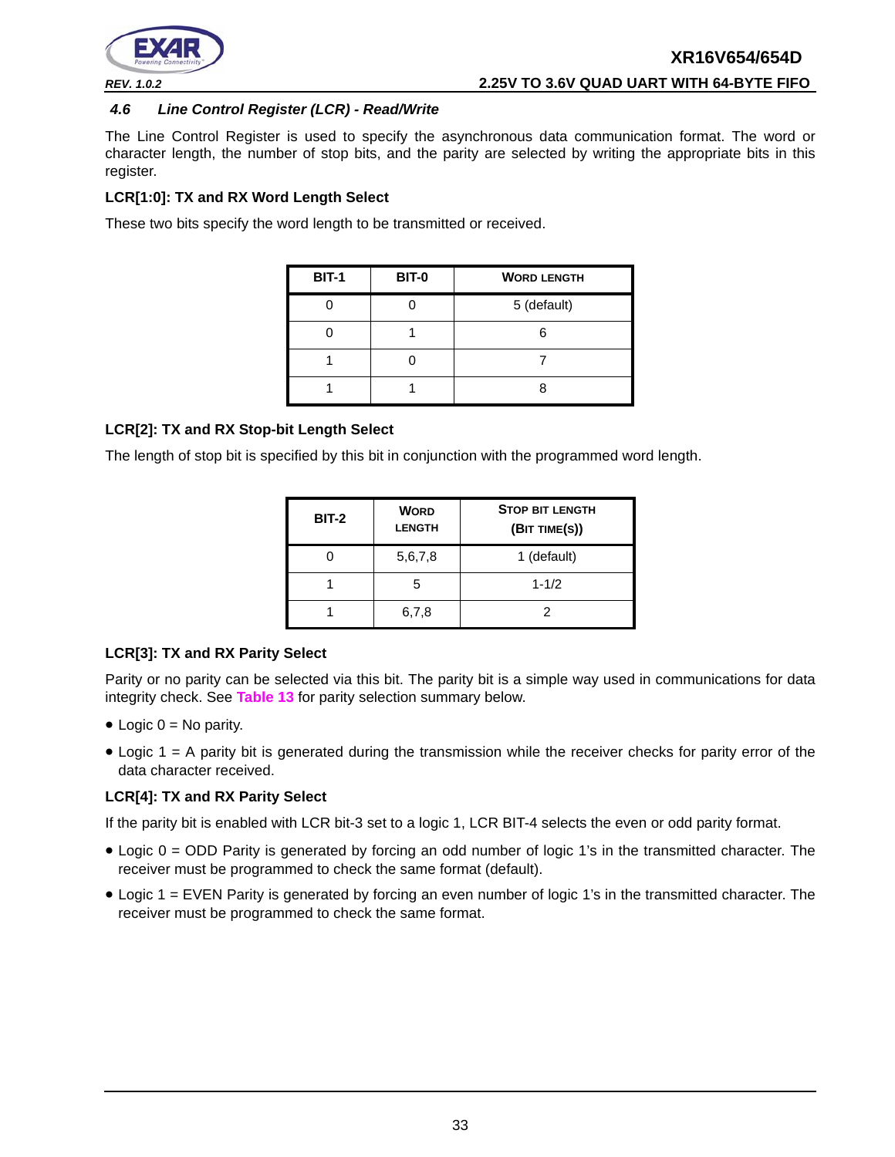

#### <span id="page-32-0"></span>*4.6 Line Control Register (LCR) - Read/Write*

The Line Control Register is used to specify the asynchronous data communication format. The word or character length, the number of stop bits, and the parity are selected by writing the appropriate bits in this register.

#### **LCR[1:0]: TX and RX Word Length Select**

These two bits specify the word length to be transmitted or received.

| <b>BIT-1</b> | BIT-0 | <b>WORD LENGTH</b> |
|--------------|-------|--------------------|
|              |       | 5 (default)        |
|              |       |                    |
|              |       |                    |
|              |       |                    |

#### **LCR[2]: TX and RX Stop-bit Length Select**

The length of stop bit is specified by this bit in conjunction with the programmed word length.

| <b>BIT-2</b> | <b>WORD</b><br><b>LENGTH</b> | <b>STOP BIT LENGTH</b><br>(BIT TIME(S)) |  |  |
|--------------|------------------------------|-----------------------------------------|--|--|
|              | 5,6,7,8                      | 1 (default)                             |  |  |
|              | $1 - 1/2$<br>5               |                                         |  |  |
|              | 6,7,8                        | 2                                       |  |  |

#### **LCR[3]: TX and RX Parity Select**

Parity or no parity can be selected via this bit. The parity bit is a simple way used in communications for data integrity check. See **[Table](#page-33-0) 13** for parity selection summary below.

- $\bullet$  Logic 0 = No parity.
- Logic 1 = A parity bit is generated during the transmission while the receiver checks for parity error of the data character received.

#### **LCR[4]: TX and RX Parity Select**

If the parity bit is enabled with LCR bit-3 set to a logic 1, LCR BIT-4 selects the even or odd parity format.

- Logic 0 = ODD Parity is generated by forcing an odd number of logic 1's in the transmitted character. The receiver must be programmed to check the same format (default).
- Logic 1 = EVEN Parity is generated by forcing an even number of logic 1's in the transmitted character. The receiver must be programmed to check the same format.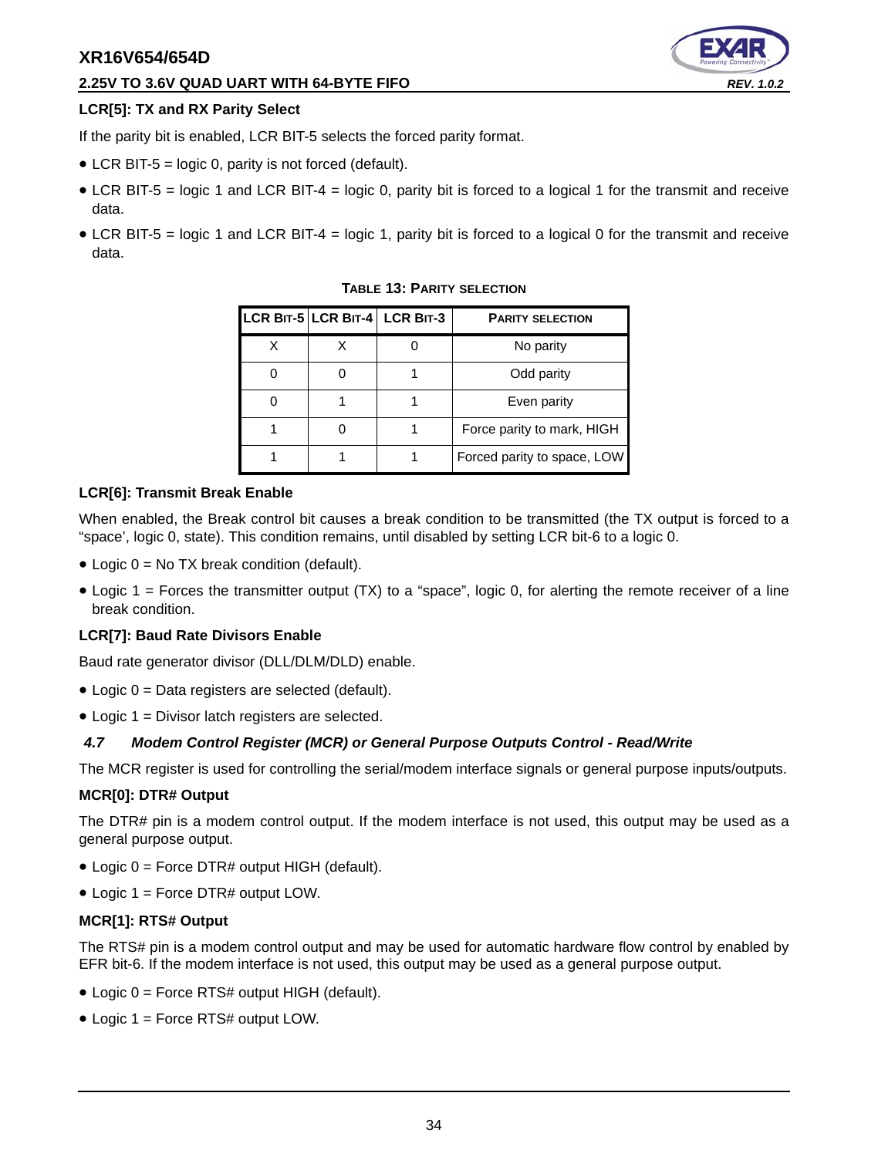#### **2.25V TO 3.6V QUAD UART WITH 64-BYTE FIFO** *REV. 1.0.2*

#### **LCR[5]: TX and RX Parity Select**

If the parity bit is enabled, LCR BIT-5 selects the forced parity format.

- LCR BIT-5 = logic 0, parity is not forced (default).
- LCR BIT-5 = logic 1 and LCR BIT-4 = logic 0, parity bit is forced to a logical 1 for the transmit and receive data.
- <span id="page-33-0"></span>• LCR BIT-5 = logic 1 and LCR BIT-4 = logic 1, parity bit is forced to a logical 0 for the transmit and receive data.

|  | LCR BIT-5 LCR BIT-4 LCR BIT-3 | <b>PARITY SELECTION</b>     |
|--|-------------------------------|-----------------------------|
|  |                               | No parity                   |
|  |                               | Odd parity                  |
|  |                               | Even parity                 |
|  |                               | Force parity to mark, HIGH  |
|  |                               | Forced parity to space, LOW |

#### **TABLE 13: PARITY SELECTION**

#### **LCR[6]: Transmit Break Enable**

When enabled, the Break control bit causes a break condition to be transmitted (the TX output is forced to a "space', logic 0, state). This condition remains, until disabled by setting LCR bit-6 to a logic 0.

- $\bullet$  Logic 0 = No TX break condition (default).
- Logic  $1 =$  Forces the transmitter output (TX) to a "space", logic 0, for alerting the remote receiver of a line break condition.

#### **LCR[7]: Baud Rate Divisors Enable**

Baud rate generator divisor (DLL/DLM/DLD) enable.

- Logic 0 = Data registers are selected (default).
- Logic 1 = Divisor latch registers are selected.

#### <span id="page-33-1"></span>*4.7 Modem Control Register (MCR) or General Purpose Outputs Control - Read/Write*

The MCR register is used for controlling the serial/modem interface signals or general purpose inputs/outputs.

#### **MCR[0]: DTR# Output**

The DTR# pin is a modem control output. If the modem interface is not used, this output may be used as a general purpose output.

- Logic 0 = Force DTR# output HIGH (default).
- Logic 1 = Force DTR# output LOW.

#### **MCR[1]: RTS# Output**

The RTS# pin is a modem control output and may be used for automatic hardware flow control by enabled by EFR bit-6. If the modem interface is not used, this output may be used as a general purpose output.

- Logic 0 = Force RTS# output HIGH (default).
- Logic 1 = Force RTS# output LOW.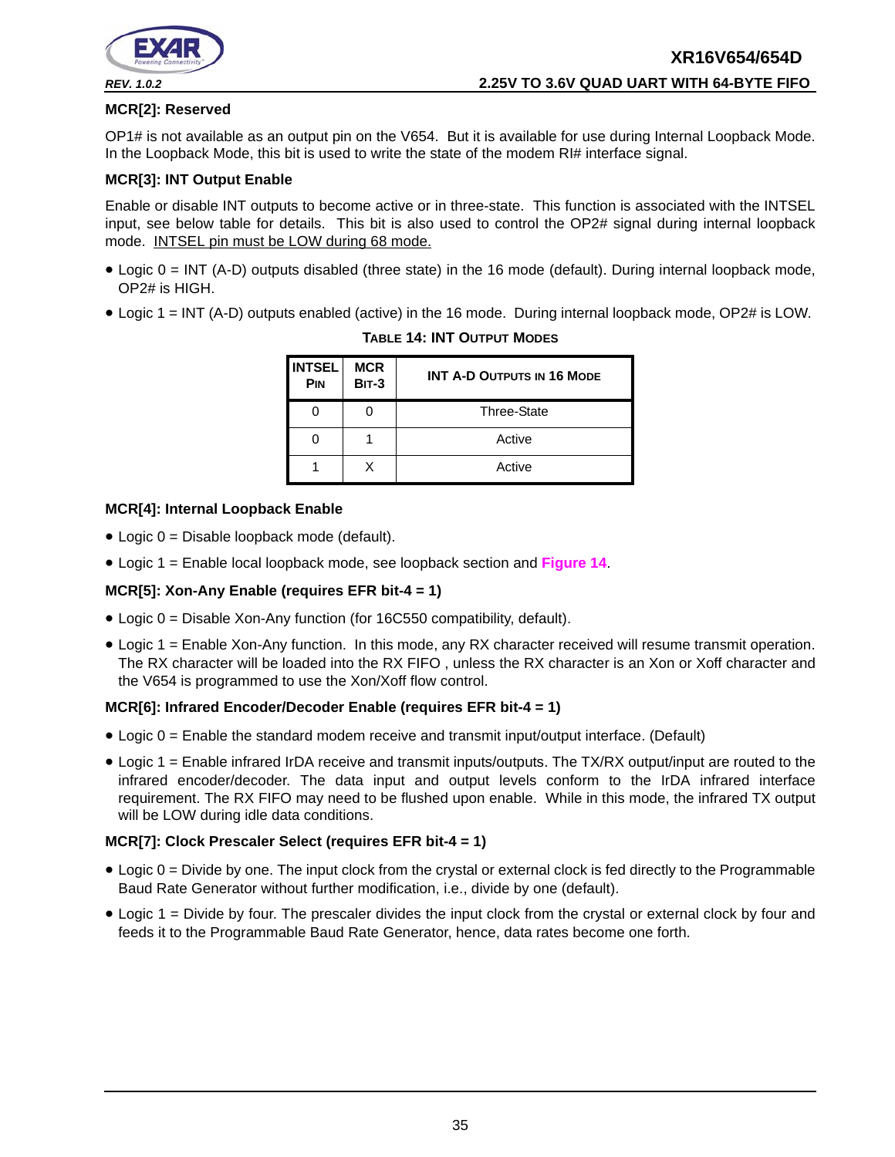

#### **MCR[2]: Reserved**

OP1# is not available as an output pin on the V654. But it is available for use during Internal Loopback Mode. In the Loopback Mode, this bit is used to write the state of the modem RI# interface signal.

#### **MCR[3]: INT Output Enable**

Enable or disable INT outputs to become active or in three-state. This function is associated with the INTSEL input, see below table for details. This bit is also used to control the OP2# signal during internal loopback mode. INTSEL pin must be LOW during 68 mode.

- Logic 0 = INT (A-D) outputs disabled (three state) in the 16 mode (default). During internal loopback mode, OP2# is HIGH.
- <span id="page-34-0"></span>• Logic 1 = INT (A-D) outputs enabled (active) in the 16 mode. During internal loopback mode, OP2# is LOW.

| <b>INTSEL</b><br><b>PIN</b> | <b>MCR</b><br><b>BIT-3</b> | <b>INT A-D OUTPUTS IN 16 MODE</b> |
|-----------------------------|----------------------------|-----------------------------------|
|                             |                            | <b>Three-State</b>                |
|                             |                            | Active                            |
|                             | x                          | Active                            |

#### **TABLE 14: INT OUTPUT MODES**

#### **MCR[4]: Internal Loopback Enable**

- Logic 0 = Disable loopback mode (default).
- Logic 1 = Enable local loopback mode, see loopback section and **[Figure](#page-24-0) 14**.

#### **MCR[5]: Xon-Any Enable (requires EFR bit-4 = 1)**

- Logic 0 = Disable Xon-Any function (for 16C550 compatibility, default).
- Logic 1 = Enable Xon-Any function. In this mode, any RX character received will resume transmit operation. The RX character will be loaded into the RX FIFO , unless the RX character is an Xon or Xoff character and the V654 is programmed to use the Xon/Xoff flow control.

#### **MCR[6]: Infrared Encoder/Decoder Enable (requires EFR bit-4 = 1)**

- Logic 0 = Enable the standard modem receive and transmit input/output interface. (Default)
- Logic 1 = Enable infrared IrDA receive and transmit inputs/outputs. The TX/RX output/input are routed to the infrared encoder/decoder. The data input and output levels conform to the IrDA infrared interface requirement. The RX FIFO may need to be flushed upon enable. While in this mode, the infrared TX output will be LOW during idle data conditions.

#### **MCR[7]: Clock Prescaler Select (requires EFR bit-4 = 1)**

- Logic 0 = Divide by one. The input clock from the crystal or external clock is fed directly to the Programmable Baud Rate Generator without further modification, i.e., divide by one (default).
- Logic 1 = Divide by four. The prescaler divides the input clock from the crystal or external clock by four and feeds it to the Programmable Baud Rate Generator, hence, data rates become one forth.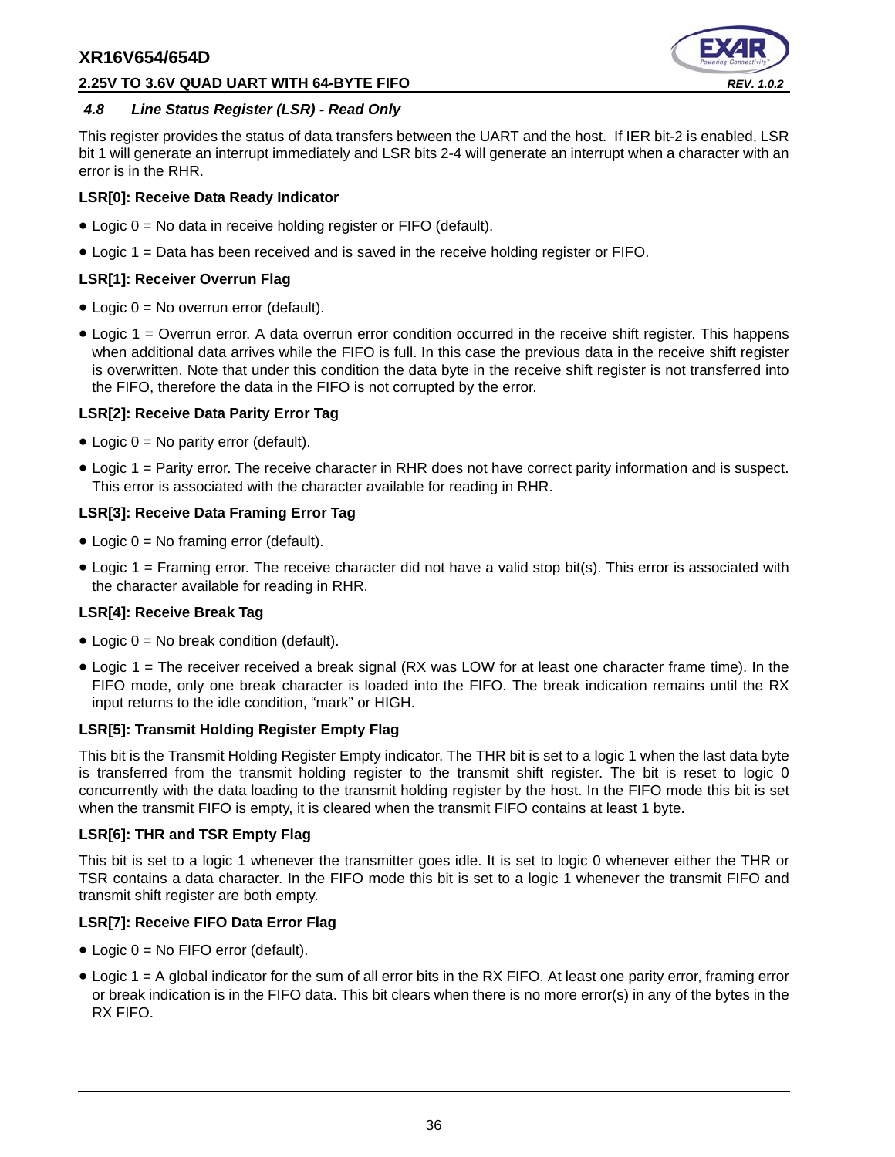#### **2.25V TO 3.6V QUAD UART WITH 64-BYTE FIFO** *REV. 1.0.2*



#### <span id="page-35-0"></span>*4.8 Line Status Register (LSR) - Read Only*

This register provides the status of data transfers between the UART and the host. If IER bit-2 is enabled, LSR bit 1 will generate an interrupt immediately and LSR bits 2-4 will generate an interrupt when a character with an error is in the RHR.

#### **LSR[0]: Receive Data Ready Indicator**

- Logic 0 = No data in receive holding register or FIFO (default).
- Logic 1 = Data has been received and is saved in the receive holding register or FIFO.

#### **LSR[1]: Receiver Overrun Flag**

- Logic 0 = No overrun error (default).
- Logic 1 = Overrun error. A data overrun error condition occurred in the receive shift register. This happens when additional data arrives while the FIFO is full. In this case the previous data in the receive shift register is overwritten. Note that under this condition the data byte in the receive shift register is not transferred into the FIFO, therefore the data in the FIFO is not corrupted by the error.

#### **LSR[2]: Receive Data Parity Error Tag**

- Logic 0 = No parity error (default).
- Logic 1 = Parity error. The receive character in RHR does not have correct parity information and is suspect. This error is associated with the character available for reading in RHR.

#### **LSR[3]: Receive Data Framing Error Tag**

- Logic  $0 = No$  framing error (default).
- Logic 1 = Framing error. The receive character did not have a valid stop bit(s). This error is associated with the character available for reading in RHR.

#### **LSR[4]: Receive Break Tag**

- Logic  $0 = No$  break condition (default).
- Logic 1 = The receiver received a break signal (RX was LOW for at least one character frame time). In the FIFO mode, only one break character is loaded into the FIFO. The break indication remains until the RX input returns to the idle condition, "mark" or HIGH.

#### **LSR[5]: Transmit Holding Register Empty Flag**

This bit is the Transmit Holding Register Empty indicator. The THR bit is set to a logic 1 when the last data byte is transferred from the transmit holding register to the transmit shift register. The bit is reset to logic 0 concurrently with the data loading to the transmit holding register by the host. In the FIFO mode this bit is set when the transmit FIFO is empty, it is cleared when the transmit FIFO contains at least 1 byte.

#### **LSR[6]: THR and TSR Empty Flag**

This bit is set to a logic 1 whenever the transmitter goes idle. It is set to logic 0 whenever either the THR or TSR contains a data character. In the FIFO mode this bit is set to a logic 1 whenever the transmit FIFO and transmit shift register are both empty.

#### **LSR[7]: Receive FIFO Data Error Flag**

- Logic 0 = No FIFO error (default).
- Logic 1 = A global indicator for the sum of all error bits in the RX FIFO. At least one parity error, framing error or break indication is in the FIFO data. This bit clears when there is no more error(s) in any of the bytes in the RX FIFO.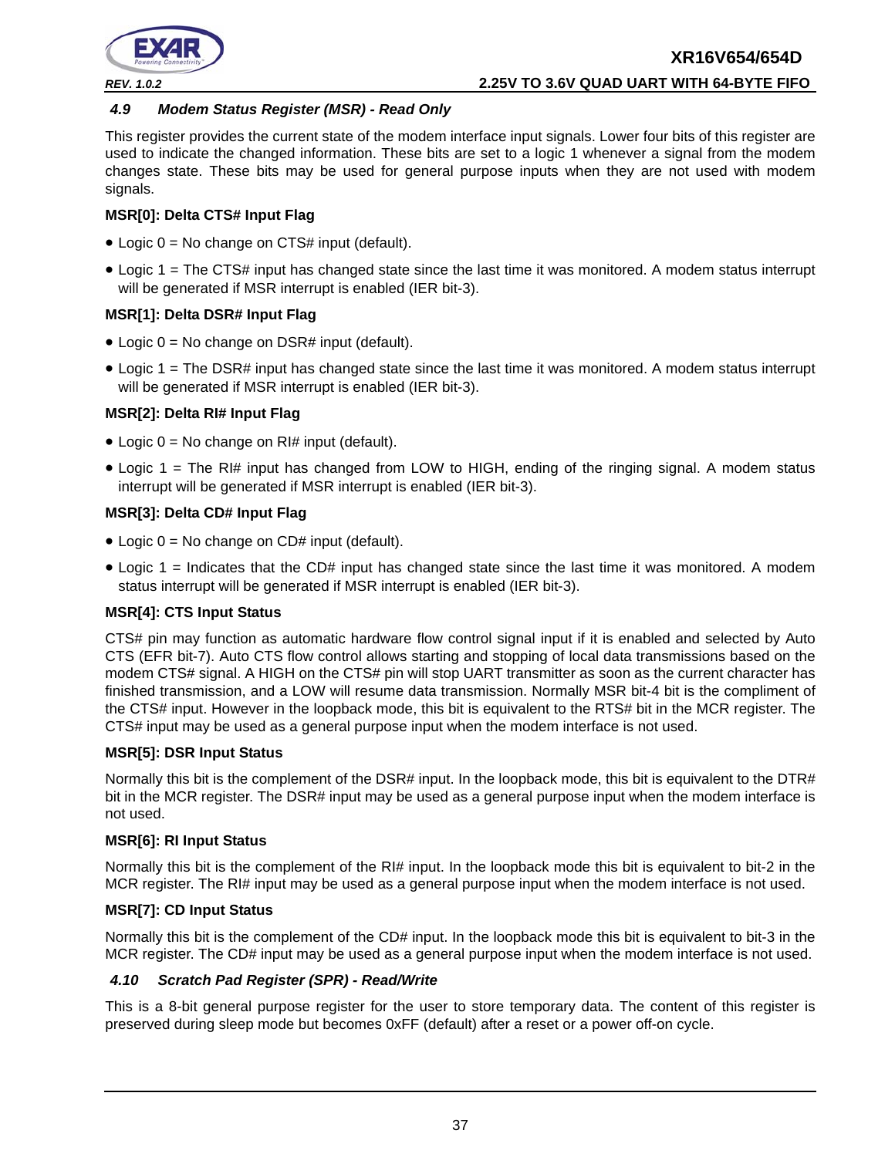

#### <span id="page-36-0"></span>*4.9 Modem Status Register (MSR) - Read Only*

This register provides the current state of the modem interface input signals. Lower four bits of this register are used to indicate the changed information. These bits are set to a logic 1 whenever a signal from the modem changes state. These bits may be used for general purpose inputs when they are not used with modem signals.

#### **MSR[0]: Delta CTS# Input Flag**

- Logic  $0 = No$  change on CTS# input (default).
- Logic 1 = The CTS# input has changed state since the last time it was monitored. A modem status interrupt will be generated if MSR interrupt is enabled (IER bit-3).

#### **MSR[1]: Delta DSR# Input Flag**

- Logic  $0 = No$  change on DSR# input (default).
- Logic 1 = The DSR# input has changed state since the last time it was monitored. A modem status interrupt will be generated if MSR interrupt is enabled (IER bit-3).

## **MSR[2]: Delta RI# Input Flag**

- Logic  $0 = No$  change on RI# input (default).
- Logic 1 = The RI# input has changed from LOW to HIGH, ending of the ringing signal. A modem status interrupt will be generated if MSR interrupt is enabled (IER bit-3).

#### **MSR[3]: Delta CD# Input Flag**

- Logic  $0 = No$  change on CD# input (default).
- Logic 1 = Indicates that the CD# input has changed state since the last time it was monitored. A modem status interrupt will be generated if MSR interrupt is enabled (IER bit-3).

#### **MSR[4]: CTS Input Status**

CTS# pin may function as automatic hardware flow control signal input if it is enabled and selected by Auto CTS (EFR bit-7). Auto CTS flow control allows starting and stopping of local data transmissions based on the modem CTS# signal. A HIGH on the CTS# pin will stop UART transmitter as soon as the current character has finished transmission, and a LOW will resume data transmission. Normally MSR bit-4 bit is the compliment of the CTS# input. However in the loopback mode, this bit is equivalent to the RTS# bit in the MCR register. The CTS# input may be used as a general purpose input when the modem interface is not used.

#### **MSR[5]: DSR Input Status**

Normally this bit is the complement of the DSR# input. In the loopback mode, this bit is equivalent to the DTR# bit in the MCR register. The DSR# input may be used as a general purpose input when the modem interface is not used.

#### **MSR[6]: RI Input Status**

Normally this bit is the complement of the RI# input. In the loopback mode this bit is equivalent to bit-2 in the MCR register. The RI# input may be used as a general purpose input when the modem interface is not used.

#### **MSR[7]: CD Input Status**

Normally this bit is the complement of the CD# input. In the loopback mode this bit is equivalent to bit-3 in the MCR register. The CD# input may be used as a general purpose input when the modem interface is not used.

#### <span id="page-36-1"></span>*4.10 Scratch Pad Register (SPR) - Read/Write*

This is a 8-bit general purpose register for the user to store temporary data. The content of this register is preserved during sleep mode but becomes 0xFF (default) after a reset or a power off-on cycle.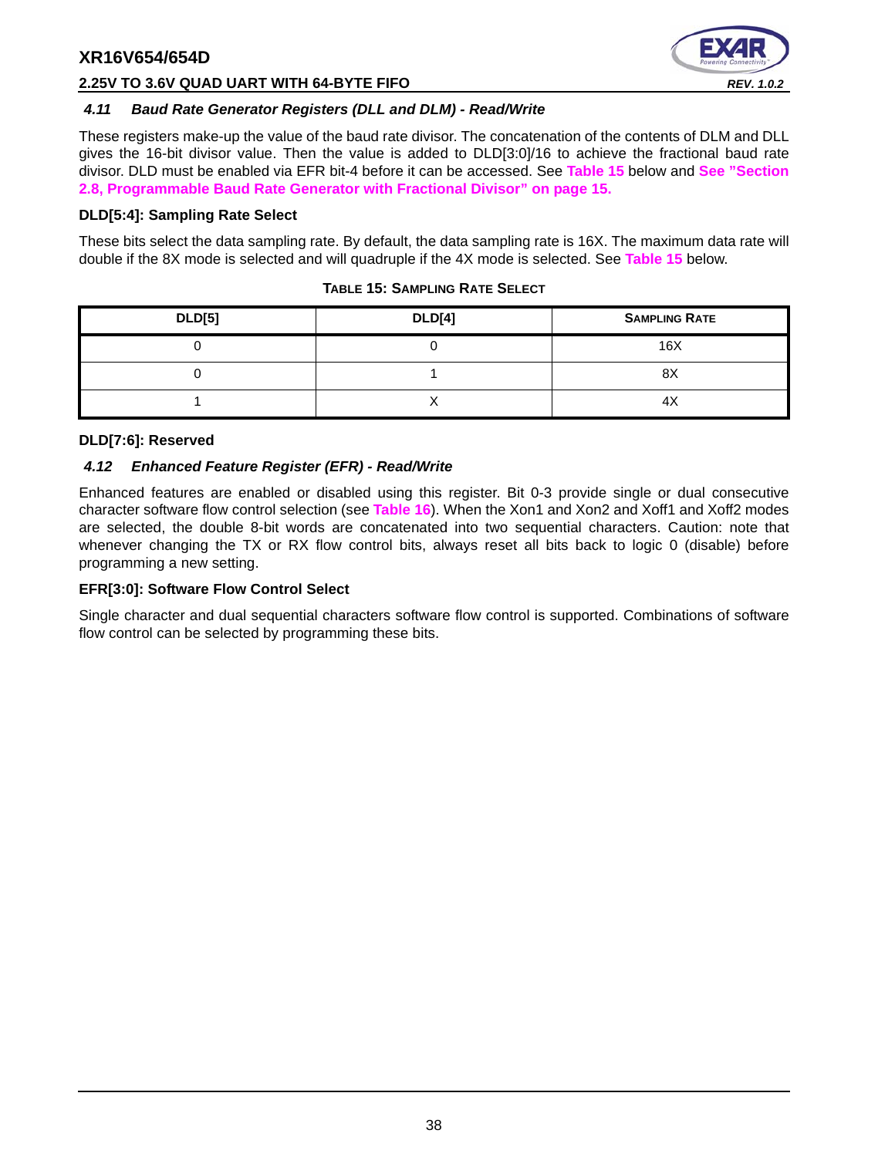

#### **2.25V TO 3.6V QUAD UART WITH 64-BYTE FIFO** *REV. 1.0.2*

#### <span id="page-37-1"></span>*4.11 Baud Rate Generator Registers (DLL and DLM) - Read/Write*

These registers make-up the value of the baud rate divisor. The concatenation of the contents of DLM and DLL gives the 16-bit divisor value. Then the value is added to DLD[3:0]/16 to achieve the fractional baud rate divisor. DLD must be enabled via EFR bit-4 before it can be accessed. See **[Table](#page-37-0) 15** below and **[See "Section](#page-14-1) [2.8, Programmable Baud Rate Generator with Fractional Divisor" on page](#page-14-1) 15.**

#### **DLD[5:4]: Sampling Rate Select**

These bits select the data sampling rate. By default, the data sampling rate is 16X. The maximum data rate will double if the 8X mode is selected and will quadruple if the 4X mode is selected. See **[Table](#page-37-0) 15** below.

<span id="page-37-0"></span>

| <b>DLD[5]</b> | <b>DLD[4]</b> | <b>SAMPLING RATE</b> |
|---------------|---------------|----------------------|
|               |               | 16X                  |
|               |               | 8X                   |
|               |               |                      |

#### **TABLE 15: SAMPLING RATE SELECT**

#### **DLD[7:6]: Reserved**

#### <span id="page-37-2"></span>*4.12 Enhanced Feature Register (EFR) - Read/Write*

Enhanced features are enabled or disabled using this register. Bit 0-3 provide single or dual consecutive character software flow control selection (see **[Table](#page-38-0) 16**). When the Xon1 and Xon2 and Xoff1 and Xoff2 modes are selected, the double 8-bit words are concatenated into two sequential characters. Caution: note that whenever changing the TX or RX flow control bits, always reset all bits back to logic 0 (disable) before programming a new setting.

#### **EFR[3:0]: Software Flow Control Select**

Single character and dual sequential characters software flow control is supported. Combinations of software flow control can be selected by programming these bits.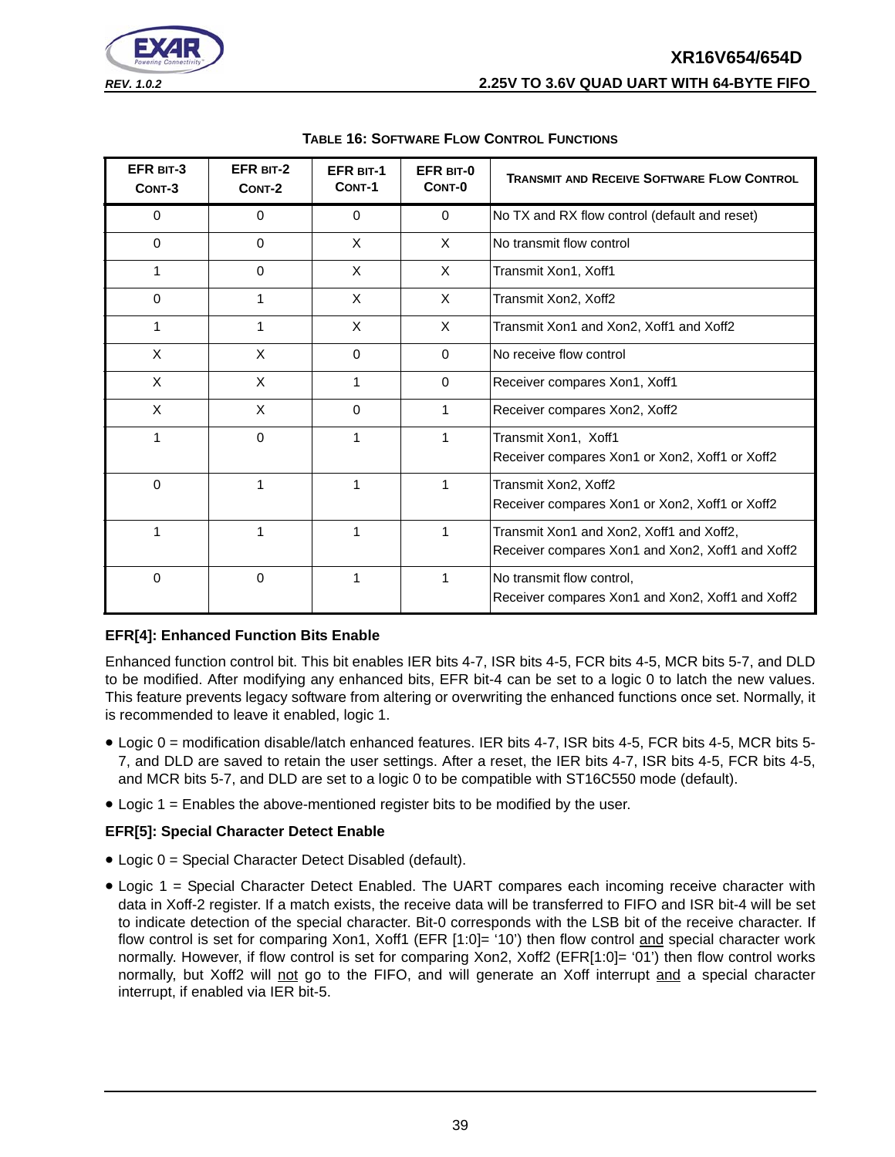# **XR16V654/654D** *REV. 1.0.2* **2.25V TO 3.6V QUAD UART WITH 64-BYTE FIFO**



<span id="page-38-0"></span>

| EFR BIT-3<br>CONT-3 | EFR BIT-2<br>CONT-2 | <b>EFR BIT-1</b><br>CONT-1 | EFR BIT-0<br>CONT-0 | <b>TRANSMIT AND RECEIVE SOFTWARE FLOW CONTROL</b>                                            |
|---------------------|---------------------|----------------------------|---------------------|----------------------------------------------------------------------------------------------|
| 0                   | $\Omega$            | $\Omega$                   | $\Omega$            | No TX and RX flow control (default and reset)                                                |
| $\Omega$            | $\Omega$            | X                          | X                   | No transmit flow control                                                                     |
|                     | $\Omega$            | X                          | X                   | Transmit Xon1, Xoff1                                                                         |
| $\Omega$            | 1                   | X                          | $\times$            | Transmit Xon2, Xoff2                                                                         |
| 1                   | 1                   | X                          | $\times$            | Transmit Xon1 and Xon2, Xoff1 and Xoff2                                                      |
| X                   | X                   | $\Omega$                   | $\Omega$            | No receive flow control                                                                      |
| X                   | X                   | 1                          | $\Omega$            | Receiver compares Xon1, Xoff1                                                                |
| X                   | X                   | $\mathbf 0$                | 1                   | Receiver compares Xon2, Xoff2                                                                |
| 1                   | $\Omega$            | 1                          | 1                   | Transmit Xon1, Xoff1<br>Receiver compares Xon1 or Xon2, Xoff1 or Xoff2                       |
| $\Omega$            | 1                   | 1                          |                     | Transmit Xon2, Xoff2<br>Receiver compares Xon1 or Xon2, Xoff1 or Xoff2                       |
| 1                   | 1                   | 1                          |                     | Transmit Xon1 and Xon2, Xoff1 and Xoff2,<br>Receiver compares Xon1 and Xon2, Xoff1 and Xoff2 |
| $\mathbf 0$         | $\mathbf 0$         | 1                          |                     | No transmit flow control,<br>Receiver compares Xon1 and Xon2, Xoff1 and Xoff2                |

#### **TABLE 16: SOFTWARE FLOW CONTROL FUNCTIONS**

## **EFR[4]: Enhanced Function Bits Enable**

Enhanced function control bit. This bit enables IER bits 4-7, ISR bits 4-5, FCR bits 4-5, MCR bits 5-7, and DLD to be modified. After modifying any enhanced bits, EFR bit-4 can be set to a logic 0 to latch the new values. This feature prevents legacy software from altering or overwriting the enhanced functions once set. Normally, it is recommended to leave it enabled, logic 1.

- Logic 0 = modification disable/latch enhanced features. IER bits 4-7, ISR bits 4-5, FCR bits 4-5, MCR bits 5- 7, and DLD are saved to retain the user settings. After a reset, the IER bits 4-7, ISR bits 4-5, FCR bits 4-5, and MCR bits 5-7, and DLD are set to a logic 0 to be compatible with ST16C550 mode (default).
- Logic 1 = Enables the above-mentioned register bits to be modified by the user.

#### **EFR[5]: Special Character Detect Enable**

- Logic 0 = Special Character Detect Disabled (default).
- Logic 1 = Special Character Detect Enabled. The UART compares each incoming receive character with data in Xoff-2 register. If a match exists, the receive data will be transferred to FIFO and ISR bit-4 will be set to indicate detection of the special character. Bit-0 corresponds with the LSB bit of the receive character. If flow control is set for comparing Xon1, Xoff1 (EFR [1:0]= '10') then flow control and special character work normally. However, if flow control is set for comparing Xon2, Xoff2 (EFR[1:0]= '01') then flow control works normally, but Xoff2 will not go to the FIFO, and will generate an Xoff interrupt and a special character interrupt, if enabled via IER bit-5.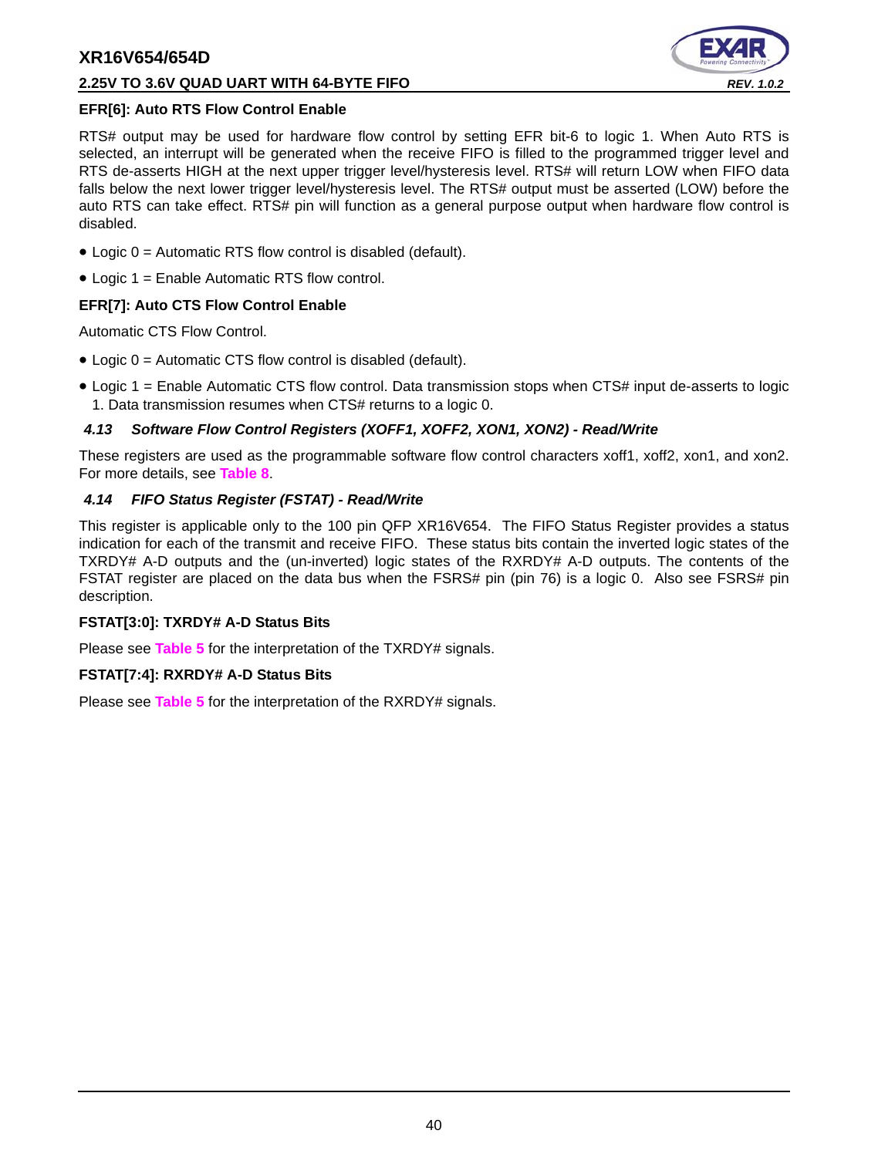#### **2.25V TO 3.6V QUAD UART WITH 64-BYTE FIFO** *REV. 1.0.2*



#### **EFR[6]: Auto RTS Flow Control Enable**

RTS# output may be used for hardware flow control by setting EFR bit-6 to logic 1. When Auto RTS is selected, an interrupt will be generated when the receive FIFO is filled to the programmed trigger level and RTS de-asserts HIGH at the next upper trigger level/hysteresis level. RTS# will return LOW when FIFO data falls below the next lower trigger level/hysteresis level. The RTS# output must be asserted (LOW) before the auto RTS can take effect. RTS# pin will function as a general purpose output when hardware flow control is disabled.

- Logic 0 = Automatic RTS flow control is disabled (default).
- Logic 1 = Enable Automatic RTS flow control.

## **EFR[7]: Auto CTS Flow Control Enable**

Automatic CTS Flow Control.

- Logic 0 = Automatic CTS flow control is disabled (default).
- Logic 1 = Enable Automatic CTS flow control. Data transmission stops when CTS# input de-asserts to logic 1. Data transmission resumes when CTS# returns to a logic 0.

#### <span id="page-39-0"></span>*4.13 Software Flow Control Registers (XOFF1, XOFF2, XON1, XON2) - Read/Write*

These registers are used as the programmable software flow control characters xoff1, xoff2, xon1, and xon2. For more details, see **[Table](#page-21-0) 8**.

#### <span id="page-39-1"></span>*4.14 FIFO Status Register (FSTAT) - Read/Write*

This register is applicable only to the 100 pin QFP XR16V654. The FIFO Status Register provides a status indication for each of the transmit and receive FIFO. These status bits contain the inverted logic states of the TXRDY# A-D outputs and the (un-inverted) logic states of the RXRDY# A-D outputs. The contents of the FSTAT register are placed on the data bus when the FSRS# pin (pin 76) is a logic 0. Also see FSRS# pin description.

#### **FSTAT[3:0]: TXRDY# A-D Status Bits**

Please see **[Table](#page-14-0) 5** for the interpretation of the TXRDY# signals.

#### **FSTAT[7:4]: RXRDY# A-D Status Bits**

Please see **[Table](#page-14-0) 5** for the interpretation of the RXRDY# signals.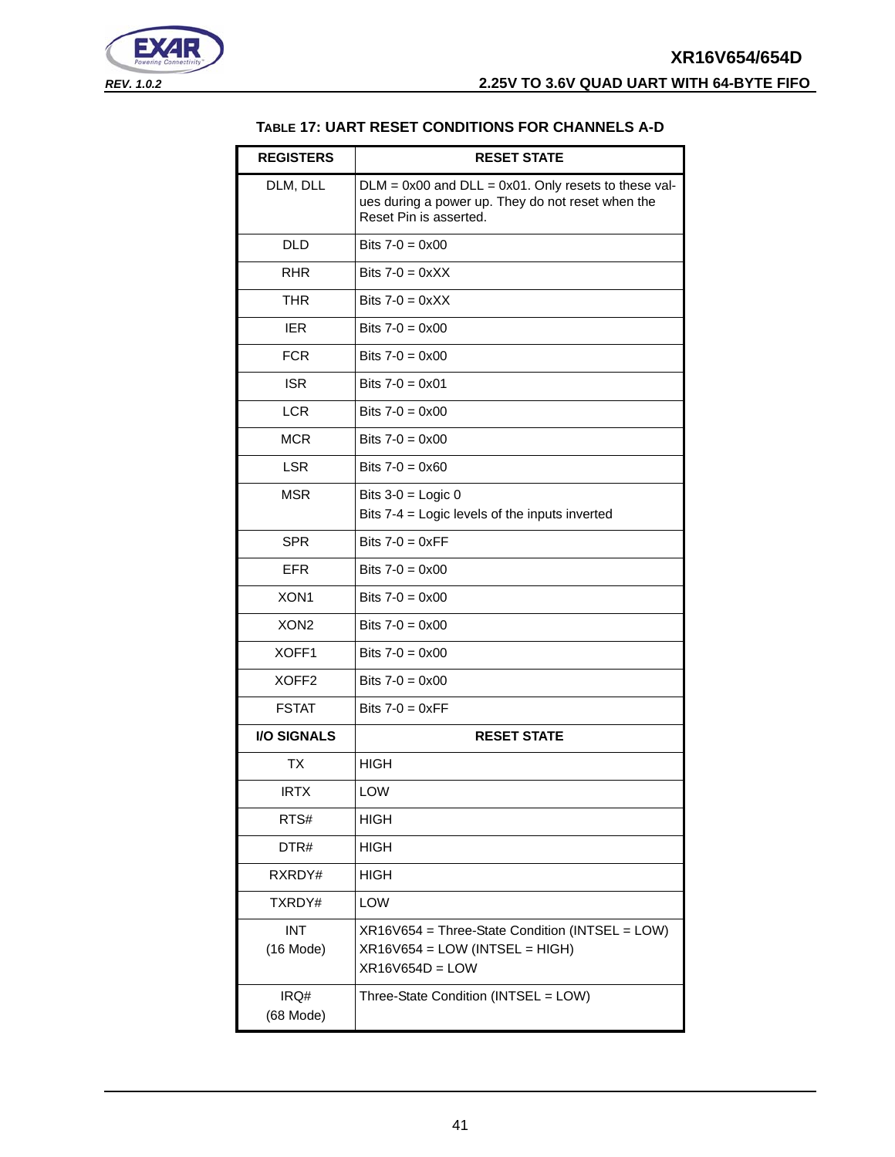<span id="page-40-0"></span>



#### **TABLE 17: UART RESET CONDITIONS FOR CHANNELS A-D**

| <b>REGISTERS</b>          | <b>RESET STATE</b>                                                                                                                       |
|---------------------------|------------------------------------------------------------------------------------------------------------------------------------------|
| DLM, DLL                  | $DLM = 0x00$ and $DLL = 0x01$ . Only resets to these val-<br>ues during a power up. They do not reset when the<br>Reset Pin is asserted. |
| <b>DLD</b>                | Bits $7 - 0 = 0 \times 00$                                                                                                               |
| <b>RHR</b>                | Bits $7-0 = 0 \times X$                                                                                                                  |
| <b>THR</b>                | Bits $7-0 = 0 \times XX$                                                                                                                 |
| <b>IER</b>                | Bits $7-0 = 0 \times 00$                                                                                                                 |
| <b>FCR</b>                | Bits $7-0 = 0 \times 00$                                                                                                                 |
| <b>ISR</b>                | Bits $7 - 0 = 0 \times 01$                                                                                                               |
| <b>LCR</b>                | Bits $7 - 0 = 0 \times 00$                                                                                                               |
| <b>MCR</b>                | Bits $7-0 = 0 \times 00$                                                                                                                 |
| <b>LSR</b>                | Bits $7-0 = 0 \times 60$                                                                                                                 |
| <b>MSR</b>                | Bits $3-0 =$ Logic 0                                                                                                                     |
|                           | Bits 7-4 = Logic levels of the inputs inverted                                                                                           |
| <b>SPR</b>                | Bits $7-0 = 0 \times FF$                                                                                                                 |
| <b>EFR</b>                | Bits $7 - 0 = 0 \times 00$                                                                                                               |
| XON <sub>1</sub>          | Bits $7-0 = 0 \times 00$                                                                                                                 |
| XON <sub>2</sub>          | Bits $7-0 = 0 \times 00$                                                                                                                 |
| XOFF1                     | Bits $7-0 = 0 \times 00$                                                                                                                 |
| XOFF <sub>2</sub>         | Bits $7-0 = 0 \times 00$                                                                                                                 |
| <b>FSTAT</b>              | Bits $7-0 = 0 \times FF$                                                                                                                 |
| <b>I/O SIGNALS</b>        | <b>RESET STATE</b>                                                                                                                       |
| ТX                        | <b>HIGH</b>                                                                                                                              |
| <b>IRTX</b>               | LOW                                                                                                                                      |
| RTS#                      | <b>HIGH</b>                                                                                                                              |
| DTR#                      | <b>HIGH</b>                                                                                                                              |
| RXRDY#                    | <b>HIGH</b>                                                                                                                              |
| TXRDY#                    | LOW                                                                                                                                      |
| <b>INT</b><br>$(16$ Mode) | XR16V654 = Three-State Condition (INTSEL = LOW)<br>$XR16V654 = LOW (INTSEL = HIGH)$<br>$XR16V654D = LOW$                                 |
| IRQ#<br>(68 Mode)         | Three-State Condition (INTSEL = LOW)                                                                                                     |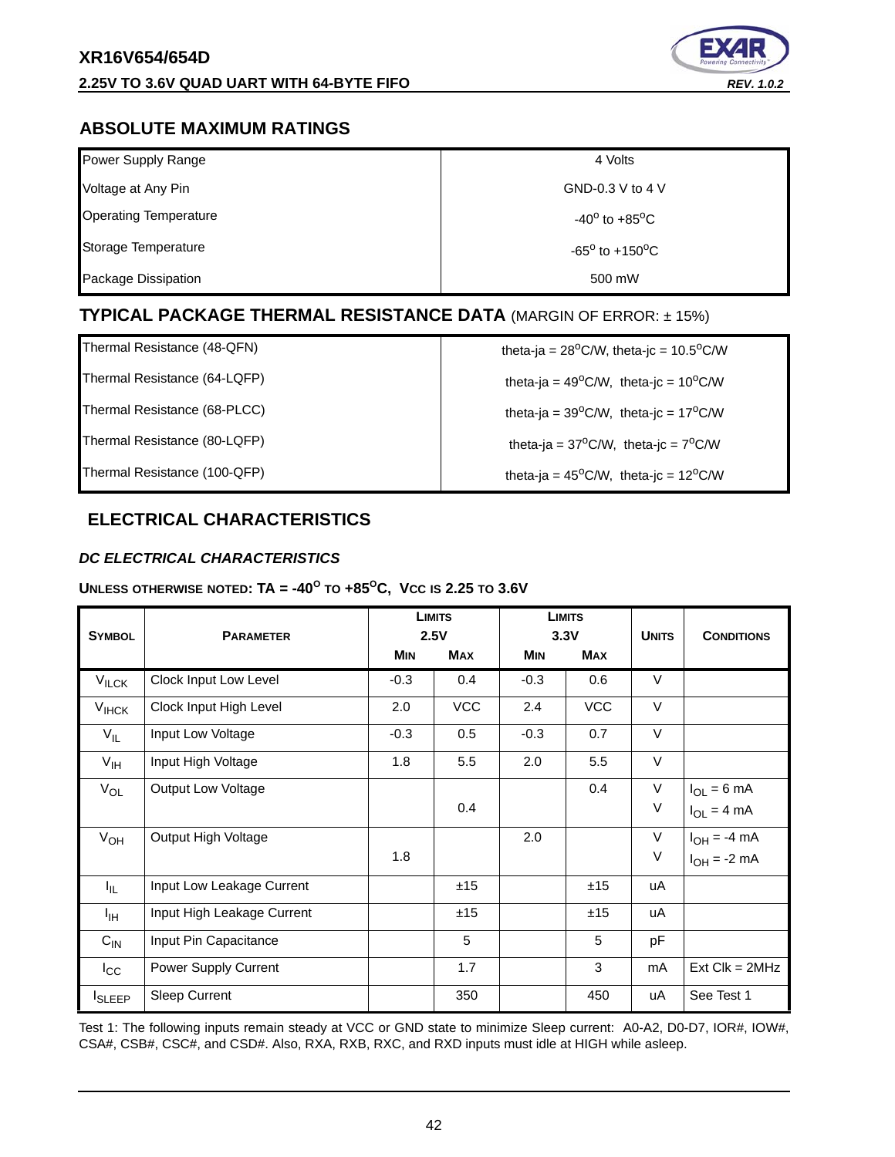

# <span id="page-41-1"></span>**ABSOLUTE MAXIMUM RATINGS**

| Power Supply Range           | 4 Volts                           |
|------------------------------|-----------------------------------|
| Voltage at Any Pin           | GND-0.3 V to 4 V                  |
| <b>Operating Temperature</b> | $-40^{\circ}$ to $+85^{\circ}$ C  |
| Storage Temperature          | $-65^{\circ}$ to $+150^{\circ}$ C |
| Package Dissipation          | 500 mW                            |

# <span id="page-41-2"></span>**TYPICAL PACKAGE THERMAL RESISTANCE DATA** (MARGIN OF ERROR: ± 15%)

Thermal Resistance (64-LQFP)  $\qquad \qquad$  theta-ja = 49<sup>o</sup>C/W, theta-jc = 10<sup>o</sup>C/W

Thermal Resistance (68-PLCC) theta-ja =  $39^{\circ}$ C/W, theta-jc =  $17^{\circ}$ C/W

Thermal Resistance (48-QFN)  $\qquad \qquad$  theta-ja = 28<sup>o</sup>C/W, theta-jc = 10.5<sup>o</sup>C/W

Thermal Resistance (80-LQFP) theta-ja =  $37^{\circ}$ C/W, theta-jc =  $7^{\circ}$ C/W

Thermal Resistance (100-QFP) theta-ja = 45<sup>o</sup>C/W, theta-jc = 12<sup>o</sup>C/W

# <span id="page-41-3"></span>**ELECTRICAL CHARACTERISTICS**

## <span id="page-41-0"></span>*DC ELECTRICAL CHARACTERISTICS*

## **UNLESS OTHERWISE NOTED: TA =**  $-40^{\circ}$  **TO**  $+85^{\circ}$ **C, Vcc is 2.25 TO 3.6V**

| <b>SYMBOL</b>     | <b>PARAMETER</b>           | <b>LIMITS</b><br>2.5V |            | <b>LIMITS</b><br>3.3V |            | <b>UNITS</b> | <b>CONDITIONS</b>  |
|-------------------|----------------------------|-----------------------|------------|-----------------------|------------|--------------|--------------------|
|                   |                            | <b>MIN</b>            | <b>MAX</b> | <b>MIN</b>            | <b>MAX</b> |              |                    |
| $V_{\text{ILCK}}$ | Clock Input Low Level      | $-0.3$                | 0.4        | $-0.3$                | 0.6        | $\vee$       |                    |
| $V_{HCK}$         | Clock Input High Level     | 2.0                   | <b>VCC</b> | 2.4                   | <b>VCC</b> | $\vee$       |                    |
| $V_{IL}$          | Input Low Voltage          | $-0.3$                | 0.5        | $-0.3$                | 0.7        | $\vee$       |                    |
| $V_{\text{IH}}$   | Input High Voltage         | 1.8                   | 5.5        | 2.0                   | 5.5        | $\vee$       |                    |
| $V_{OL}$          | Output Low Voltage         |                       |            |                       | 0.4        | $\vee$       | $I_{OL} = 6$ mA    |
|                   |                            |                       | 0.4        |                       |            | $\vee$       | $I_{OL} = 4 mA$    |
| $V_{OH}$          | Output High Voltage        |                       |            | 2.0                   |            | $\vee$       | $I_{OH} = -4$ mA   |
|                   |                            | 1.8                   |            |                       |            | V            | $I_{OH} = -2$ mA   |
| I <sub>IL</sub>   | Input Low Leakage Current  |                       | ±15        |                       | ±15        | uA           |                    |
| ŀщ                | Input High Leakage Current |                       | ±15        |                       | ±15        | uA           |                    |
| $C_{IN}$          | Input Pin Capacitance      |                       | 5          |                       | 5          | pF           |                    |
| $I_{\rm CC}$      | Power Supply Current       |                       | 1.7        |                       | 3          | mA           | $Ext$ Clk = $2MHz$ |
| <b>I</b> SLEEP    | <b>Sleep Current</b>       |                       | 350        |                       | 450        | uA           | See Test 1         |

Test 1: The following inputs remain steady at VCC or GND state to minimize Sleep current: A0-A2, D0-D7, IOR#, IOW#, CSA#, CSB#, CSC#, and CSD#. Also, RXA, RXB, RXC, and RXD inputs must idle at HIGH while asleep.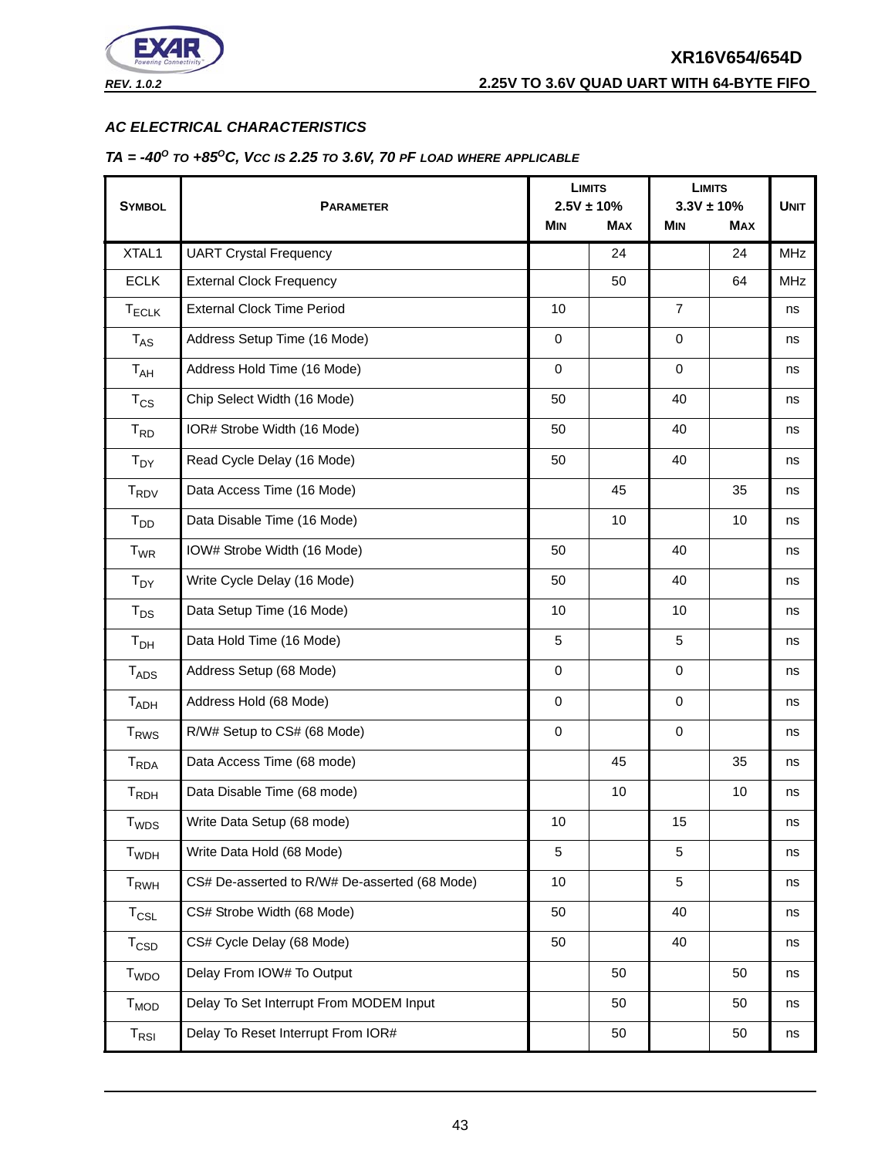

#### <span id="page-42-0"></span>*AC ELECTRICAL CHARACTERISTICS*

#### <span id="page-42-1"></span>*TA = -40O TO +85OC, VCC IS 2.25 TO 3.6V, 70 PF LOAD WHERE APPLICABLE*

|                             |                                               |             | <b>LIMITS</b>                 |                | <b>LIMITS</b>                |             |
|-----------------------------|-----------------------------------------------|-------------|-------------------------------|----------------|------------------------------|-------------|
| <b>SYMBOL</b>               | <b>PARAMETER</b>                              | <b>MIN</b>  | $2.5V \pm 10\%$<br><b>MAX</b> | <b>MIN</b>     | $3.3V \pm 10%$<br><b>MAX</b> | <b>UNIT</b> |
|                             |                                               |             |                               |                |                              |             |
| XTAL1                       | <b>UART Crystal Frequency</b>                 |             | 24                            |                | 24                           | MHz         |
| <b>ECLK</b>                 | <b>External Clock Frequency</b>               |             | 50                            |                | 64                           | <b>MHz</b>  |
| $T_{ECLK}$                  | <b>External Clock Time Period</b>             | 10          |                               | $\overline{7}$ |                              | ns          |
| $T_{AS}$                    | Address Setup Time (16 Mode)                  | $\mathbf 0$ |                               | 0              |                              | ns          |
| T <sub>AH</sub>             | Address Hold Time (16 Mode)                   | $\mathbf 0$ |                               | $\mathbf 0$    |                              | ns          |
| $T_{CS}$                    | Chip Select Width (16 Mode)                   | 50          |                               | 40             |                              | ns          |
| $T_{RD}$                    | IOR# Strobe Width (16 Mode)                   | 50          |                               | 40             |                              | ns          |
| $T_{DY}$                    | Read Cycle Delay (16 Mode)                    | 50          |                               | 40             |                              | ns          |
| T <sub>RDV</sub>            | Data Access Time (16 Mode)                    |             | 45                            |                | 35                           | ns          |
| $T_{DD}$                    | Data Disable Time (16 Mode)                   |             | 10                            |                | 10                           | ns          |
| $T_{WR}$                    | IOW# Strobe Width (16 Mode)                   | 50          |                               | 40             |                              | ns          |
| $T_{DY}$                    | Write Cycle Delay (16 Mode)                   | 50          |                               | 40             |                              | ns          |
| $T_{DS}$                    | Data Setup Time (16 Mode)                     | 10          |                               | 10             |                              | ns          |
| $T_{DH}$                    | Data Hold Time (16 Mode)                      | 5           |                               | 5              |                              | ns          |
| <b>TADS</b>                 | Address Setup (68 Mode)                       | $\mathbf 0$ |                               | 0              |                              | ns          |
| T <sub>ADH</sub>            | Address Hold (68 Mode)                        | $\mathbf 0$ |                               | $\mathbf 0$    |                              | ns          |
| <b>T<sub>RWS</sub></b>      | R/W# Setup to CS# (68 Mode)                   | $\mathbf 0$ |                               | 0              |                              | ns          |
| <b>T</b> <sub>RDA</sub>     | Data Access Time (68 mode)                    |             | 45                            |                | 35                           | ns          |
| T <sub>RDH</sub>            | Data Disable Time (68 mode)                   |             | 10                            |                | 10                           | ns          |
| <b>T</b> <sub>WDS</sub>     | Write Data Setup (68 mode)                    | 10          |                               | 15             |                              | ns          |
| <b>T</b> <sub>WDH</sub>     | Write Data Hold (68 Mode)                     | 5           |                               | 5              |                              | ns          |
| $T_{RWH}$                   | CS# De-asserted to R/W# De-asserted (68 Mode) | 10          |                               | 5              |                              | ns          |
| $T_{CSL}$                   | CS# Strobe Width (68 Mode)                    | 50          |                               | 40             |                              | ns          |
| $T_{\texttt{CSD}}$          | CS# Cycle Delay (68 Mode)                     | 50          |                               | 40             |                              | ns          |
| T <sub>WDO</sub>            | Delay From IOW# To Output                     |             | 50                            |                | 50                           | ns          |
| <b>T<sub>MOD</sub></b>      | Delay To Set Interrupt From MODEM Input       |             | 50                            |                | 50                           | ns          |
| $\mathsf{T}_{\mathsf{RSI}}$ | Delay To Reset Interrupt From IOR#            |             | 50                            |                | 50                           | ns          |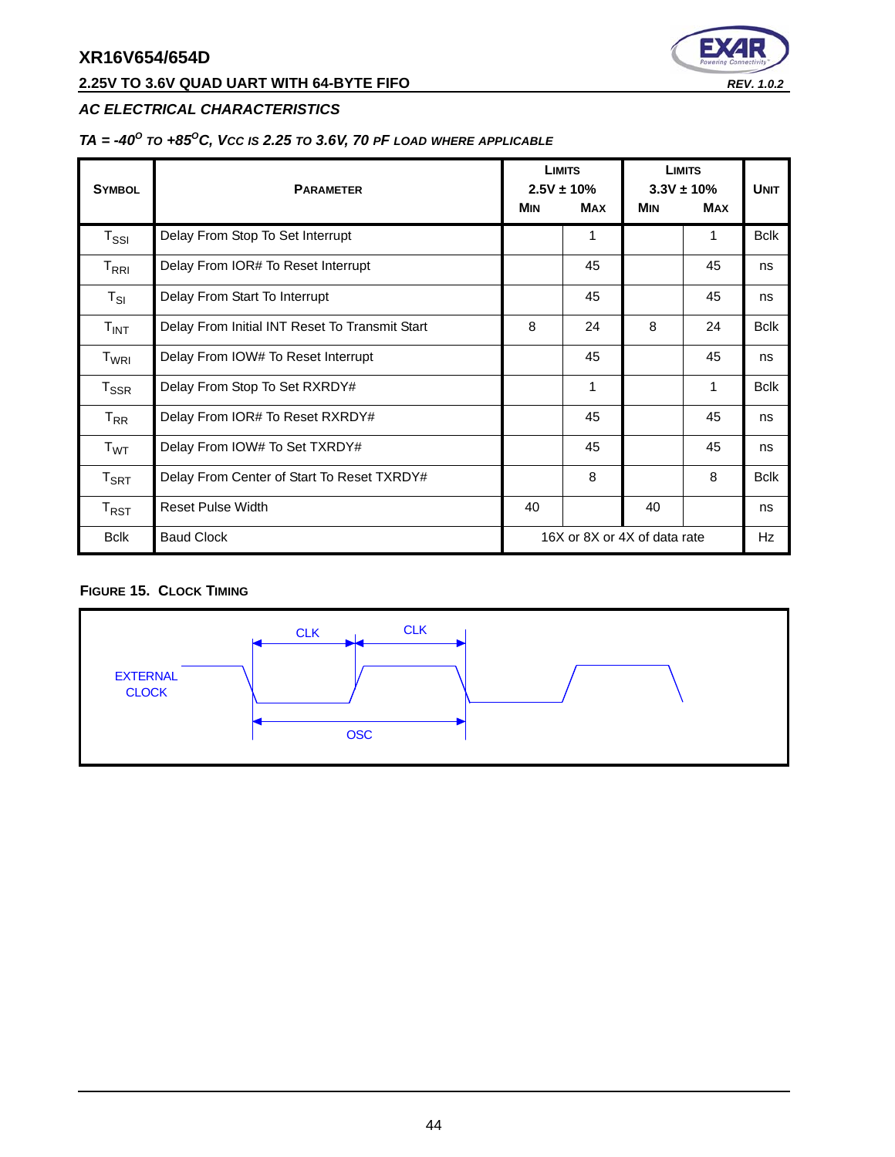# **2.25V TO 3.6V QUAD UART WITH 64-BYTE FIFO** *REV. 1.0.2*



# *AC ELECTRICAL CHARACTERISTICS*

# *TA = -40O TO +85OC, VCC IS 2.25 TO 3.6V, 70 PF LOAD WHERE APPLICABLE*

| <b>SYMBOL</b>                                 | <b>PARAMETER</b>                               |                              | <b>LIMITS</b><br>$2.5V \pm 10\%$ | <b>LIMITS</b><br>$3.3V \pm 10\%$ |            | <b>UNIT</b> |
|-----------------------------------------------|------------------------------------------------|------------------------------|----------------------------------|----------------------------------|------------|-------------|
|                                               |                                                | <b>MIN</b>                   | <b>MAX</b>                       | <b>MIN</b>                       | <b>MAX</b> |             |
| $\mathsf{T}_{\mathsf{SSI}}$                   | Delay From Stop To Set Interrupt               |                              | 1                                |                                  | 1          | <b>Bclk</b> |
| $\mathsf{T}_{\mathsf{R}\mathsf{R}\mathsf{I}}$ | Delay From IOR# To Reset Interrupt             |                              | 45                               |                                  | 45         | ns          |
| $T_{SI}$                                      | Delay From Start To Interrupt                  |                              | 45                               |                                  | 45         | ns          |
| T <sub>INT</sub>                              | Delay From Initial INT Reset To Transmit Start | 8                            | 24                               | 8                                | 24         | <b>Bclk</b> |
| $\mathsf{T}_{\mathsf{WRI}}$                   | Delay From IOW# To Reset Interrupt             |                              | 45                               |                                  | 45         | ns          |
| $T_{\rm SSR}$                                 | Delay From Stop To Set RXRDY#                  |                              | 1                                |                                  | 1          | <b>Bclk</b> |
| $T_{RR}$                                      | Delay From IOR# To Reset RXRDY#                |                              | 45                               |                                  | 45         | ns          |
| T <sub>WT</sub>                               | Delay From IOW# To Set TXRDY#                  |                              | 45                               |                                  | 45         | ns          |
| $T_{\sf SRT}$                                 | Delay From Center of Start To Reset TXRDY#     |                              | 8                                |                                  | 8          | <b>Bclk</b> |
| $T_{RST}$                                     | <b>Reset Pulse Width</b>                       | 40                           |                                  | 40                               |            | ns          |
| <b>Bclk</b>                                   | <b>Baud Clock</b>                              | 16X or 8X or 4X of data rate |                                  |                                  | Hz         |             |

#### <span id="page-43-0"></span>**FIGURE 15. CLOCK TIMING**

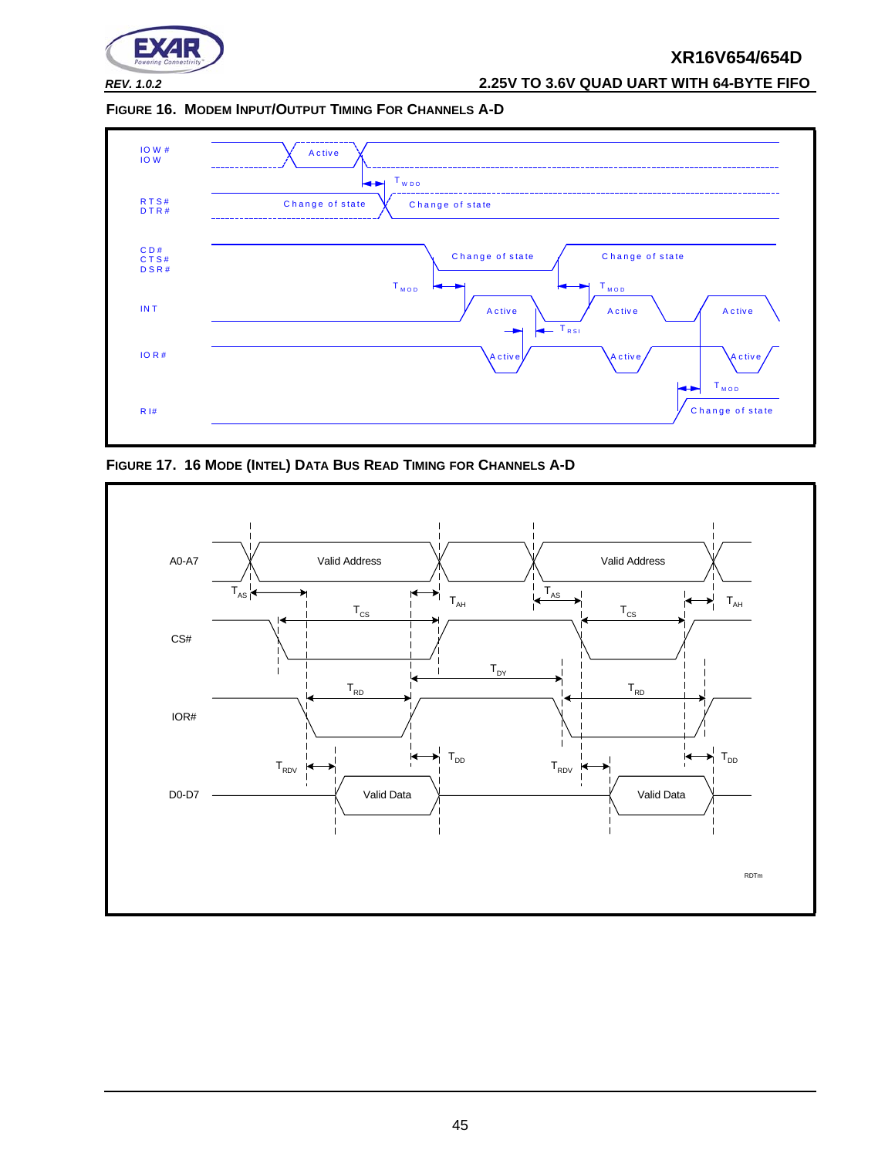

*REV. 1.0.2* **2.25V TO 3.6V QUAD UART WITH 64-BYTE FIFO**

<span id="page-44-0"></span>**FIGURE 16. MODEM INPUT/OUTPUT TIMING FOR CHANNELS A-D**



<span id="page-44-1"></span>**FIGURE 17. 16 MODE (INTEL) DATA BUS READ TIMING FOR CHANNELS A-D**

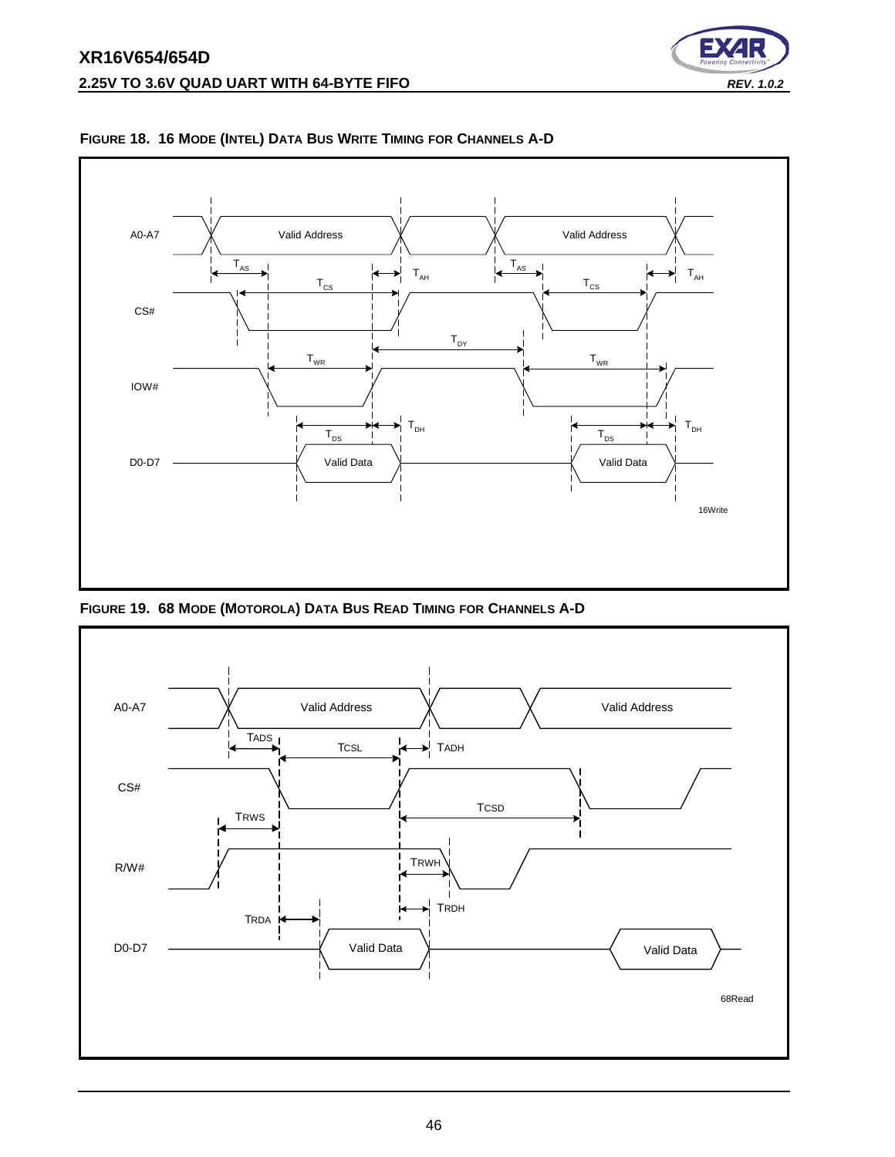



<span id="page-45-0"></span>**FIGURE 18. 16 MODE (INTEL) DATA BUS WRITE TIMING FOR CHANNELS A-D**

<span id="page-45-1"></span>**FIGURE 19. 68 MODE (MOTOROLA) DATA BUS READ TIMING FOR CHANNELS A-D**

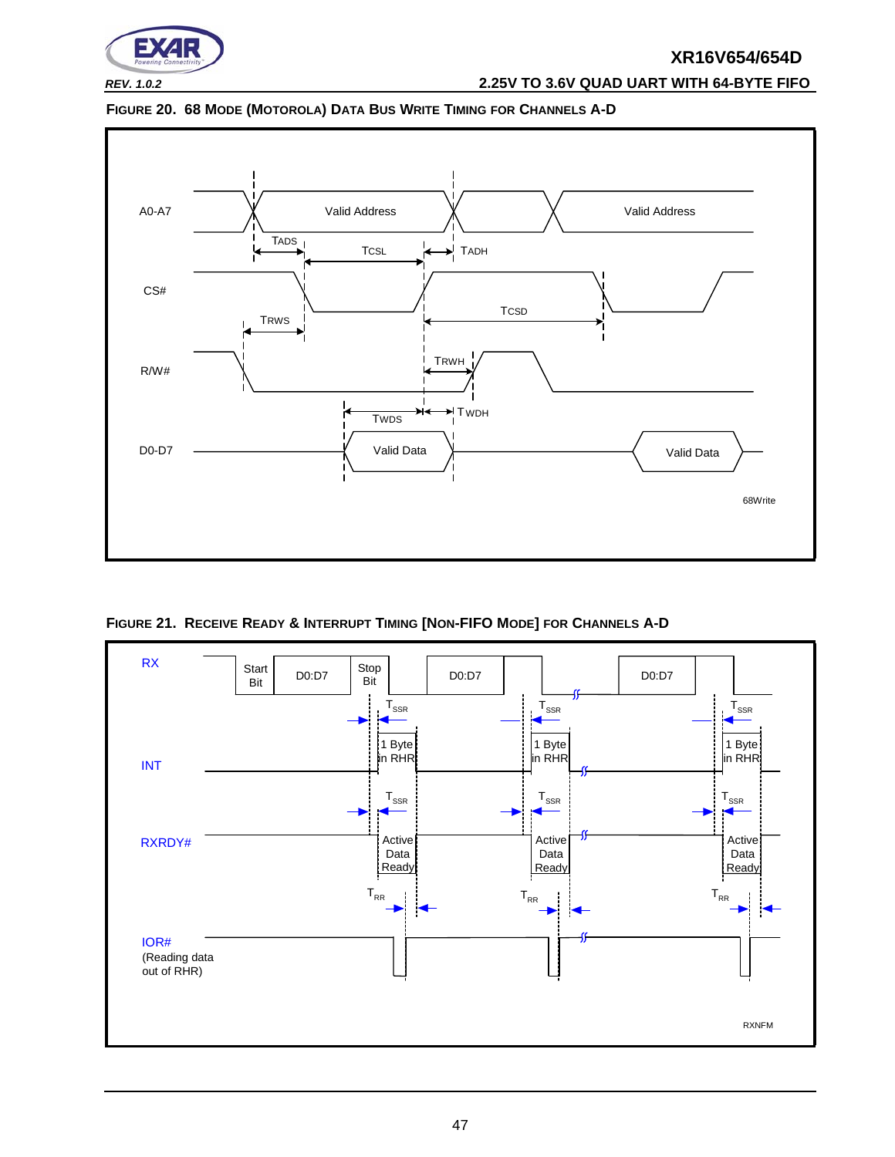

# *REV. 1.0.2* **2.25V TO 3.6V QUAD UART WITH 64-BYTE FIFO**

<span id="page-46-1"></span>



<span id="page-46-0"></span>**FIGURE 21. RECEIVE READY & INTERRUPT TIMING [NON-FIFO MODE] FOR CHANNELS A-D**

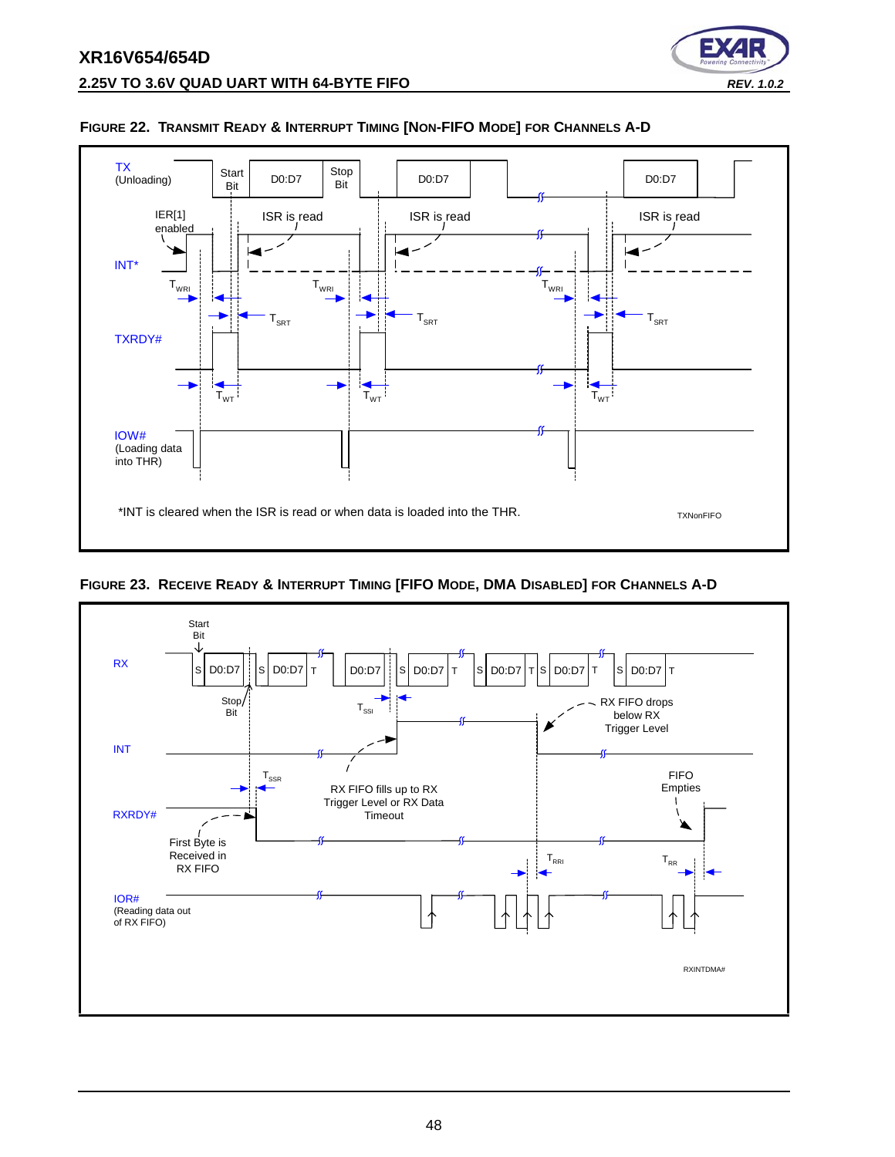

#### <span id="page-47-0"></span>**FIGURE 22. TRANSMIT READY & INTERRUPT TIMING [NON-FIFO MODE] FOR CHANNELS A-D**

<span id="page-47-1"></span>

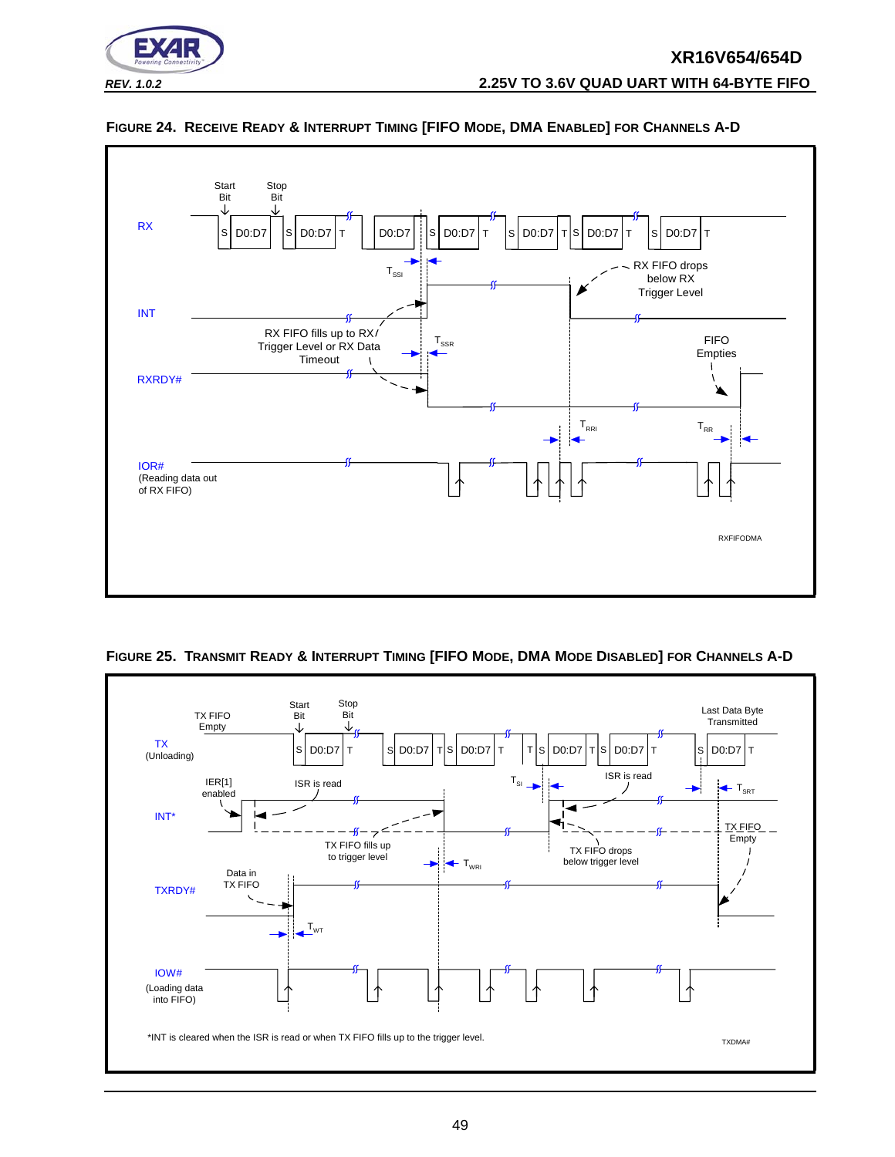



#### <span id="page-48-0"></span>**FIGURE 24. RECEIVE READY & INTERRUPT TIMING [FIFO MODE, DMA ENABLED] FOR CHANNELS A-D**

<span id="page-48-1"></span>

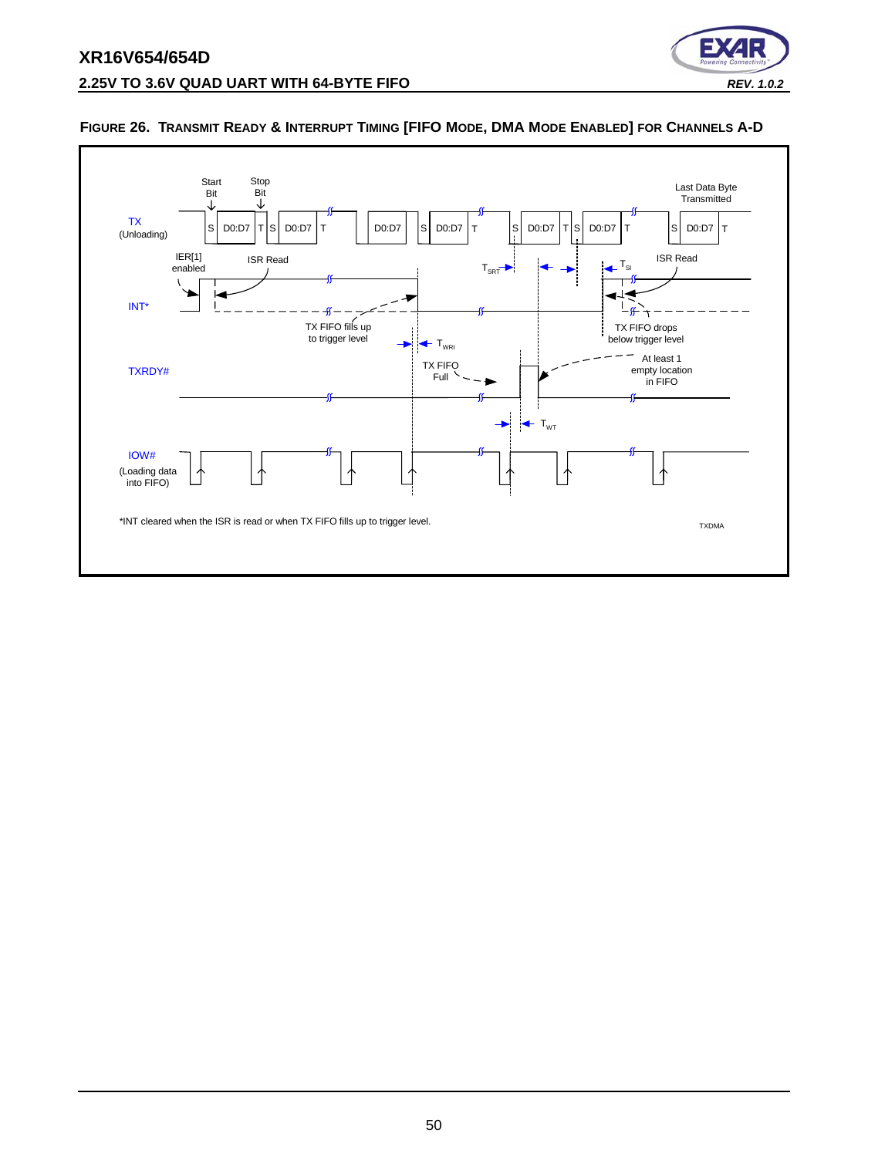



#### <span id="page-49-0"></span>**FIGURE 26. TRANSMIT READY & INTERRUPT TIMING [FIFO MODE, DMA MODE ENABLED] FOR CHANNELS A-D**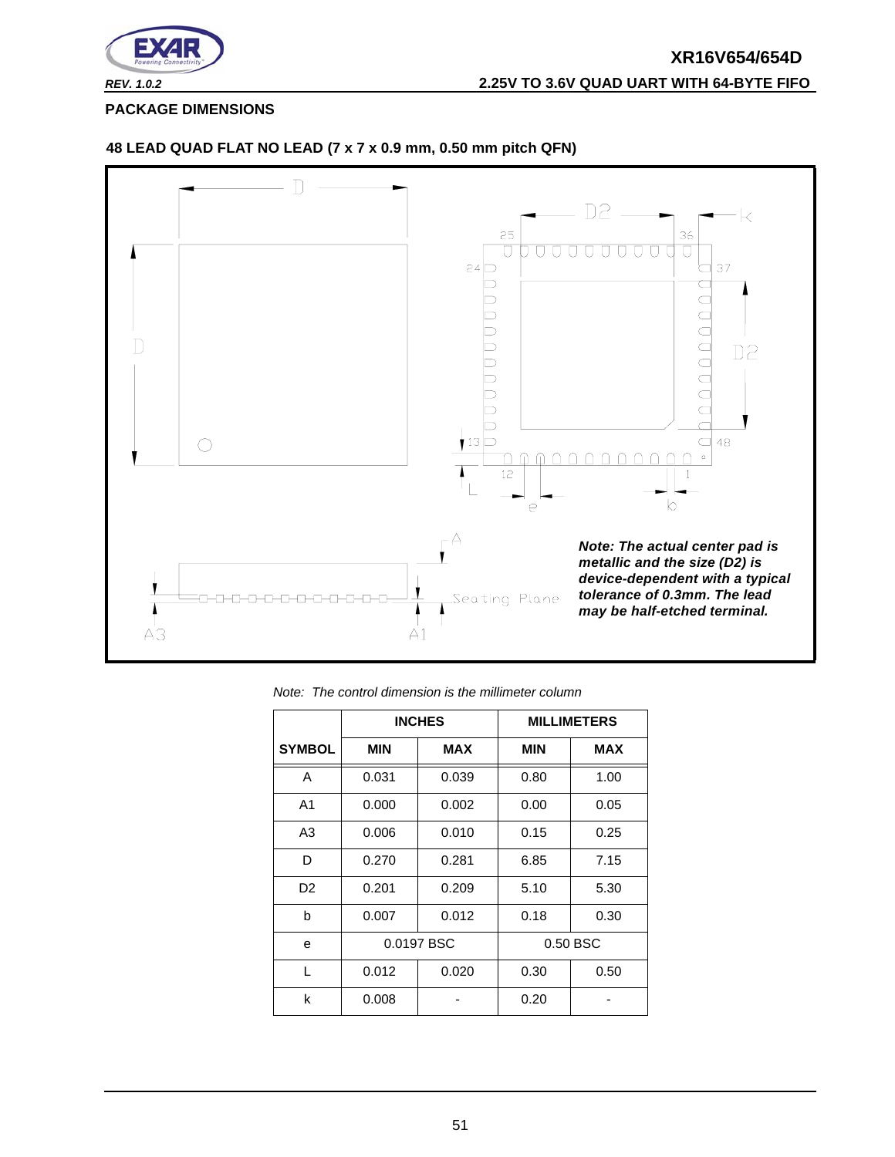

<span id="page-50-0"></span>**PACKAGE DIMENSIONS**



#### **48 LEAD QUAD FLAT NO LEAD (7 x 7 x 0.9 mm, 0.50 mm pitch QFN)**

|                |            | <b>INCHES</b> |            | <b>MILLIMETERS</b> |
|----------------|------------|---------------|------------|--------------------|
| <b>SYMBOL</b>  | <b>MIN</b> | <b>MAX</b>    | <b>MIN</b> | <b>MAX</b>         |
| A              | 0.031      | 0.039         | 0.80       | 1.00               |
| A <sub>1</sub> | 0.000      | 0.002         | 0.00       | 0.05               |
| A <sub>3</sub> | 0.006      | 0.010         | 0.15       | 0.25               |
| D              | 0.270      | 0.281         | 6.85       | 7.15               |
| D <sub>2</sub> | 0.201      | 0.209         | 5.10       | 5.30               |
| b              | 0.007      | 0.012         | 0.18       | 0.30               |
| e              |            | 0.0197 BSC    |            | 0.50 BSC           |
| L              | 0.012      | 0.020         | 0.30       | 0.50               |
| k              | 0.008      |               | 0.20       |                    |

*Note: The control dimension is the millimeter column*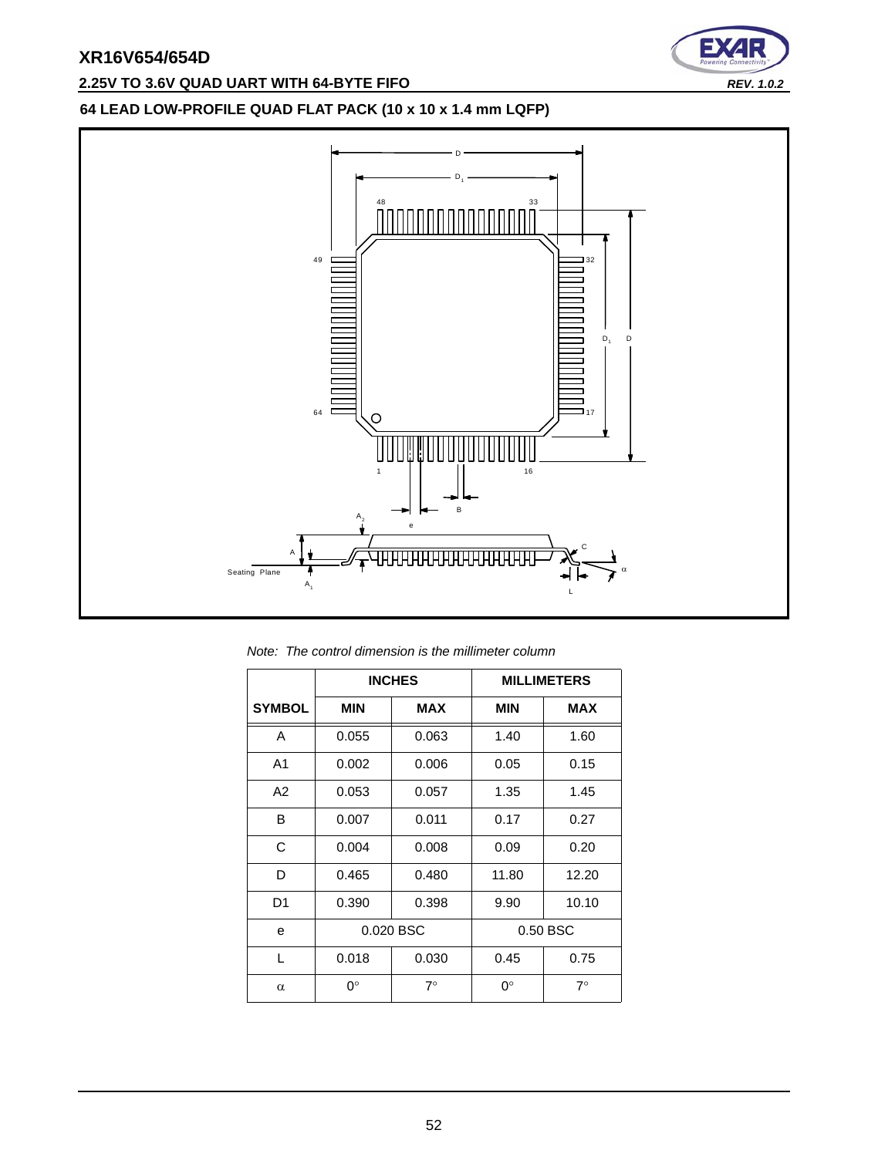# **2.25V TO 3.6V QUAD UART WITH 64-BYTE FIFO** *REV. 1.0.2*



# **64 LEAD LOW-PROFILE QUAD FLAT PACK (10 x 10 x 1.4 mm LQFP)**



*Note: The control dimension is the millimeter column*

|                |            | <b>INCHES</b> |             | <b>MILLIMETERS</b> |
|----------------|------------|---------------|-------------|--------------------|
| <b>SYMBOL</b>  | <b>MIN</b> | <b>MAX</b>    | <b>MIN</b>  | <b>MAX</b>         |
| A              | 0.055      | 0.063         | 1.40        | 1.60               |
| A <sub>1</sub> | 0.002      | 0.006         | 0.05        | 0.15               |
| A2             | 0.053      | 0.057         | 1.35        | 1.45               |
| B              | 0.007      | 0.011         | 0.17        | 0.27               |
| C              | 0.004      | 0.008         | 0.09        | 0.20               |
| D              | 0.465      | 0.480         | 11.80       | 12.20              |
| D1             | 0.390      | 0.398         | 9.90        | 10.10              |
| e              |            | 0.020 BSC     | 0.50 BSC    |                    |
| L              | 0.018      | 0.030         | 0.45        | 0.75               |
| $\alpha$       | 0°         | $7^\circ$     | $0^{\circ}$ | $7^\circ$          |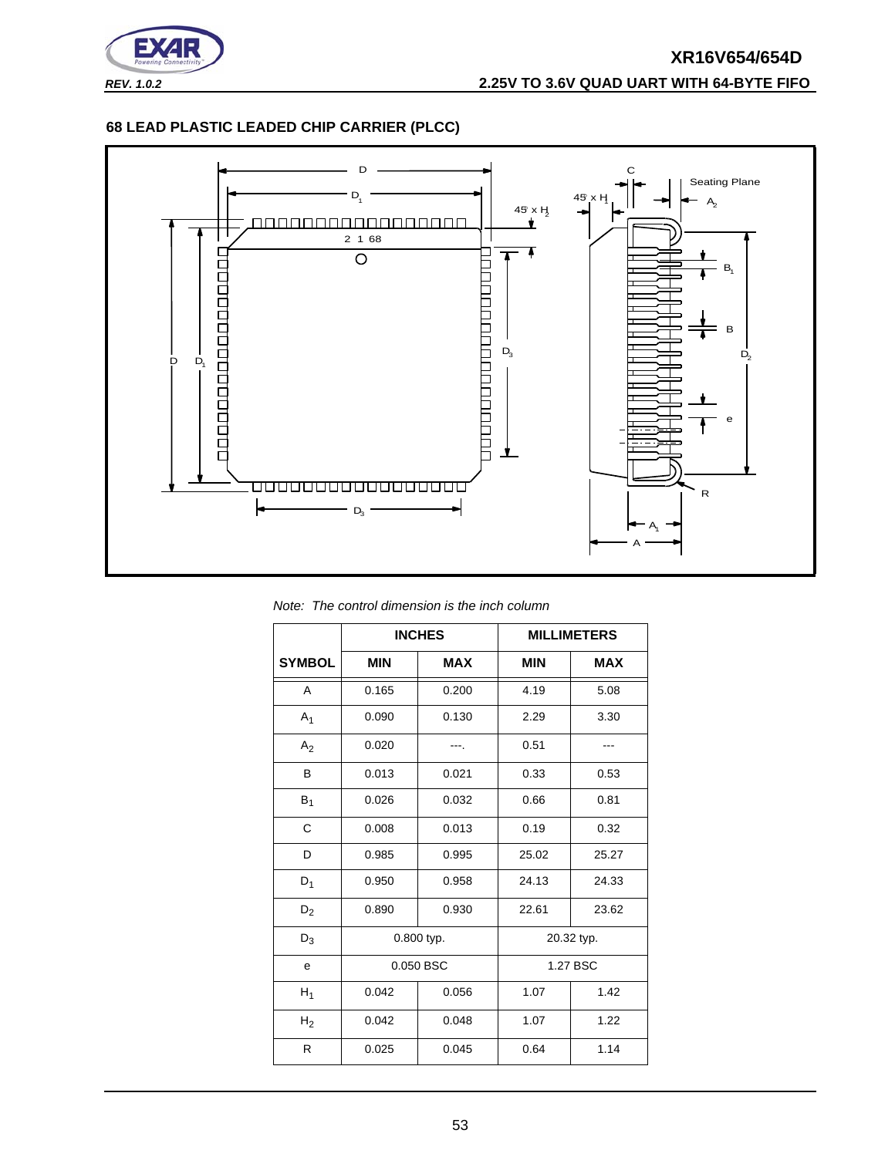

# **XR16V654/654D** *REV. 1.0.2* **2.25V TO 3.6V QUAD UART WITH 64-BYTE FIFO**

#### **68 LEAD PLASTIC LEADED CHIP CARRIER (PLCC)**



*Note: The control dimension is the inch column*

|                |            | <b>INCHES</b> |            | <b>MILLIMETERS</b> |
|----------------|------------|---------------|------------|--------------------|
| <b>SYMBOL</b>  | <b>MIN</b> | <b>MAX</b>    | <b>MIN</b> | <b>MAX</b>         |
| A              | 0.165      | 0.200         | 4.19       | 5.08               |
| $A_1$          | 0.090      | 0.130         | 2.29       | 3.30               |
| A <sub>2</sub> | 0.020      |               | 0.51       |                    |
| B              | 0.013      | 0.021         | 0.33       | 0.53               |
| $B_1$          | 0.026      | 0.032         | 0.66       | 0.81               |
| C              | 0.008      | 0.013         | 0.19       | 0.32               |
| D              | 0.985      | 0.995         | 25.02      | 25.27              |
| $D_1$          | 0.950      | 0.958         | 24.13      | 24.33              |
| $D_2$          | 0.890      | 0.930         | 22.61      | 23.62              |
| $D_3$          | 0.800 typ. |               |            | 20.32 typ.         |
| е              | 0.050 BSC  |               | 1.27 BSC   |                    |
| $H_1$          | 0.042      | 0.056         | 1.07       | 1.42               |
| H <sub>2</sub> | 0.042      | 0.048         | 1.07       | 1.22               |
| R              | 0.025      | 0.045         | 0.64       | 1.14               |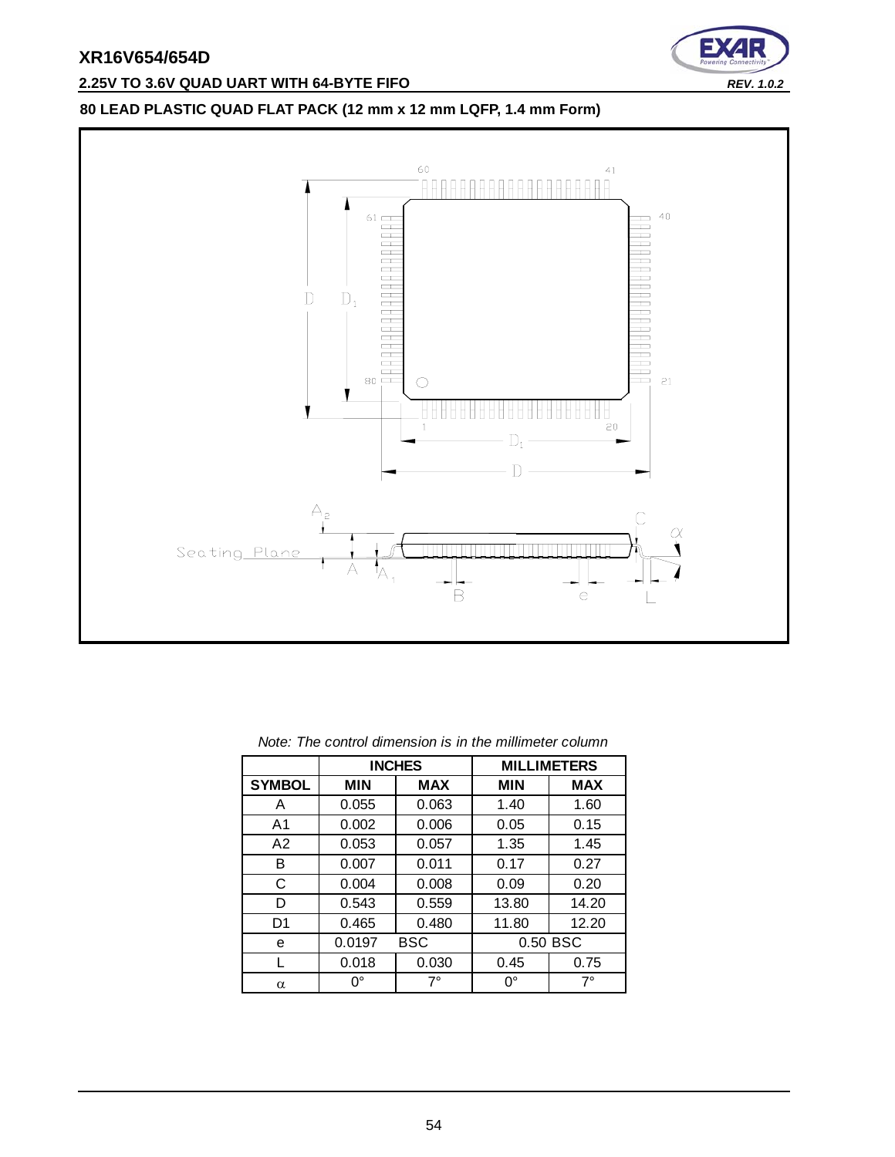

# **2.25V TO 3.6V QUAD UART WITH 64-BYTE FIFO** *REV. 1.0.2*

# **80 LEAD PLASTIC QUAD FLAT PACK (12 mm x 12 mm LQFP, 1.4 mm Form)**



|               |             | <b>INCHES</b> |            | <b>MILLIMETERS</b> |
|---------------|-------------|---------------|------------|--------------------|
| <b>SYMBOL</b> | <b>MIN</b>  | <b>MAX</b>    | <b>MIN</b> | <b>MAX</b>         |
| A             | 0.055       | 0.063         | 1.40       | 1.60               |
| A1            | 0.002       | 0.006         | 0.05       | 0.15               |
| A2            | 0.053       | 0.057         | 1.35       | 1.45               |
| в             | 0.007       | 0.011         | 0.17       | 0.27               |
| С             | 0.004       | 0.008         | 0.09       | 0.20               |
| D             | 0.543       | 0.559         | 13.80      | 14.20              |
| D1            | 0.465       | 0.480         | 11.80      | 12.20              |
| е             | 0.0197      | <b>BSC</b>    | 0.50 BSC   |                    |
|               | 0.018       | 0.030         | 0.45       | 0.75               |
| α             | $0^{\circ}$ | $7^\circ$     | 0°         | $7^\circ$          |

| Note: The control dimension is in the millimeter column |  |  |  |
|---------------------------------------------------------|--|--|--|
|---------------------------------------------------------|--|--|--|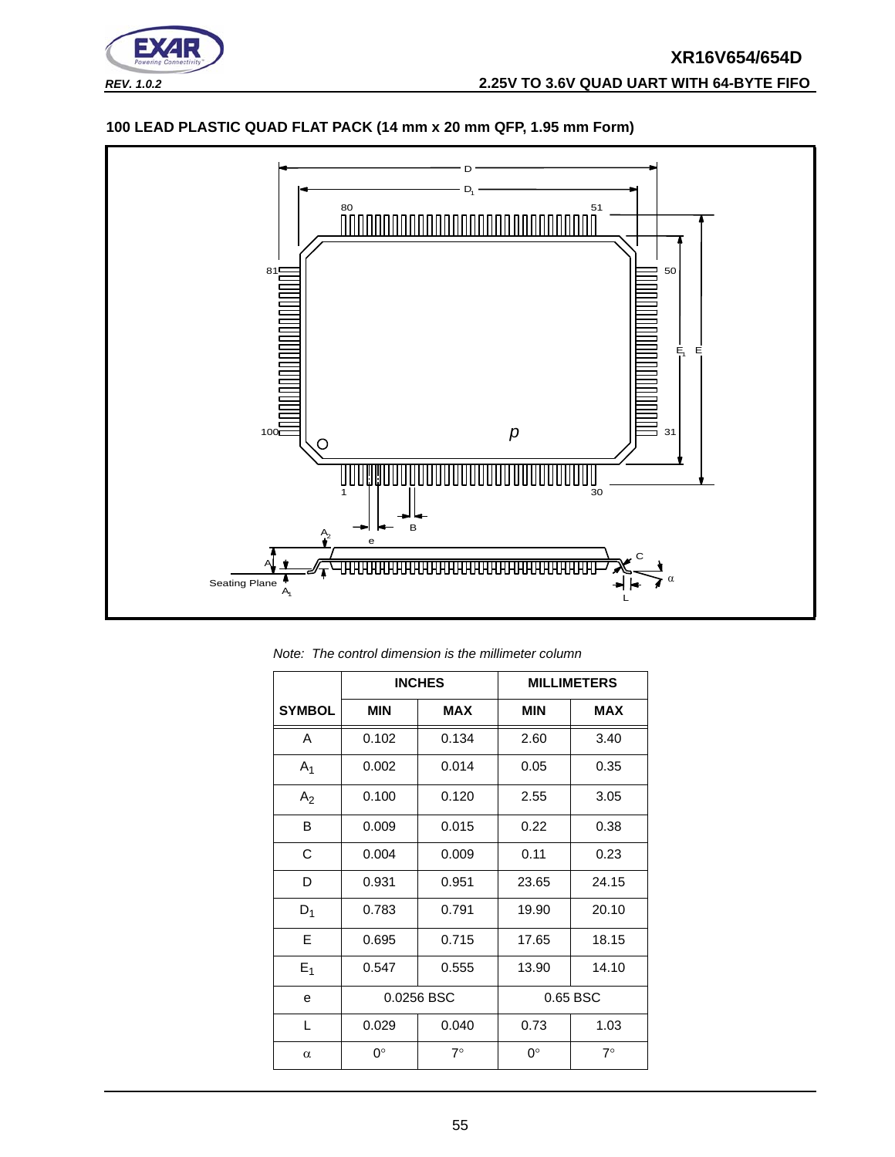

# **100 LEAD PLASTIC QUAD FLAT PACK (14 mm x 20 mm QFP, 1.95 mm Form)**



*Note: The control dimension is the millimeter column*

|                |             | <b>INCHES</b>          |            | <b>MILLIMETERS</b> |
|----------------|-------------|------------------------|------------|--------------------|
| <b>SYMBOL</b>  | MIN         | <b>MAX</b>             | <b>MIN</b> | <b>MAX</b>         |
| A              | 0.102       | 0.134                  | 2.60       | 3.40               |
| A <sub>1</sub> | 0.002       | 0.014                  | 0.05       | 0.35               |
| A <sub>2</sub> | 0.100       | 0.120                  | 2.55       | 3.05               |
| B              | 0.009       | 0.015                  | 0.22       | 0.38               |
| C              | 0.004       | 0.009                  | 0.11       | 0.23               |
| D              | 0.931       | 0.951                  | 23.65      | 24.15              |
| $D_1$          | 0.783       | 0.791                  | 19.90      | 20.10              |
| E              | 0.695       | 0.715                  | 17.65      | 18.15              |
| $E_1$          | 0.547       | 0.555                  | 13.90      | 14.10              |
| e              |             | 0.0256 BSC<br>0.65 BSC |            |                    |
| L              | 0.029       | 0.040                  | 0.73       | 1.03               |
| $\alpha$       | $0^{\circ}$ | $7^\circ$              | ∩°         | $7^\circ$          |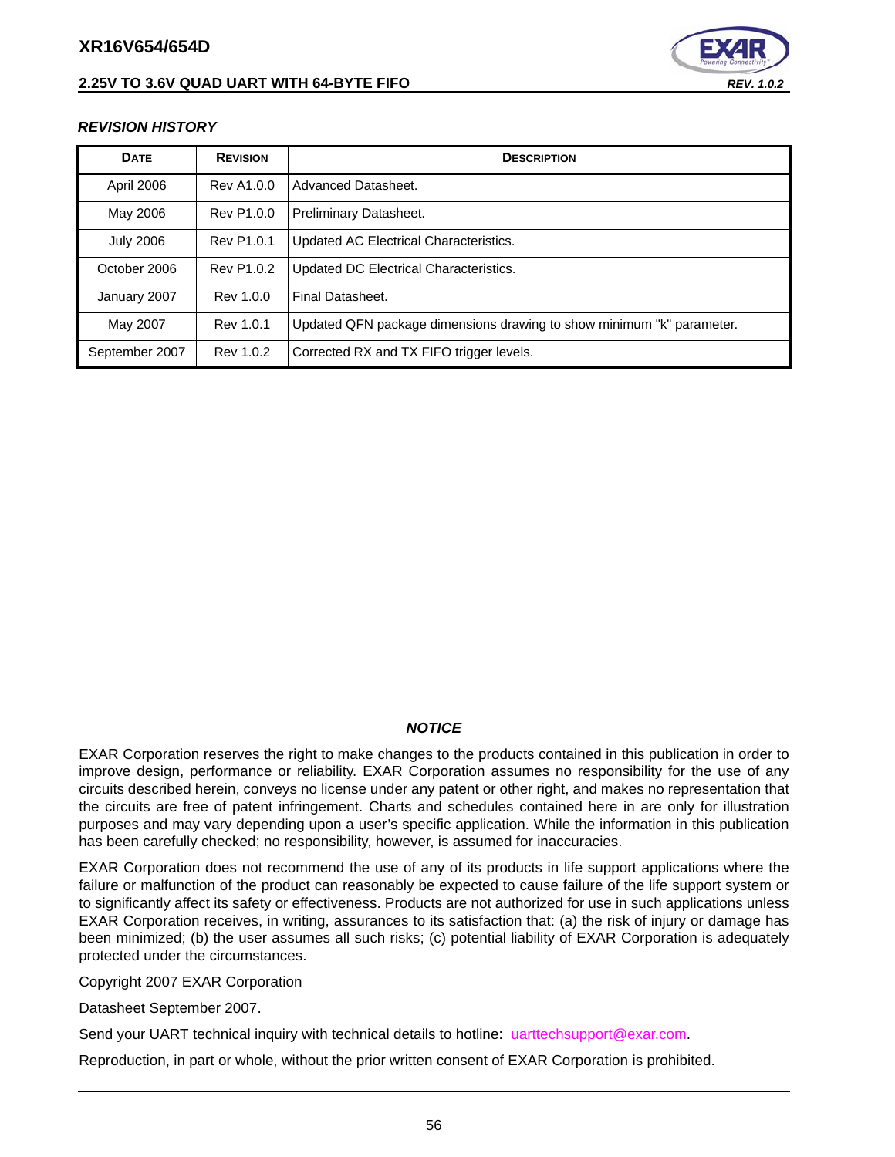## **2.25V TO 3.6V QUAD UART WITH 64-BYTE FIFO** *REV. 1.0.2*



#### <span id="page-55-0"></span>*REVISION HISTORY*

| <b>DATE</b>      | <b>REVISION</b> | <b>DESCRIPTION</b>                                                    |
|------------------|-----------------|-----------------------------------------------------------------------|
| April 2006       | Rev A1.0.0      | Advanced Datasheet.                                                   |
| May 2006         | Rev P1.0.0      | Preliminary Datasheet.                                                |
| <b>July 2006</b> | Rev P1.0.1      | Updated AC Electrical Characteristics.                                |
| October 2006     | Rev P1.0.2      | Updated DC Electrical Characteristics.                                |
| January 2007     | Rev 1.0.0       | Final Datasheet.                                                      |
| May 2007         | Rev 1.0.1       | Updated QFN package dimensions drawing to show minimum "k" parameter. |
| September 2007   | Rev 1.0.2       | Corrected RX and TX FIFO trigger levels.                              |

#### *NOTICE*

EXAR Corporation reserves the right to make changes to the products contained in this publication in order to improve design, performance or reliability. EXAR Corporation assumes no responsibility for the use of any circuits described herein, conveys no license under any patent or other right, and makes no representation that the circuits are free of patent infringement. Charts and schedules contained here in are only for illustration purposes and may vary depending upon a user's specific application. While the information in this publication has been carefully checked; no responsibility, however, is assumed for inaccuracies.

EXAR Corporation does not recommend the use of any of its products in life support applications where the failure or malfunction of the product can reasonably be expected to cause failure of the life support system or to significantly affect its safety or effectiveness. Products are not authorized for use in such applications unless EXAR Corporation receives, in writing, assurances to its satisfaction that: (a) the risk of injury or damage has been minimized; (b) the user assumes all such risks; (c) potential liability of EXAR Corporation is adequately protected under the circumstances.

Copyright 2007 EXAR Corporation

Datasheet September 2007.

Send your UART technical inquiry with technical details to hotline: uarttechsupport@exar.com.

Reproduction, in part or whole, without the prior written consent of EXAR Corporation is prohibited.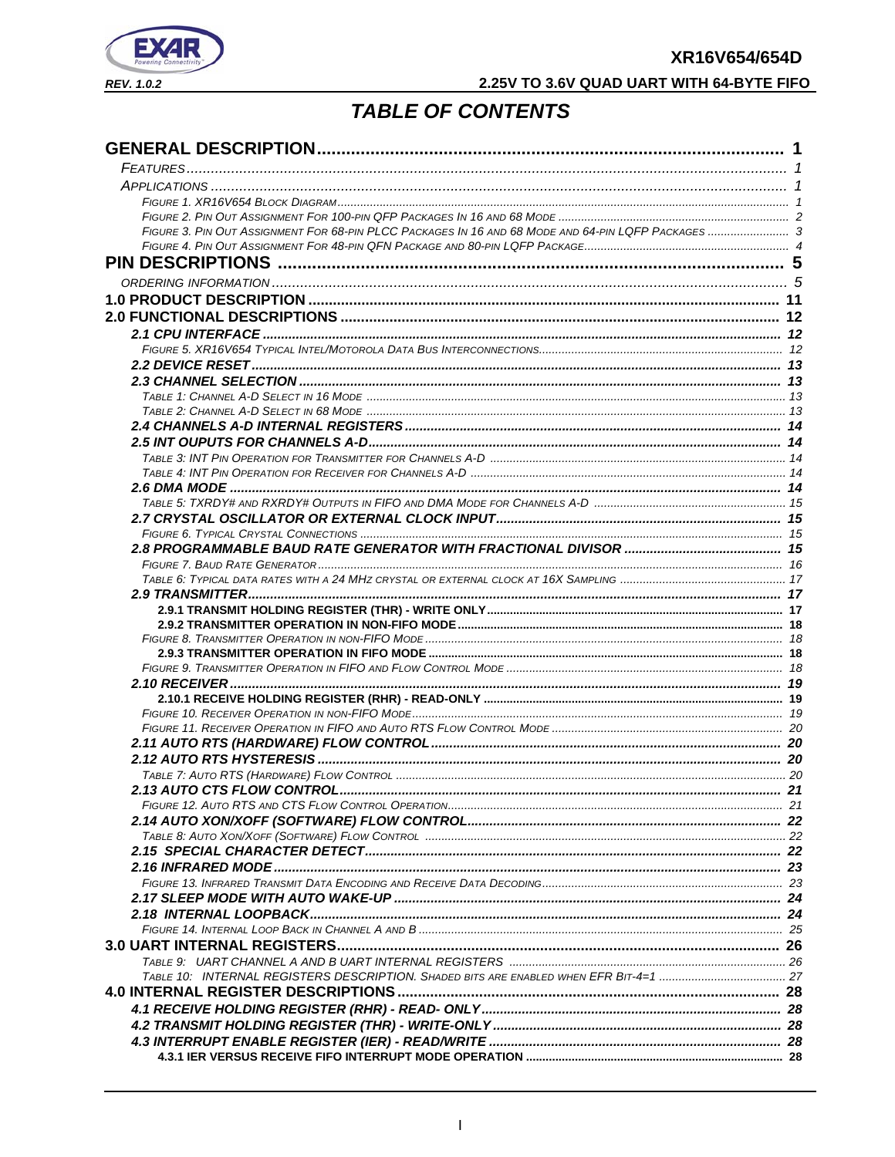

# 2.25V TO 3.6V QUAD UART WITH 64-BYTE FIFO

# **TABLE OF CONTENTS**

| FIGURE 3. PIN OUT ASSIGNMENT FOR 68-PIN PLCC PACKAGES IN 16 AND 68 MODE AND 64-PIN LQFP PACKAGES  3 |  |
|-----------------------------------------------------------------------------------------------------|--|
|                                                                                                     |  |
|                                                                                                     |  |
|                                                                                                     |  |
|                                                                                                     |  |
|                                                                                                     |  |
|                                                                                                     |  |
|                                                                                                     |  |
|                                                                                                     |  |
|                                                                                                     |  |
|                                                                                                     |  |
|                                                                                                     |  |
|                                                                                                     |  |
|                                                                                                     |  |
|                                                                                                     |  |
|                                                                                                     |  |
|                                                                                                     |  |
|                                                                                                     |  |
|                                                                                                     |  |
|                                                                                                     |  |
|                                                                                                     |  |
|                                                                                                     |  |
|                                                                                                     |  |
|                                                                                                     |  |
|                                                                                                     |  |
|                                                                                                     |  |
|                                                                                                     |  |
|                                                                                                     |  |
|                                                                                                     |  |
|                                                                                                     |  |
|                                                                                                     |  |
|                                                                                                     |  |
|                                                                                                     |  |
|                                                                                                     |  |
|                                                                                                     |  |
|                                                                                                     |  |
|                                                                                                     |  |
|                                                                                                     |  |
|                                                                                                     |  |
|                                                                                                     |  |
|                                                                                                     |  |
|                                                                                                     |  |
|                                                                                                     |  |
|                                                                                                     |  |
|                                                                                                     |  |
|                                                                                                     |  |
|                                                                                                     |  |
|                                                                                                     |  |
|                                                                                                     |  |
|                                                                                                     |  |
|                                                                                                     |  |
|                                                                                                     |  |
|                                                                                                     |  |
|                                                                                                     |  |
|                                                                                                     |  |